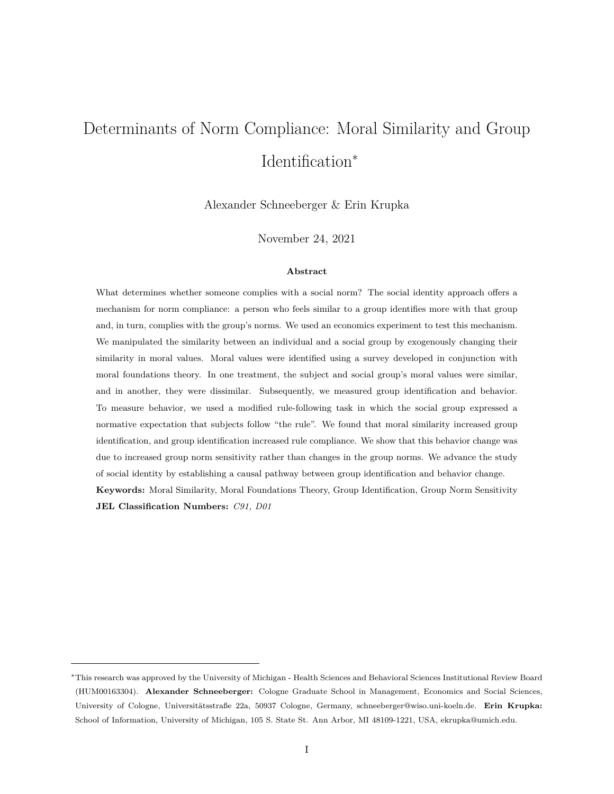# Determinants of Norm Compliance: Moral Similarity and Group Identification<sup>∗</sup>

Alexander Schneeberger & Erin Krupka

November 24, 2021

#### **Abstract**

What determines whether someone complies with a social norm? The social identity approach offers a mechanism for norm compliance: a person who feels similar to a group identifies more with that group and, in turn, complies with the group's norms. We used an economics experiment to test this mechanism. We manipulated the similarity between an individual and a social group by exogenously changing their similarity in moral values. Moral values were identified using a survey developed in conjunction with moral foundations theory. In one treatment, the subject and social group's moral values were similar, and in another, they were dissimilar. Subsequently, we measured group identification and behavior. To measure behavior, we used a modified rule-following task in which the social group expressed a normative expectation that subjects follow "the rule". We found that moral similarity increased group identification, and group identification increased rule compliance. We show that this behavior change was due to increased group norm sensitivity rather than changes in the group norms. We advance the study of social identity by establishing a causal pathway between group identification and behavior change. **Keywords:** Moral Similarity, Moral Foundations Theory, Group Identification, Group Norm Sensitivity **JEL Classification Numbers:** *C91, D01*

<sup>∗</sup>This research was approved by the University of Michigan - Health Sciences and Behavioral Sciences Institutional Review Board (HUM00163304). **Alexander Schneeberger:** Cologne Graduate School in Management, Economics and Social Sciences, University of Cologne, Universitätsstraße 22a, 50937 Cologne, Germany, schneeberger@wiso.uni-koeln.de. Erin Krupka: School of Information, University of Michigan, 105 S. State St. Ann Arbor, MI 48109-1221, USA, ekrupka@umich.edu.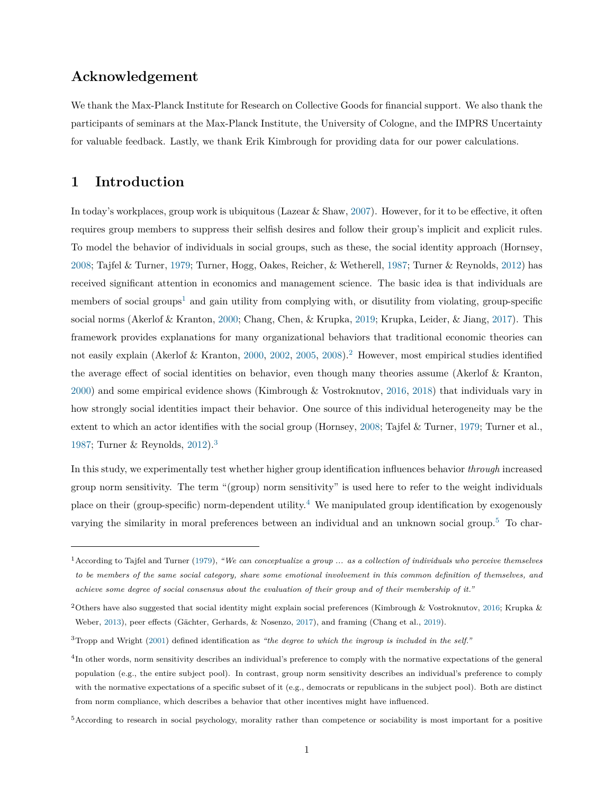# **Acknowledgement**

We thank the Max-Planck Institute for Research on Collective Goods for financial support. We also thank the participants of seminars at the Max-Planck Institute, the University of Cologne, and the IMPRS Uncertainty for valuable feedback. Lastly, we thank Erik Kimbrough for providing data for our power calculations.

# **1 Introduction**

In today's workplaces, group work is ubiquitous (Lazear  $&$  Shaw, [2007\)](#page-27-0). However, for it to be effective, it often requires group members to suppress their selfish desires and follow their group's implicit and explicit rules. To model the behavior of individuals in social groups, such as these, the social identity approach (Hornsey, [2008;](#page-27-1) Tajfel & Turner, [1979;](#page-28-0) Turner, Hogg, Oakes, Reicher, & Wetherell, [1987;](#page-28-1) Turner & Reynolds, [2012\)](#page-28-2) has received significant attention in economics and management science. The basic idea is that individuals are members of social groups<sup>[1](#page-1-0)</sup> and gain utility from complying with, or disutility from violating, group-specific social norms (Akerlof & Kranton, [2000;](#page-25-0) Chang, Chen, & Krupka, [2019;](#page-25-1) Krupka, Leider, & Jiang, [2017\)](#page-27-2). This framework provides explanations for many organizational behaviors that traditional economic theories can not easily explain (Akerlof & Kranton, [2000,](#page-25-0) [2002,](#page-25-2) [2005,](#page-25-3) [2008\)](#page-25-4).[2](#page-1-1) However, most empirical studies identified the average effect of social identities on behavior, even though many theories assume (Akerlof & Kranton, [2000\)](#page-25-0) and some empirical evidence shows (Kimbrough & Vostroknutov, [2016,](#page-27-3) [2018\)](#page-27-4) that individuals vary in how strongly social identities impact their behavior. One source of this individual heterogeneity may be the extent to which an actor identifies with the social group (Hornsey, [2008;](#page-27-1) Tajfel & Turner, [1979;](#page-28-0) Turner et al., [1987;](#page-28-1) Turner & Reynolds, [2012\)](#page-28-2).[3](#page-1-2)

In this study, we experimentally test whether higher group identification influences behavior *through* increased group norm sensitivity. The term "(group) norm sensitivity" is used here to refer to the weight individuals place on their (group-specific) norm-dependent utility.<sup>[4](#page-1-3)</sup> We manipulated group identification by exogenously varying the similarity in moral preferences between an individual and an unknown social group.[5](#page-1-4) To char-

<span id="page-1-0"></span><sup>1</sup>According to Tajfel and Turner [\(1979\)](#page-28-0), *"We can conceptualize a group ... as a collection of individuals who perceive themselves to be members of the same social category, share some emotional involvement in this common definition of themselves, and achieve some degree of social consensus about the evaluation of their group and of their membership of it."*

<span id="page-1-1"></span><sup>2</sup>Others have also suggested that social identity might explain social preferences (Kimbrough & Vostroknutov, [2016;](#page-27-3) Krupka & Weber, [2013\)](#page-27-5), peer effects (Gächter, Gerhards, & Nosenzo, [2017\)](#page-26-0), and framing (Chang et al., [2019\)](#page-25-1).

<span id="page-1-2"></span><sup>3</sup>Tropp and Wright [\(2001\)](#page-28-3) defined identification as *"the degree to which the ingroup is included in the self."*

<span id="page-1-3"></span><sup>4</sup> In other words, norm sensitivity describes an individual's preference to comply with the normative expectations of the general population (e.g., the entire subject pool). In contrast, group norm sensitivity describes an individual's preference to comply with the normative expectations of a specific subset of it (e.g., democrats or republicans in the subject pool). Both are distinct from norm compliance, which describes a behavior that other incentives might have influenced.

<span id="page-1-4"></span><sup>&</sup>lt;sup>5</sup>According to research in social psychology, morality rather than competence or sociability is most important for a positive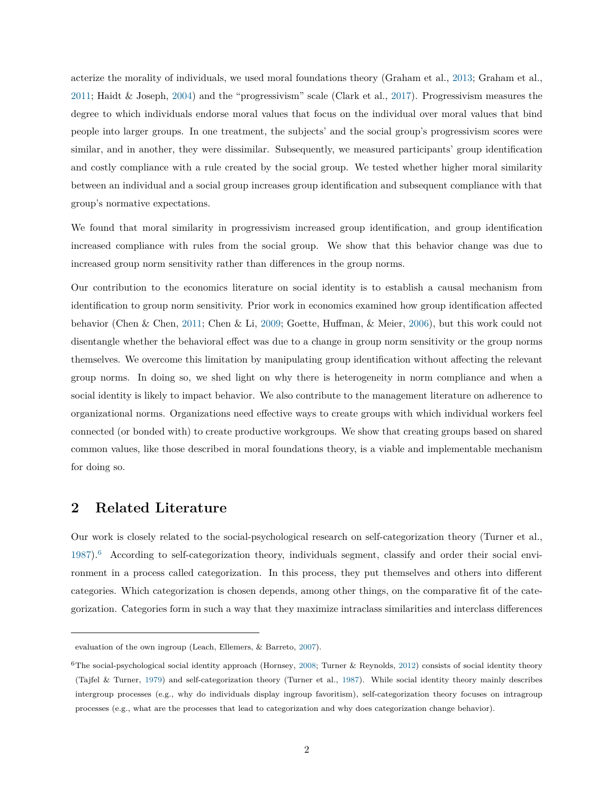acterize the morality of individuals, we used moral foundations theory (Graham et al., [2013;](#page-26-1) Graham et al., [2011;](#page-26-2) Haidt & Joseph, [2004\)](#page-26-3) and the "progressivism" scale (Clark et al., [2017\)](#page-25-5). Progressivism measures the degree to which individuals endorse moral values that focus on the individual over moral values that bind people into larger groups. In one treatment, the subjects' and the social group's progressivism scores were similar, and in another, they were dissimilar. Subsequently, we measured participants' group identification and costly compliance with a rule created by the social group. We tested whether higher moral similarity between an individual and a social group increases group identification and subsequent compliance with that group's normative expectations.

We found that moral similarity in progressivism increased group identification, and group identification increased compliance with rules from the social group. We show that this behavior change was due to increased group norm sensitivity rather than differences in the group norms.

Our contribution to the economics literature on social identity is to establish a causal mechanism from identification to group norm sensitivity. Prior work in economics examined how group identification affected behavior (Chen & Chen, [2011;](#page-25-6) Chen & Li, [2009;](#page-25-7) Goette, Huffman, & Meier, [2006\)](#page-26-4), but this work could not disentangle whether the behavioral effect was due to a change in group norm sensitivity or the group norms themselves. We overcome this limitation by manipulating group identification without affecting the relevant group norms. In doing so, we shed light on why there is heterogeneity in norm compliance and when a social identity is likely to impact behavior. We also contribute to the management literature on adherence to organizational norms. Organizations need effective ways to create groups with which individual workers feel connected (or bonded with) to create productive workgroups. We show that creating groups based on shared common values, like those described in moral foundations theory, is a viable and implementable mechanism for doing so.

# **2 Related Literature**

Our work is closely related to the social-psychological research on self-categorization theory (Turner et al., [1987\)](#page-28-1).[6](#page-2-0) According to self-categorization theory, individuals segment, classify and order their social environment in a process called categorization. In this process, they put themselves and others into different categories. Which categorization is chosen depends, among other things, on the comparative fit of the categorization. Categories form in such a way that they maximize intraclass similarities and interclass differences

evaluation of the own ingroup (Leach, Ellemers, & Barreto, [2007\)](#page-28-4).

<span id="page-2-0"></span> ${}^{6}$ The social-psychological social identity approach (Hornsey, [2008;](#page-27-1) Turner & Reynolds, [2012\)](#page-28-2) consists of social identity theory (Tajfel & Turner, [1979\)](#page-28-0) and self-categorization theory (Turner et al., [1987\)](#page-28-1). While social identity theory mainly describes intergroup processes (e.g., why do individuals display ingroup favoritism), self-categorization theory focuses on intragroup processes (e.g., what are the processes that lead to categorization and why does categorization change behavior).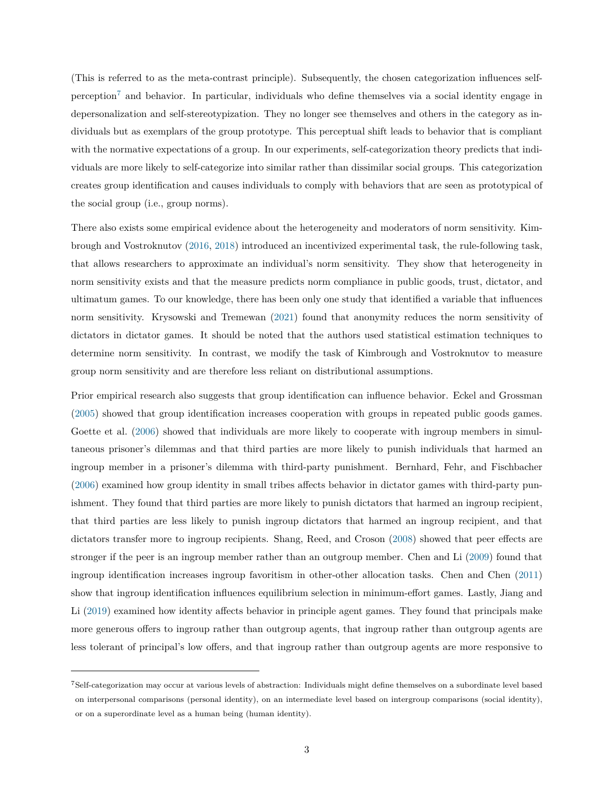(This is referred to as the meta-contrast principle). Subsequently, the chosen categorization influences selfperception[7](#page-3-0) and behavior. In particular, individuals who define themselves via a social identity engage in depersonalization and self-stereotypization. They no longer see themselves and others in the category as individuals but as exemplars of the group prototype. This perceptual shift leads to behavior that is compliant with the normative expectations of a group. In our experiments, self-categorization theory predicts that individuals are more likely to self-categorize into similar rather than dissimilar social groups. This categorization creates group identification and causes individuals to comply with behaviors that are seen as prototypical of the social group (i.e., group norms).

There also exists some empirical evidence about the heterogeneity and moderators of norm sensitivity. Kimbrough and Vostroknutov [\(2016,](#page-27-3) [2018\)](#page-27-4) introduced an incentivized experimental task, the rule-following task, that allows researchers to approximate an individual's norm sensitivity. They show that heterogeneity in norm sensitivity exists and that the measure predicts norm compliance in public goods, trust, dictator, and ultimatum games. To our knowledge, there has been only one study that identified a variable that influences norm sensitivity. Krysowski and Tremewan [\(2021\)](#page-27-6) found that anonymity reduces the norm sensitivity of dictators in dictator games. It should be noted that the authors used statistical estimation techniques to determine norm sensitivity. In contrast, we modify the task of Kimbrough and Vostroknutov to measure group norm sensitivity and are therefore less reliant on distributional assumptions.

Prior empirical research also suggests that group identification can influence behavior. Eckel and Grossman [\(2005\)](#page-26-5) showed that group identification increases cooperation with groups in repeated public goods games. Goette et al. [\(2006\)](#page-26-4) showed that individuals are more likely to cooperate with ingroup members in simultaneous prisoner's dilemmas and that third parties are more likely to punish individuals that harmed an ingroup member in a prisoner's dilemma with third-party punishment. Bernhard, Fehr, and Fischbacher [\(2006\)](#page-25-8) examined how group identity in small tribes affects behavior in dictator games with third-party punishment. They found that third parties are more likely to punish dictators that harmed an ingroup recipient, that third parties are less likely to punish ingroup dictators that harmed an ingroup recipient, and that dictators transfer more to ingroup recipients. Shang, Reed, and Croson [\(2008\)](#page-28-5) showed that peer effects are stronger if the peer is an ingroup member rather than an outgroup member. Chen and Li [\(2009\)](#page-25-7) found that ingroup identification increases ingroup favoritism in other-other allocation tasks. Chen and Chen [\(2011\)](#page-25-6) show that ingroup identification influences equilibrium selection in minimum-effort games. Lastly, Jiang and Li [\(2019\)](#page-27-7) examined how identity affects behavior in principle agent games. They found that principals make more generous offers to ingroup rather than outgroup agents, that ingroup rather than outgroup agents are less tolerant of principal's low offers, and that ingroup rather than outgroup agents are more responsive to

<span id="page-3-0"></span><sup>7</sup>Self-categorization may occur at various levels of abstraction: Individuals might define themselves on a subordinate level based on interpersonal comparisons (personal identity), on an intermediate level based on intergroup comparisons (social identity), or on a superordinate level as a human being (human identity).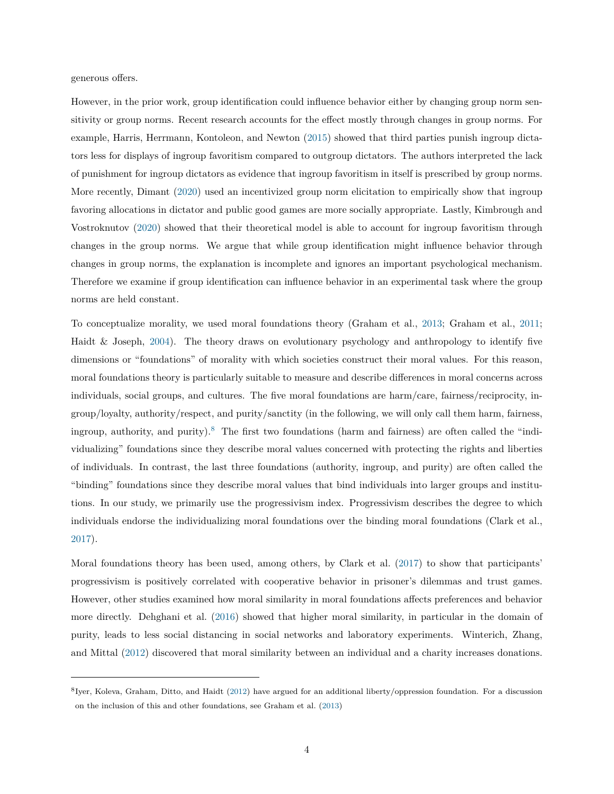generous offers.

However, in the prior work, group identification could influence behavior either by changing group norm sensitivity or group norms. Recent research accounts for the effect mostly through changes in group norms. For example, Harris, Herrmann, Kontoleon, and Newton [\(2015\)](#page-27-8) showed that third parties punish ingroup dictators less for displays of ingroup favoritism compared to outgroup dictators. The authors interpreted the lack of punishment for ingroup dictators as evidence that ingroup favoritism in itself is prescribed by group norms. More recently, Dimant [\(2020\)](#page-26-6) used an incentivized group norm elicitation to empirically show that ingroup favoring allocations in dictator and public good games are more socially appropriate. Lastly, Kimbrough and Vostroknutov [\(2020\)](#page-27-9) showed that their theoretical model is able to account for ingroup favoritism through changes in the group norms. We argue that while group identification might influence behavior through changes in group norms, the explanation is incomplete and ignores an important psychological mechanism. Therefore we examine if group identification can influence behavior in an experimental task where the group norms are held constant.

To conceptualize morality, we used moral foundations theory (Graham et al., [2013;](#page-26-1) Graham et al., [2011;](#page-26-2) Haidt & Joseph, [2004\)](#page-26-3). The theory draws on evolutionary psychology and anthropology to identify five dimensions or "foundations" of morality with which societies construct their moral values. For this reason, moral foundations theory is particularly suitable to measure and describe differences in moral concerns across individuals, social groups, and cultures. The five moral foundations are harm/care, fairness/reciprocity, ingroup/loyalty, authority/respect, and purity/sanctity (in the following, we will only call them harm, fairness, ingroup, authority, and purity).<sup>[8](#page-4-0)</sup> The first two foundations (harm and fairness) are often called the "individualizing" foundations since they describe moral values concerned with protecting the rights and liberties of individuals. In contrast, the last three foundations (authority, ingroup, and purity) are often called the "binding" foundations since they describe moral values that bind individuals into larger groups and institutions. In our study, we primarily use the progressivism index. Progressivism describes the degree to which individuals endorse the individualizing moral foundations over the binding moral foundations (Clark et al., [2017\)](#page-25-5).

Moral foundations theory has been used, among others, by Clark et al. [\(2017\)](#page-25-5) to show that participants' progressivism is positively correlated with cooperative behavior in prisoner's dilemmas and trust games. However, other studies examined how moral similarity in moral foundations affects preferences and behavior more directly. Dehghani et al. [\(2016\)](#page-25-9) showed that higher moral similarity, in particular in the domain of purity, leads to less social distancing in social networks and laboratory experiments. Winterich, Zhang, and Mittal [\(2012\)](#page-29-0) discovered that moral similarity between an individual and a charity increases donations.

<span id="page-4-0"></span><sup>8</sup> Iyer, Koleva, Graham, Ditto, and Haidt [\(2012\)](#page-27-10) have argued for an additional liberty/oppression foundation. For a discussion on the inclusion of this and other foundations, see Graham et al. [\(2013\)](#page-26-1)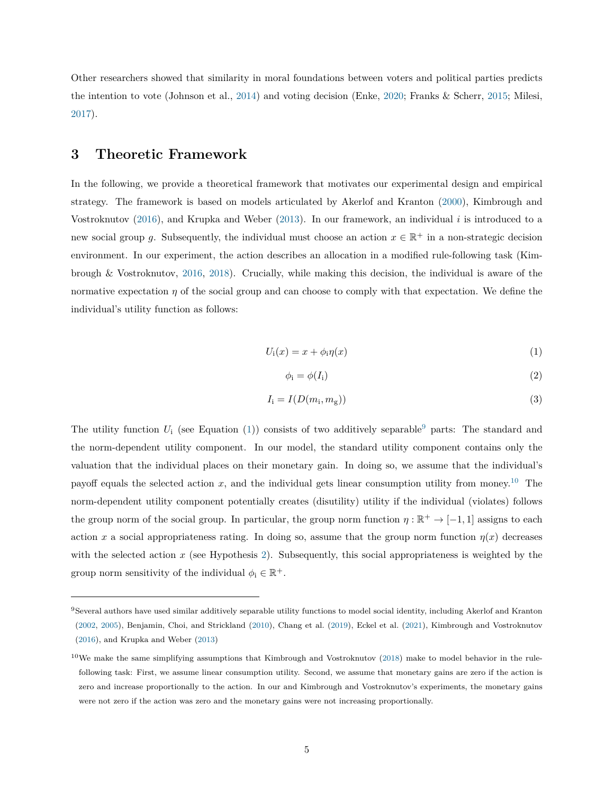Other researchers showed that similarity in moral foundations between voters and political parties predicts the intention to vote (Johnson et al., [2014\)](#page-27-11) and voting decision (Enke, [2020;](#page-26-7) Franks & Scherr, [2015;](#page-26-8) Milesi, [2017\)](#page-28-6).

# <span id="page-5-5"></span>**3 Theoretic Framework**

In the following, we provide a theoretical framework that motivates our experimental design and empirical strategy. The framework is based on models articulated by Akerlof and Kranton [\(2000\)](#page-25-0), Kimbrough and Vostroknutov [\(2016\)](#page-27-3), and Krupka and Weber [\(2013\)](#page-27-5). In our framework, an individual *i* is introduced to a new social group g. Subsequently, the individual must choose an action  $x \in \mathbb{R}^+$  in a non-strategic decision environment. In our experiment, the action describes an allocation in a modified rule-following task (Kimbrough & Vostroknutov, [2016,](#page-27-3) [2018\)](#page-27-4). Crucially, while making this decision, the individual is aware of the normative expectation *η* of the social group and can choose to comply with that expectation. We define the individual's utility function as follows:

<span id="page-5-0"></span>
$$
U_{\mathbf{i}}(x) = x + \phi_{\mathbf{i}} \eta(x) \tag{1}
$$

<span id="page-5-3"></span>
$$
\phi_i = \phi(I_i) \tag{2}
$$

<span id="page-5-4"></span>
$$
I_{\mathbf{i}} = I(D(m_{\mathbf{i}}, m_{\mathbf{g}}))\tag{3}
$$

The utility function  $U_i$  (see Equation [\(1\)](#page-5-0)) consists of two additively separable<sup>[9](#page-5-1)</sup> parts: The standard and the norm-dependent utility component. In our model, the standard utility component contains only the valuation that the individual places on their monetary gain. In doing so, we assume that the individual's payoff equals the selected action  $x$ , and the individual gets linear consumption utility from money.<sup>[10](#page-5-2)</sup> The norm-dependent utility component potentially creates (disutility) utility if the individual (violates) follows the group norm of the social group. In particular, the group norm function  $\eta : \mathbb{R}^+ \to [-1,1]$  assigns to each action *x* a social appropriateness rating. In doing so, assume that the group norm function  $\eta(x)$  decreases with the selected action *x* (see Hypothesis [2\)](#page-14-0). Subsequently, this social appropriateness is weighted by the group norm sensitivity of the individual  $\phi_i \in \mathbb{R}^+$ .

<span id="page-5-1"></span><sup>9</sup>Several authors have used similar additively separable utility functions to model social identity, including Akerlof and Kranton [\(2002,](#page-25-2) [2005\)](#page-25-3), Benjamin, Choi, and Strickland [\(2010\)](#page-25-10), Chang et al. [\(2019\)](#page-25-1), Eckel et al. [\(2021\)](#page-26-9), Kimbrough and Vostroknutov [\(2016\)](#page-27-3), and Krupka and Weber [\(2013\)](#page-27-5)

<span id="page-5-2"></span> $10$ We make the same simplifying assumptions that Kimbrough and Vostroknutov [\(2018\)](#page-27-4) make to model behavior in the rulefollowing task: First, we assume linear consumption utility. Second, we assume that monetary gains are zero if the action is zero and increase proportionally to the action. In our and Kimbrough and Vostroknutov's experiments, the monetary gains were not zero if the action was zero and the monetary gains were not increasing proportionally.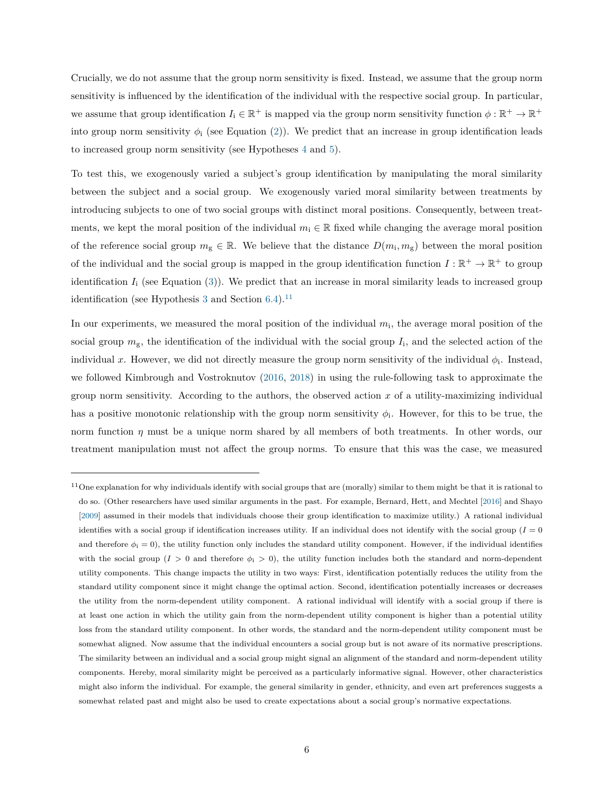Crucially, we do not assume that the group norm sensitivity is fixed. Instead, we assume that the group norm sensitivity is influenced by the identification of the individual with the respective social group. In particular, we assume that group identification  $I_i \in \mathbb{R}^+$  is mapped via the group norm sensitivity function  $\phi : \mathbb{R}^+ \to \mathbb{R}^+$ into group norm sensitivity  $\phi_i$  (see Equation [\(2\)](#page-5-3)). We predict that an increase in group identification leads to increased group norm sensitivity (see Hypotheses [4](#page-17-0) and [5\)](#page-19-0).

To test this, we exogenously varied a subject's group identification by manipulating the moral similarity between the subject and a social group. We exogenously varied moral similarity between treatments by introducing subjects to one of two social groups with distinct moral positions. Consequently, between treatments, we kept the moral position of the individual  $m_i \in \mathbb{R}$  fixed while changing the average moral position of the reference social group  $m_{\rm g} \in \mathbb{R}$ . We believe that the distance  $D(m_{\rm i}, m_{\rm g})$  between the moral position of the individual and the social group is mapped in the group identification function  $I: \mathbb{R}^+ \to \mathbb{R}^+$  to group identification  $I_i$  (see Equation  $(3)$ ). We predict that an increase in moral similarity leads to increased group identification (see Hypothesis [3](#page-17-1) and Section [6.4\)](#page-20-0).<sup>[11](#page-6-0)</sup>

In our experiments, we measured the moral position of the individual  $m_i$ , the average moral position of the social group  $m_{\rm g}$ , the identification of the individual with the social group  $I_i$ , and the selected action of the individual x. However, we did not directly measure the group norm sensitivity of the individual  $\phi_i$ . Instead, we followed Kimbrough and Vostroknutov [\(2016,](#page-27-3) [2018\)](#page-27-4) in using the rule-following task to approximate the group norm sensitivity. According to the authors, the observed action *x* of a utility-maximizing individual has a positive monotonic relationship with the group norm sensitivity  $\phi_i$ . However, for this to be true, the norm function *η* must be a unique norm shared by all members of both treatments. In other words, our treatment manipulation must not affect the group norms. To ensure that this was the case, we measured

<span id="page-6-0"></span><sup>&</sup>lt;sup>11</sup>One explanation for why individuals identify with social groups that are (morally) similar to them might be that it is rational to do so. (Other researchers have used similar arguments in the past. For example, Bernard, Hett, and Mechtel [\[2016\]](#page-25-11) and Shayo [\[2009\]](#page-28-7) assumed in their models that individuals choose their group identification to maximize utility.) A rational individual identifies with a social group if identification increases utility. If an individual does not identify with the social group  $(I = 0)$ and therefore  $\phi_i = 0$ , the utility function only includes the standard utility component. However, if the individual identifies with the social group ( $I > 0$  and therefore  $\phi_i > 0$ ), the utility function includes both the standard and norm-dependent utility components. This change impacts the utility in two ways: First, identification potentially reduces the utility from the standard utility component since it might change the optimal action. Second, identification potentially increases or decreases the utility from the norm-dependent utility component. A rational individual will identify with a social group if there is at least one action in which the utility gain from the norm-dependent utility component is higher than a potential utility loss from the standard utility component. In other words, the standard and the norm-dependent utility component must be somewhat aligned. Now assume that the individual encounters a social group but is not aware of its normative prescriptions. The similarity between an individual and a social group might signal an alignment of the standard and norm-dependent utility components. Hereby, moral similarity might be perceived as a particularly informative signal. However, other characteristics might also inform the individual. For example, the general similarity in gender, ethnicity, and even art preferences suggests a somewhat related past and might also be used to create expectations about a social group's normative expectations.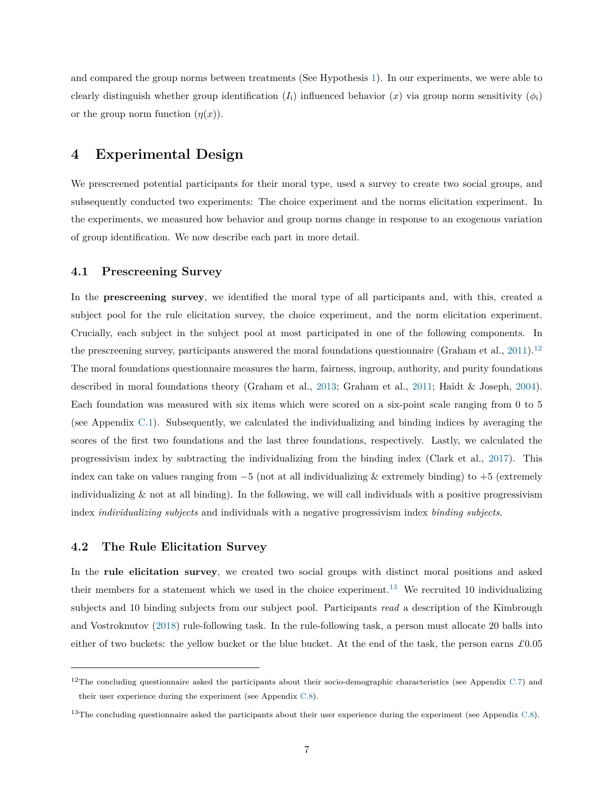and compared the group norms between treatments (See Hypothesis [1\)](#page-13-0). In our experiments, we were able to clearly distinguish whether group identification  $(I_i)$  influenced behavior  $(x)$  via group norm sensitivity  $(\phi_i)$ or the group norm function  $(\eta(x))$ .

# **4 Experimental Design**

We prescreened potential participants for their moral type, used a survey to create two social groups, and subsequently conducted two experiments: The choice experiment and the norms elicitation experiment. In the experiments, we measured how behavior and group norms change in response to an exogenous variation of group identification. We now describe each part in more detail.

## **4.1 Prescreening Survey**

In the **prescreening survey**, we identified the moral type of all participants and, with this, created a subject pool for the rule elicitation survey, the choice experiment, and the norm elicitation experiment. Crucially, each subject in the subject pool at most participated in one of the following components. In the prescreening survey, participants answered the moral foundations questionnaire (Graham et al.,  $2011$ ).<sup>[12](#page-7-0)</sup> The moral foundations questionnaire measures the harm, fairness, ingroup, authority, and purity foundations described in moral foundations theory (Graham et al., [2013;](#page-26-1) Graham et al., [2011;](#page-26-2) Haidt & Joseph, [2004\)](#page-26-3). Each foundation was measured with six items which were scored on a six-point scale ranging from 0 to 5 (see Appendix [C.1\)](#page-45-0). Subsequently, we calculated the individualizing and binding indices by averaging the scores of the first two foundations and the last three foundations, respectively. Lastly, we calculated the progressivism index by subtracting the individualizing from the binding index (Clark et al., [2017\)](#page-25-5). This index can take on values ranging from  $-5$  (not at all individualizing & extremely binding) to  $+5$  (extremely individualizing & not at all binding). In the following, we will call individuals with a positive progressivism index *individualizing subjects* and individuals with a negative progressivism index *binding subjects*.

## **4.2 The Rule Elicitation Survey**

In the **rule elicitation survey**, we created two social groups with distinct moral positions and asked their members for a statement which we used in the choice experiment.<sup>[13](#page-7-1)</sup> We recruited 10 individualizing subjects and 10 binding subjects from our subject pool. Participants *read* a description of the Kimbrough and Vostroknutov [\(2018\)](#page-27-4) rule-following task. In the rule-following task, a person must allocate 20 balls into either of two buckets: the yellow bucket or the blue bucket. At the end of the task, the person earns *£*0*.*05

<span id="page-7-0"></span><sup>&</sup>lt;sup>12</sup>The concluding questionnaire asked the participants about their socio-demographic characteristics (see Appendix  $C.\tau$ ) and their user experience during the experiment (see Appendix [C.8\)](#page-57-0).

<span id="page-7-1"></span><sup>&</sup>lt;sup>13</sup>The concluding questionnaire asked the participants about their user experience during the experiment (see Appendix  $C.8$ ).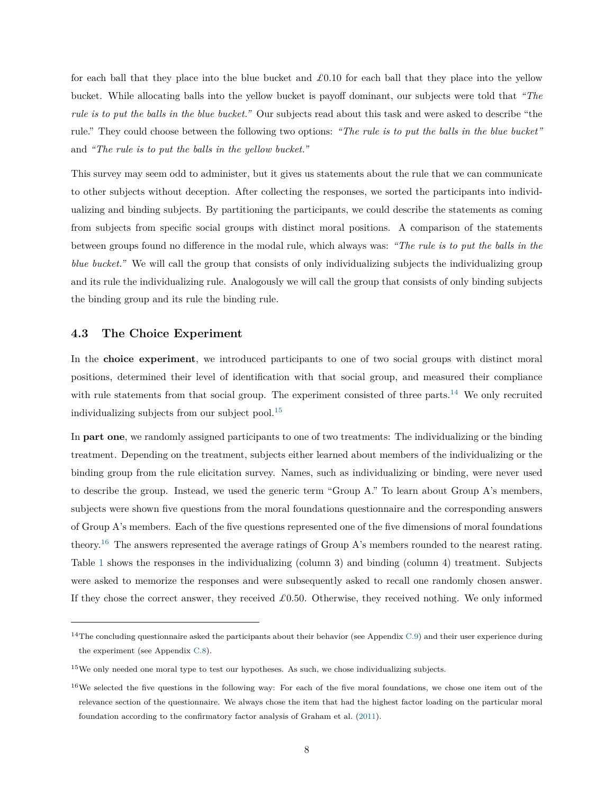for each ball that they place into the blue bucket and *£*0*.*10 for each ball that they place into the yellow bucket. While allocating balls into the yellow bucket is payoff dominant, our subjects were told that *"The rule is to put the balls in the blue bucket."* Our subjects read about this task and were asked to describe "the rule." They could choose between the following two options: *"The rule is to put the balls in the blue bucket"* and *"The rule is to put the balls in the yellow bucket."*

This survey may seem odd to administer, but it gives us statements about the rule that we can communicate to other subjects without deception. After collecting the responses, we sorted the participants into individualizing and binding subjects. By partitioning the participants, we could describe the statements as coming from subjects from specific social groups with distinct moral positions. A comparison of the statements between groups found no difference in the modal rule, which always was: *"The rule is to put the balls in the blue bucket."* We will call the group that consists of only individualizing subjects the individualizing group and its rule the individualizing rule. Analogously we will call the group that consists of only binding subjects the binding group and its rule the binding rule.

## **4.3 The Choice Experiment**

In the **choice experiment**, we introduced participants to one of two social groups with distinct moral positions, determined their level of identification with that social group, and measured their compliance with rule statements from that social group. The experiment consisted of three parts.<sup>[14](#page-8-0)</sup> We only recruited individualizing subjects from our subject pool.<sup>[15](#page-8-1)</sup>

In **part one**, we randomly assigned participants to one of two treatments: The individualizing or the binding treatment. Depending on the treatment, subjects either learned about members of the individualizing or the binding group from the rule elicitation survey. Names, such as individualizing or binding, were never used to describe the group. Instead, we used the generic term "Group A." To learn about Group A's members, subjects were shown five questions from the moral foundations questionnaire and the corresponding answers of Group A's members. Each of the five questions represented one of the five dimensions of moral foundations theory.<sup>[16](#page-8-2)</sup> The answers represented the average ratings of Group A's members rounded to the nearest rating. Table [1](#page-9-0) shows the responses in the individualizing (column 3) and binding (column 4) treatment. Subjects were asked to memorize the responses and were subsequently asked to recall one randomly chosen answer. If they chose the correct answer, they received *£*0*.*50. Otherwise, they received nothing. We only informed

<span id="page-8-0"></span><sup>&</sup>lt;sup>14</sup>The concluding questionnaire asked the participants about their behavior (see Appendix  $C.9$ ) and their user experience during the experiment (see Appendix [C.8\)](#page-57-0).

<span id="page-8-1"></span><sup>&</sup>lt;sup>15</sup>We only needed one moral type to test our hypotheses. As such, we chose individualizing subjects.

<span id="page-8-2"></span> $16\text{We selected the five questions in the following way: For each of the five moral foundations, we chose one item out of the$ relevance section of the questionnaire. We always chose the item that had the highest factor loading on the particular moral foundation according to the confirmatory factor analysis of Graham et al. [\(2011\)](#page-26-2).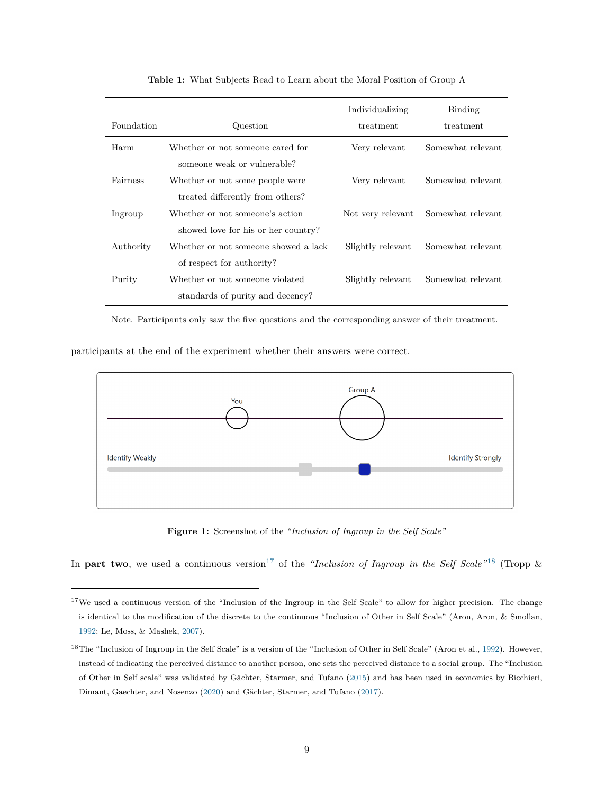<span id="page-9-0"></span>

|            |                                                                        | Individualizing   | Binding           |
|------------|------------------------------------------------------------------------|-------------------|-------------------|
| Foundation | Question                                                               | treatment         | treatment         |
| Harm       | Whether or not someone cared for<br>someone weak or vulnerable?        | Very relevant     | Somewhat relevant |
| Fairness   | Whether or not some people were<br>treated differently from others?    | Very relevant     | Somewhat relevant |
| Ingroup    | Whether or not someone's action<br>showed love for his or her country? | Not very relevant | Somewhat relevant |
| Authority  | Whether or not someone showed a lack<br>of respect for authority?      | Slightly relevant | Somewhat relevant |
| Purity     | Whether or not someone violated<br>standards of purity and decency?    | Slightly relevant | Somewhat relevant |

**Table 1:** What Subjects Read to Learn about the Moral Position of Group A

Note. Participants only saw the five questions and the corresponding answer of their treatment.

<span id="page-9-3"></span>participants at the end of the experiment whether their answers were correct.



**Figure 1:** Screenshot of the *"Inclusion of Ingroup in the Self Scale"*

In **part two**, we used a continuous version<sup>[17](#page-9-1)</sup> of the *"Inclusion of Ingroup in the Self Scale"* [18](#page-9-2) (Tropp  $\&$ 

<span id="page-9-1"></span><sup>&</sup>lt;sup>17</sup>We used a continuous version of the "Inclusion of the Ingroup in the Self Scale" to allow for higher precision. The change is identical to the modification of the discrete to the continuous "Inclusion of Other in Self Scale" (Aron, Aron, & Smollan, [1992;](#page-25-12) Le, Moss, & Mashek, [2007\)](#page-27-12).

<span id="page-9-2"></span><sup>&</sup>lt;sup>18</sup>The "Inclusion of Ingroup in the Self Scale" is a version of the "Inclusion of Other in Self Scale" (Aron et al., [1992\)](#page-25-12). However, instead of indicating the perceived distance to another person, one sets the perceived distance to a social group. The "Inclusion of Other in Self scale" was validated by Gächter, Starmer, and Tufano [\(2015\)](#page-26-10) and has been used in economics by Bicchieri, Dimant, Gaechter, and Nosenzo [\(2020\)](#page-25-13) and Gächter, Starmer, and Tufano [\(2017\)](#page-26-11).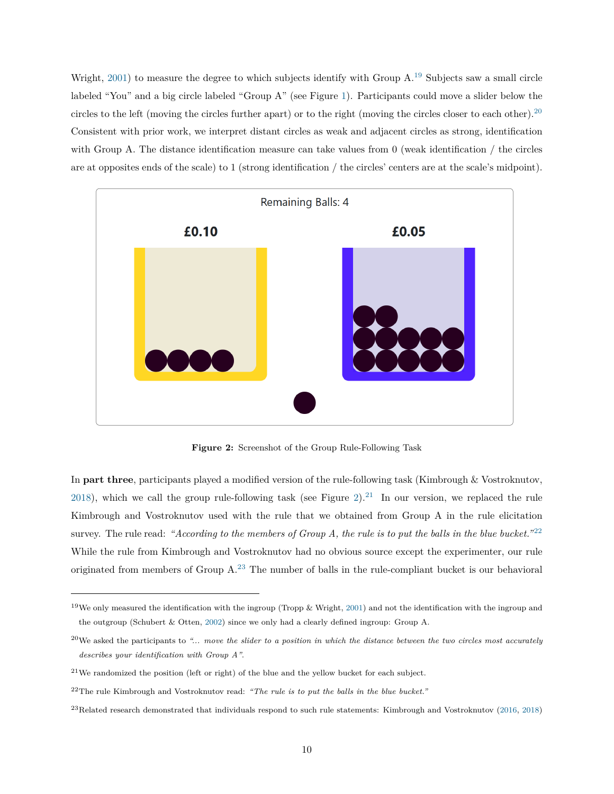Wright,  $2001$ ) to measure the degree to which subjects identify with Group  $A<sup>19</sup>$  $A<sup>19</sup>$  $A<sup>19</sup>$  Subjects saw a small circle labeled "You" and a big circle labeled "Group A" (see Figure [1\)](#page-9-3). Participants could move a slider below the circles to the left (moving the circles further apart) or to the right (moving the circles closer to each other).[20](#page-10-1) Consistent with prior work, we interpret distant circles as weak and adjacent circles as strong, identification with Group A. The distance identification measure can take values from 0 (weak identification / the circles are at opposites ends of the scale) to 1 (strong identification / the circles' centers are at the scale's midpoint).

<span id="page-10-2"></span>

**Figure 2:** Screenshot of the Group Rule-Following Task

In **part three**, participants played a modified version of the rule-following task (Kimbrough & Vostroknutov, [2018\)](#page-27-4), which we call the group rule-following task (see Figure [2\)](#page-10-2).<sup>[21](#page-10-3)</sup> In our version, we replaced the rule Kimbrough and Vostroknutov used with the rule that we obtained from Group A in the rule elicitation survey. The rule read: "According to the members of Group A, the rule is to put the balls in the blue bucket."<sup>[22](#page-10-4)</sup> While the rule from Kimbrough and Vostroknutov had no obvious source except the experimenter, our rule originated from members of Group A.[23](#page-10-5) The number of balls in the rule-compliant bucket is our behavioral

<span id="page-10-0"></span> $19$ We only measured the identification with the ingroup (Tropp & Wright, [2001\)](#page-28-3) and not the identification with the ingroup and the outgroup (Schubert & Otten, [2002\)](#page-28-8) since we only had a clearly defined ingroup: Group A.

<span id="page-10-1"></span><sup>20</sup>We asked the participants to *"... move the slider to a position in which the distance between the two circles most accurately describes your identification with Group A"*.

<span id="page-10-3"></span> $21$ We randomized the position (left or right) of the blue and the yellow bucket for each subject.

<span id="page-10-4"></span><sup>22</sup>The rule Kimbrough and Vostroknutov read: *"The rule is to put the balls in the blue bucket."*

<span id="page-10-5"></span> $^{23}$ Related research demonstrated that individuals respond to such rule statements: Kimbrough and Vostroknutov [\(2016,](#page-27-3) [2018\)](#page-27-4)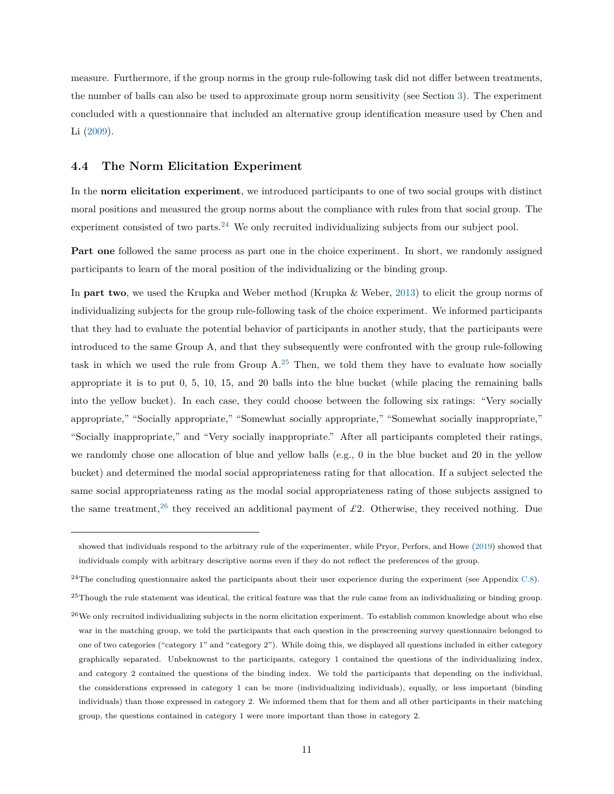measure. Furthermore, if the group norms in the group rule-following task did not differ between treatments, the number of balls can also be used to approximate group norm sensitivity (see Section [3\)](#page-5-5). The experiment concluded with a questionnaire that included an alternative group identification measure used by Chen and Li [\(2009\)](#page-25-7).

## **4.4 The Norm Elicitation Experiment**

In the **norm elicitation experiment**, we introduced participants to one of two social groups with distinct moral positions and measured the group norms about the compliance with rules from that social group. The experiment consisted of two parts.<sup>[24](#page-11-0)</sup> We only recruited individualizing subjects from our subject pool.

**Part one** followed the same process as part one in the choice experiment. In short, we randomly assigned participants to learn of the moral position of the individualizing or the binding group.

In **part two**, we used the Krupka and Weber method (Krupka & Weber, [2013\)](#page-27-5) to elicit the group norms of individualizing subjects for the group rule-following task of the choice experiment. We informed participants that they had to evaluate the potential behavior of participants in another study, that the participants were introduced to the same Group A, and that they subsequently were confronted with the group rule-following task in which we used the rule from Group  $A^{25}$  $A^{25}$  $A^{25}$  Then, we told them they have to evaluate how socially appropriate it is to put 0, 5, 10, 15, and 20 balls into the blue bucket (while placing the remaining balls into the yellow bucket). In each case, they could choose between the following six ratings: "Very socially appropriate," "Socially appropriate," "Somewhat socially appropriate," "Somewhat socially inappropriate," "Socially inappropriate," and "Very socially inappropriate." After all participants completed their ratings, we randomly chose one allocation of blue and yellow balls (e.g., 0 in the blue bucket and 20 in the yellow bucket) and determined the modal social appropriateness rating for that allocation. If a subject selected the same social appropriateness rating as the modal social appropriateness rating of those subjects assigned to the same treatment,<sup>[26](#page-11-2)</sup> they received an additional payment of  $\pounds$ 2. Otherwise, they received nothing. Due

showed that individuals respond to the arbitrary rule of the experimenter, while Pryor, Perfors, and Howe [\(2019\)](#page-28-9) showed that individuals comply with arbitrary descriptive norms even if they do not reflect the preferences of the group.

<span id="page-11-0"></span> $^{24}$ The concluding questionnaire asked the participants about their user experience during the experiment (see Appendix [C.8\)](#page-57-0).

<span id="page-11-1"></span> $^{25}$ Though the rule statement was identical, the critical feature was that the rule came from an individualizing or binding group.

<span id="page-11-2"></span> $^{26}$ We only recruited individualizing subjects in the norm elicitation experiment. To establish common knowledge about who else war in the matching group, we told the participants that each question in the prescreening survey questionnaire belonged to one of two categories ("category 1" and "category 2"). While doing this, we displayed all questions included in either category graphically separated. Unbeknownst to the participants, category 1 contained the questions of the individualizing index, and category 2 contained the questions of the binding index. We told the participants that depending on the individual, the considerations expressed in category 1 can be more (individualizing individuals), equally, or less important (binding individuals) than those expressed in category 2. We informed them that for them and all other participants in their matching group, the questions contained in category 1 were more important than those in category 2.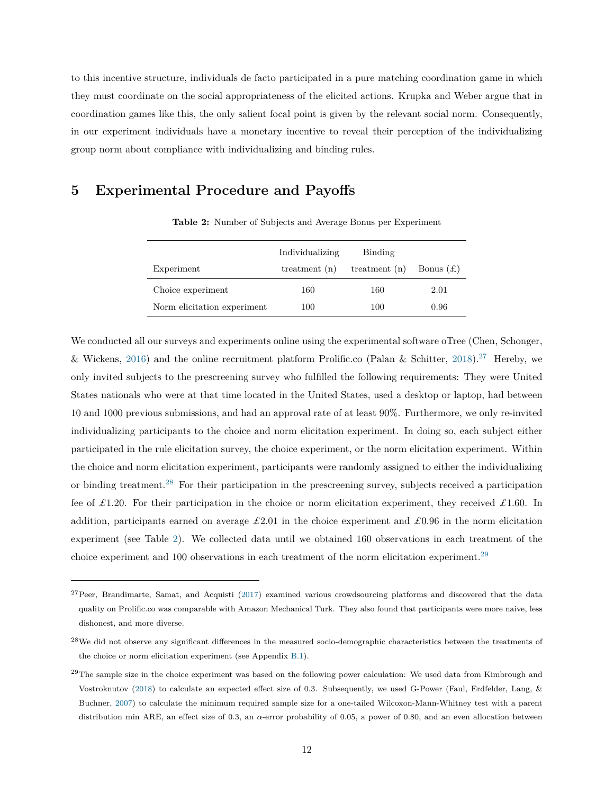to this incentive structure, individuals de facto participated in a pure matching coordination game in which they must coordinate on the social appropriateness of the elicited actions. Krupka and Weber argue that in coordination games like this, the only salient focal point is given by the relevant social norm. Consequently, in our experiment individuals have a monetary incentive to reveal their perception of the individualizing group norm about compliance with individualizing and binding rules.

# <span id="page-12-2"></span>**5 Experimental Procedure and Payoffs**

|                             | Individualizing | Binding         |             |
|-----------------------------|-----------------|-----------------|-------------|
| Experiment                  | treatment $(n)$ | treatment $(n)$ | Bonus $(f)$ |
| Choice experiment           | 160             | 160             | 2.01        |
| Norm elicitation experiment | 100             | 100             | 0.96        |

**Table 2:** Number of Subjects and Average Bonus per Experiment

We conducted all our surveys and experiments online using the experimental software oTree (Chen, Schonger, & Wickens, [2016\)](#page-25-14) and the online recruitment platform Prolific.co (Palan & Schitter, [2018\)](#page-28-10).<sup>[27](#page-12-0)</sup> Hereby, we only invited subjects to the prescreening survey who fulfilled the following requirements: They were United States nationals who were at that time located in the United States, used a desktop or laptop, had between 10 and 1000 previous submissions, and had an approval rate of at least 90%. Furthermore, we only re-invited individualizing participants to the choice and norm elicitation experiment. In doing so, each subject either participated in the rule elicitation survey, the choice experiment, or the norm elicitation experiment. Within the choice and norm elicitation experiment, participants were randomly assigned to either the individualizing or binding treatment.[28](#page-12-1) For their participation in the prescreening survey, subjects received a participation fee of  $\pounds$ 1.20. For their participation in the choice or norm elicitation experiment, they received  $\pounds$ 1.60. In addition, participants earned on average *£*2*.*01 in the choice experiment and *£*0*.*96 in the norm elicitation experiment (see Table [2\)](#page-12-2). We collected data until we obtained 160 observations in each treatment of the choice experiment and 100 observations in each treatment of the norm elicitation experiment.<sup>[29](#page-12-3)</sup>

<span id="page-12-0"></span> $27$ Peer, Brandimarte, Samat, and Acquisti [\(2017\)](#page-28-11) examined various crowdsourcing platforms and discovered that the data quality on Prolific.co was comparable with Amazon Mechanical Turk. They also found that participants were more naive, less dishonest, and more diverse.

<span id="page-12-1"></span> $28$ We did not observe any significant differences in the measured socio-demographic characteristics between the treatments of the choice or norm elicitation experiment (see Appendix [B.1\)](#page-32-0).

<span id="page-12-3"></span> $29$ The sample size in the choice experiment was based on the following power calculation: We used data from Kimbrough and Vostroknutov [\(2018\)](#page-27-4) to calculate an expected effect size of 0*.*3. Subsequently, we used G-Power (Faul, Erdfelder, Lang, & Buchner, [2007\)](#page-26-12) to calculate the minimum required sample size for a one-tailed Wilcoxon-Mann-Whitney test with a parent distribution min ARE, an effect size of 0*.*3, an *α*-error probability of 0*.*05, a power of 0.80, and an even allocation between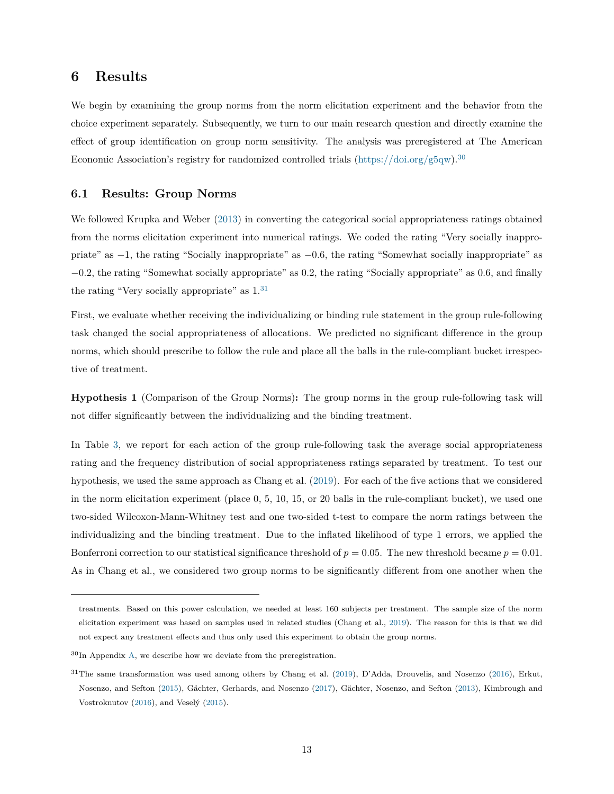# **6 Results**

We begin by examining the group norms from the norm elicitation experiment and the behavior from the choice experiment separately. Subsequently, we turn to our main research question and directly examine the effect of group identification on group norm sensitivity. The analysis was preregistered at The American Economic Association's registry for randomized controlled trials  $\frac{h}{k}$  [\(https://doi.org/g5qw\)](https://doi.org/g5qw).<sup>[30](#page-13-1)</sup>

## **6.1 Results: Group Norms**

We followed Krupka and Weber [\(2013\)](#page-27-5) in converting the categorical social appropriateness ratings obtained from the norms elicitation experiment into numerical ratings. We coded the rating "Very socially inappropriate" as −1, the rating "Socially inappropriate" as −0*.*6, the rating "Somewhat socially inappropriate" as −0*.*2, the rating "Somewhat socially appropriate" as 0*.*2, the rating "Socially appropriate" as 0*.*6, and finally the rating "Very socially appropriate" as  $1<sup>31</sup>$  $1<sup>31</sup>$  $1<sup>31</sup>$ 

First, we evaluate whether receiving the individualizing or binding rule statement in the group rule-following task changed the social appropriateness of allocations. We predicted no significant difference in the group norms, which should prescribe to follow the rule and place all the balls in the rule-compliant bucket irrespective of treatment.

<span id="page-13-0"></span>**Hypothesis 1** (Comparison of the Group Norms)**:** The group norms in the group rule-following task will not differ significantly between the individualizing and the binding treatment.

In Table [3,](#page-15-0) we report for each action of the group rule-following task the average social appropriateness rating and the frequency distribution of social appropriateness ratings separated by treatment. To test our hypothesis, we used the same approach as Chang et al. [\(2019\)](#page-25-1). For each of the five actions that we considered in the norm elicitation experiment (place 0, 5, 10, 15, or 20 balls in the rule-compliant bucket), we used one two-sided Wilcoxon-Mann-Whitney test and one two-sided t-test to compare the norm ratings between the individualizing and the binding treatment. Due to the inflated likelihood of type 1 errors, we applied the Bonferroni correction to our statistical significance threshold of  $p = 0.05$ . The new threshold became  $p = 0.01$ . As in Chang et al., we considered two group norms to be significantly different from one another when the

treatments. Based on this power calculation, we needed at least 160 subjects per treatment. The sample size of the norm elicitation experiment was based on samples used in related studies (Chang et al., [2019\)](#page-25-1). The reason for this is that we did not expect any treatment effects and thus only used this experiment to obtain the group norms.

<span id="page-13-1"></span> $30$ In Appendix [A,](#page-30-0) we describe how we deviate from the preregistration.

<span id="page-13-2"></span><sup>31</sup>The same transformation was used among others by Chang et al. [\(2019\)](#page-25-1), D'Adda, Drouvelis, and Nosenzo [\(2016\)](#page-25-15), Erkut, Nosenzo, and Sefton [\(2015\)](#page-26-13), Gächter, Gerhards, and Nosenzo [\(2017\)](#page-26-0), Gächter, Nosenzo, and Sefton [\(2013\)](#page-26-14), Kimbrough and Vostroknutov [\(2016\)](#page-27-3), and Veselý [\(2015\)](#page-28-12).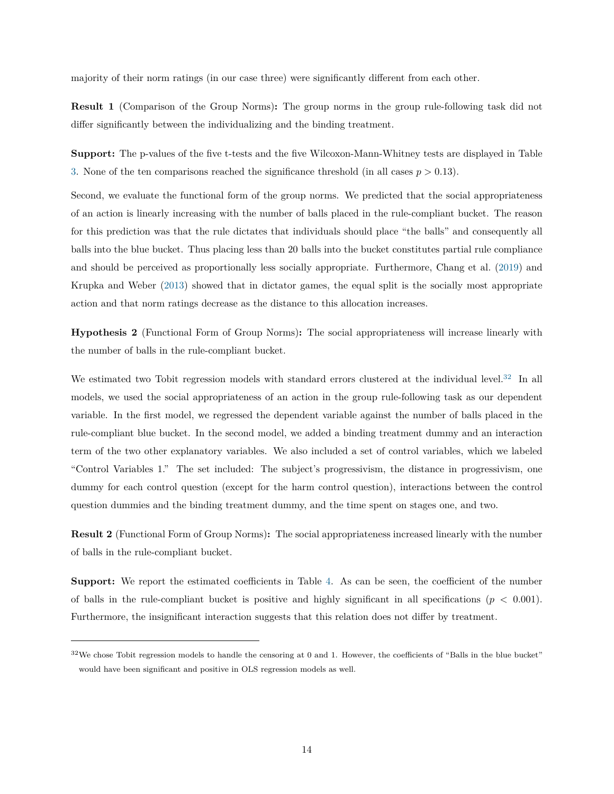majority of their norm ratings (in our case three) were significantly different from each other.

<span id="page-14-2"></span>**Result 1** (Comparison of the Group Norms)**:** The group norms in the group rule-following task did not differ significantly between the individualizing and the binding treatment.

**Support:** The p-values of the five t-tests and the five Wilcoxon-Mann-Whitney tests are displayed in Table [3.](#page-15-0) None of the ten comparisons reached the significance threshold (in all cases *p >* 0*.*13).

Second, we evaluate the functional form of the group norms. We predicted that the social appropriateness of an action is linearly increasing with the number of balls placed in the rule-compliant bucket. The reason for this prediction was that the rule dictates that individuals should place "the balls" and consequently all balls into the blue bucket. Thus placing less than 20 balls into the bucket constitutes partial rule compliance and should be perceived as proportionally less socially appropriate. Furthermore, Chang et al. [\(2019\)](#page-25-1) and Krupka and Weber [\(2013\)](#page-27-5) showed that in dictator games, the equal split is the socially most appropriate action and that norm ratings decrease as the distance to this allocation increases.

<span id="page-14-0"></span>**Hypothesis 2** (Functional Form of Group Norms)**:** The social appropriateness will increase linearly with the number of balls in the rule-compliant bucket.

We estimated two Tobit regression models with standard errors clustered at the individual level.<sup>[32](#page-14-1)</sup> In all models, we used the social appropriateness of an action in the group rule-following task as our dependent variable. In the first model, we regressed the dependent variable against the number of balls placed in the rule-compliant blue bucket. In the second model, we added a binding treatment dummy and an interaction term of the two other explanatory variables. We also included a set of control variables, which we labeled "Control Variables 1." The set included: The subject's progressivism, the distance in progressivism, one dummy for each control question (except for the harm control question), interactions between the control question dummies and the binding treatment dummy, and the time spent on stages one, and two.

<span id="page-14-3"></span>**Result 2** (Functional Form of Group Norms)**:** The social appropriateness increased linearly with the number of balls in the rule-compliant bucket.

**Support:** We report the estimated coefficients in Table [4.](#page-16-0) As can be seen, the coefficient of the number of balls in the rule-compliant bucket is positive and highly significant in all specifications ( $p < 0.001$ ). Furthermore, the insignificant interaction suggests that this relation does not differ by treatment.

<span id="page-14-1"></span> $32\text{We chose}$  Tobit regression models to handle the censoring at 0 and 1. However, the coefficients of "Balls in the blue bucket" would have been significant and positive in OLS regression models as well.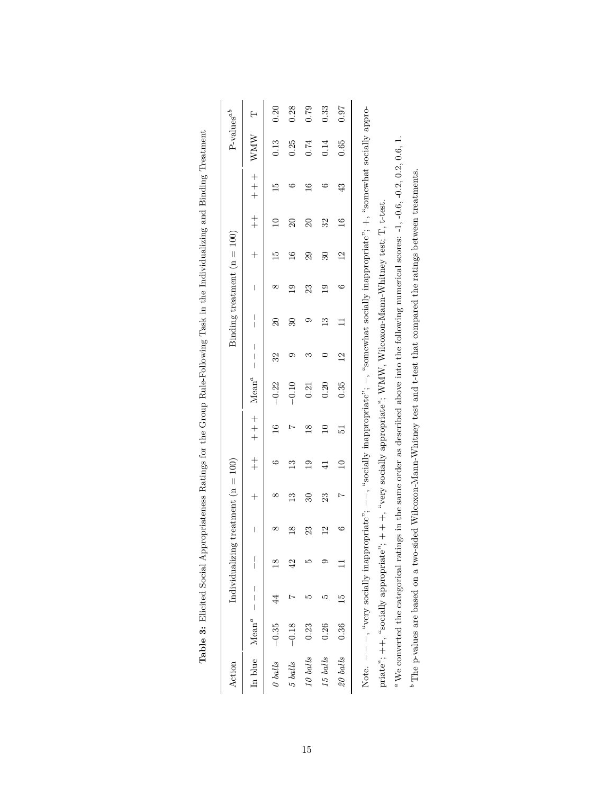<span id="page-15-0"></span>

| $Mean^a$<br>In blue  |    |                          | Individualizing treatment $(n = 100)$ |              |                 |                 |          |                                         |                     | Binding treatment $(n = 100)$ |                 |               |               |      | $P$ -values <sup>ab</sup> |
|----------------------|----|--------------------------|---------------------------------------|--------------|-----------------|-----------------|----------|-----------------------------------------|---------------------|-------------------------------|-----------------|---------------|---------------|------|---------------------------|
|                      |    | $\overline{\phantom{a}}$ | $\overline{\phantom{a}}$              | $^{+}$       | $rac{+}{+}$     | $+$             | $Mean^a$ | $\mid$<br>$\overline{\phantom{a}}$<br>Ī | $\overline{1}$      | $\overline{\phantom{a}}$      | $^{+}$          | $rac{+}{+}$   | $+$ $+$ $+$   | WMW  | Η                         |
| $-0.35$<br>O balls   |    |                          |                                       | ∞            |                 | $\frac{6}{1}$   | $-0.22$  | 32                                      | $\overline{\Omega}$ | ∞                             | $\frac{15}{1}$  |               | IJ            | 0.13 | 0.20                      |
| $-0.18$<br>$5$ balls |    | 42                       | $\frac{8}{1}$                         | $\mathbb{C}$ | $\mathbb{C}$    |                 | $-0.10$  | ග                                       | $\overline{30}$     | $\overline{0}$                | $\frac{6}{1}$   | $\mathbb{S}$  | ల             | 0.25 | 0.28                      |
| 0.23<br>10 balls     | مد | ນຕ                       | 23                                    | Z            | $\frac{0}{1}$   | $\frac{8}{10}$  | 0.21     | S                                       |                     | 23                            | 29              | $\Omega$      | $\frac{6}{1}$ | 0.74 | 0.79                      |
| 0.26<br>15 balls     | ഥ  | σ.                       | $\mathbf{C}$                          | 23           | $\frac{1}{4}$   | $\overline{10}$ | 0.20     |                                         | $\frac{3}{2}$       | $\overline{19}$               | $\overline{30}$ | 32            | ు             | 0.14 | 0.33                      |
| 0.36<br>20 balls     | 15 |                          | అ                                     |              | $\overline{10}$ | 51              | 0.35     | $\overline{2}$                          |                     | C                             | $^{12}$         | $\frac{6}{1}$ | 43            | 0.65 | 0.97                      |

| i                                                                                                                                                                   |  |
|---------------------------------------------------------------------------------------------------------------------------------------------------------------------|--|
| ļ                                                                                                                                                                   |  |
| I                                                                                                                                                                   |  |
|                                                                                                                                                                     |  |
|                                                                                                                                                                     |  |
| l                                                                                                                                                                   |  |
|                                                                                                                                                                     |  |
|                                                                                                                                                                     |  |
| į                                                                                                                                                                   |  |
| j                                                                                                                                                                   |  |
| .<br>.<br>.<br>.<br>l                                                                                                                                               |  |
|                                                                                                                                                                     |  |
|                                                                                                                                                                     |  |
|                                                                                                                                                                     |  |
| I                                                                                                                                                                   |  |
| I<br>֠                                                                                                                                                              |  |
| ֖֖֖֖֖֖֖ׅ֖֧ׅ֖֖֖֧֪֪֪֪ׅ֖֧֪ׅ֖֧֪֪֪֪֪֪֪֪֪֪֪֪֪֪֪֪֪֪֪֪֪֪֪֪֪֪֪֪֪֚֚֚֚֚֚֚֚֚֚֚֚֚֚֚֚֚֚֚֚֚֚֚֚֚֚֚֚֚֚֚֚֚֚֬֝֝֝֓֞֝֬֝<br>ׇ֖֖֖֖֖֖֖ׅׅׅ֖֖֧֪֪֪֪ׅ֪֪ׅ֧֚֚֚֚֚֚֚֚֚֚֚֚֚֚֚֚֚֚֚֚֚֚֚֚֚֚֡֝֬֝֬֓֡֞֬֝֓֞ |  |
| į                                                                                                                                                                   |  |
| $\overline{\phantom{a}}$                                                                                                                                            |  |
| I                                                                                                                                                                   |  |
| l<br>ļ<br>ׇׇ֚֠֕<br>j                                                                                                                                                |  |
| ׇ֚֚֘֝                                                                                                                                                               |  |
| ۱                                                                                                                                                                   |  |
|                                                                                                                                                                     |  |
| ֘֒                                                                                                                                                                  |  |
| ١                                                                                                                                                                   |  |
| $\ddot{\phantom{a}}$<br>l<br>l                                                                                                                                      |  |
| l<br>J                                                                                                                                                              |  |
| l                                                                                                                                                                   |  |
| $\frac{1}{2}$                                                                                                                                                       |  |
| l<br>l                                                                                                                                                              |  |
| í<br>ı                                                                                                                                                              |  |
| l                                                                                                                                                                   |  |
| $\frac{1}{2}$<br>¢                                                                                                                                                  |  |
| 2                                                                                                                                                                   |  |
| l<br>$\frac{1}{2}$                                                                                                                                                  |  |
| .<br>.<br>.<br>.<br>                                                                                                                                                |  |
| ÿ,                                                                                                                                                                  |  |
| $\frac{1}{2}$<br>¢                                                                                                                                                  |  |
| .<br>احاد 17                                                                                                                                                        |  |
|                                                                                                                                                                     |  |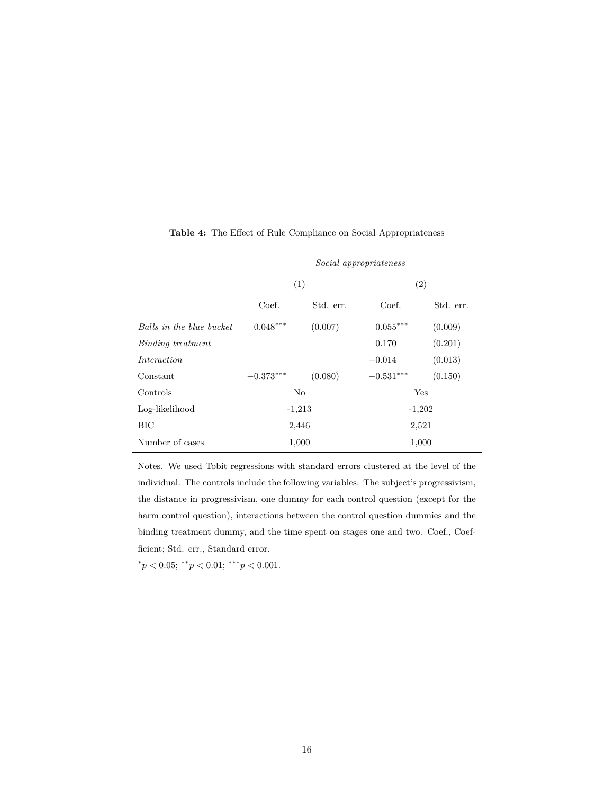<span id="page-16-0"></span>

|                          |             |           | Social appropriateness |           |  |
|--------------------------|-------------|-----------|------------------------|-----------|--|
|                          | (1)         |           | $\left( 2\right)$      |           |  |
|                          | Coef.       | Std. err. | Coef.                  | Std. err. |  |
| Balls in the blue bucket | $0.048***$  | (0.007)   | $0.055***$             | (0.009)   |  |
| Binding treatment        |             |           | 0.170                  | (0.201)   |  |
| Interaction              |             |           | $-0.014$               | (0.013)   |  |
| Constant                 | $-0.373***$ | (0.080)   | $-0.531***$            | (0.150)   |  |
| Controls                 | No          |           | Yes                    |           |  |
| Log-likelihood           | $-1,213$    |           | $-1,202$               |           |  |
| BIC                      | 2,446       |           | 2,521                  |           |  |
| Number of cases          | 1,000       |           | 1,000                  |           |  |

**Table 4:** The Effect of Rule Compliance on Social Appropriateness

Notes. We used Tobit regressions with standard errors clustered at the level of the individual. The controls include the following variables: The subject's progressivism, the distance in progressivism, one dummy for each control question (except for the harm control question), interactions between the control question dummies and the binding treatment dummy, and the time spent on stages one and two. Coef., Coefficient; Std. err., Standard error.

 $p < 0.05;$  \*\* $p < 0.01;$  \*\*\* $p < 0.001$ .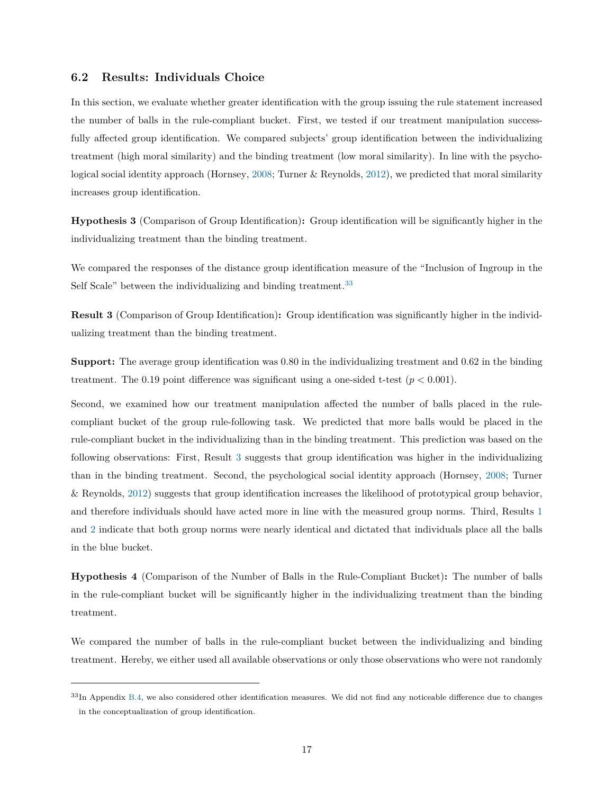## **6.2 Results: Individuals Choice**

In this section, we evaluate whether greater identification with the group issuing the rule statement increased the number of balls in the rule-compliant bucket. First, we tested if our treatment manipulation successfully affected group identification. We compared subjects' group identification between the individualizing treatment (high moral similarity) and the binding treatment (low moral similarity). In line with the psychological social identity approach (Hornsey, [2008;](#page-27-1) Turner & Reynolds, [2012\)](#page-28-2), we predicted that moral similarity increases group identification.

<span id="page-17-1"></span>**Hypothesis 3** (Comparison of Group Identification)**:** Group identification will be significantly higher in the individualizing treatment than the binding treatment.

We compared the responses of the distance group identification measure of the "Inclusion of Ingroup in the Self Scale" between the individualizing and binding treatment.<sup>[33](#page-17-2)</sup>

<span id="page-17-3"></span>**Result 3** (Comparison of Group Identification)**:** Group identification was significantly higher in the individualizing treatment than the binding treatment.

**Support:** The average group identification was 0*.*80 in the individualizing treatment and 0*.*62 in the binding treatment. The 0.19 point difference was significant using a one-sided t-test  $(p < 0.001)$ .

Second, we examined how our treatment manipulation affected the number of balls placed in the rulecompliant bucket of the group rule-following task. We predicted that more balls would be placed in the rule-compliant bucket in the individualizing than in the binding treatment. This prediction was based on the following observations: First, Result [3](#page-17-3) suggests that group identification was higher in the individualizing than in the binding treatment. Second, the psychological social identity approach (Hornsey, [2008;](#page-27-1) Turner & Reynolds, [2012\)](#page-28-2) suggests that group identification increases the likelihood of prototypical group behavior, and therefore individuals should have acted more in line with the measured group norms. Third, Results [1](#page-14-2) and [2](#page-14-3) indicate that both group norms were nearly identical and dictated that individuals place all the balls in the blue bucket.

<span id="page-17-0"></span>**Hypothesis 4** (Comparison of the Number of Balls in the Rule-Compliant Bucket)**:** The number of balls in the rule-compliant bucket will be significantly higher in the individualizing treatment than the binding treatment.

We compared the number of balls in the rule-compliant bucket between the individualizing and binding treatment. Hereby, we either used all available observations or only those observations who were not randomly

<span id="page-17-2"></span> $33$ In Appendix [B.4,](#page-40-0) we also considered other identification measures. We did not find any noticeable difference due to changes in the conceptualization of group identification.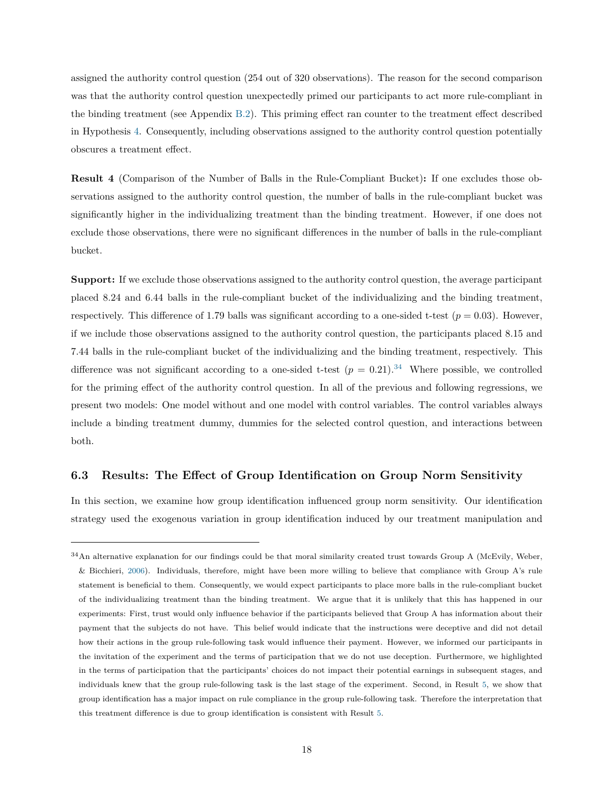assigned the authority control question (254 out of 320 observations). The reason for the second comparison was that the authority control question unexpectedly primed our participants to act more rule-compliant in the binding treatment (see Appendix [B.2\)](#page-35-0). This priming effect ran counter to the treatment effect described in Hypothesis [4.](#page-17-0) Consequently, including observations assigned to the authority control question potentially obscures a treatment effect.

**Result 4** (Comparison of the Number of Balls in the Rule-Compliant Bucket)**:** If one excludes those observations assigned to the authority control question, the number of balls in the rule-compliant bucket was significantly higher in the individualizing treatment than the binding treatment. However, if one does not exclude those observations, there were no significant differences in the number of balls in the rule-compliant bucket.

**Support:** If we exclude those observations assigned to the authority control question, the average participant placed 8*.*24 and 6*.*44 balls in the rule-compliant bucket of the individualizing and the binding treatment, respectively. This difference of 1.79 balls was significant according to a one-sided t-test  $(p = 0.03)$ . However, if we include those observations assigned to the authority control question, the participants placed 8*.*15 and 7*.*44 balls in the rule-compliant bucket of the individualizing and the binding treatment, respectively. This difference was not significant according to a one-sided t-test  $(p = 0.21).^{34}$  $(p = 0.21).^{34}$  $(p = 0.21).^{34}$  Where possible, we controlled for the priming effect of the authority control question. In all of the previous and following regressions, we present two models: One model without and one model with control variables. The control variables always include a binding treatment dummy, dummies for the selected control question, and interactions between both.

## **6.3 Results: The Effect of Group Identification on Group Norm Sensitivity**

In this section, we examine how group identification influenced group norm sensitivity. Our identification strategy used the exogenous variation in group identification induced by our treatment manipulation and

<span id="page-18-0"></span><sup>&</sup>lt;sup>34</sup>An alternative explanation for our findings could be that moral similarity created trust towards Group A (McEvily, Weber, & Bicchieri, [2006\)](#page-28-13). Individuals, therefore, might have been more willing to believe that compliance with Group A's rule statement is beneficial to them. Consequently, we would expect participants to place more balls in the rule-compliant bucket of the individualizing treatment than the binding treatment. We argue that it is unlikely that this has happened in our experiments: First, trust would only influence behavior if the participants believed that Group A has information about their payment that the subjects do not have. This belief would indicate that the instructions were deceptive and did not detail how their actions in the group rule-following task would influence their payment. However, we informed our participants in the invitation of the experiment and the terms of participation that we do not use deception. Furthermore, we highlighted in the terms of participation that the participants' choices do not impact their potential earnings in subsequent stages, and individuals knew that the group rule-following task is the last stage of the experiment. Second, in Result [5,](#page-19-1) we show that group identification has a major impact on rule compliance in the group rule-following task. Therefore the interpretation that this treatment difference is due to group identification is consistent with Result [5.](#page-19-1)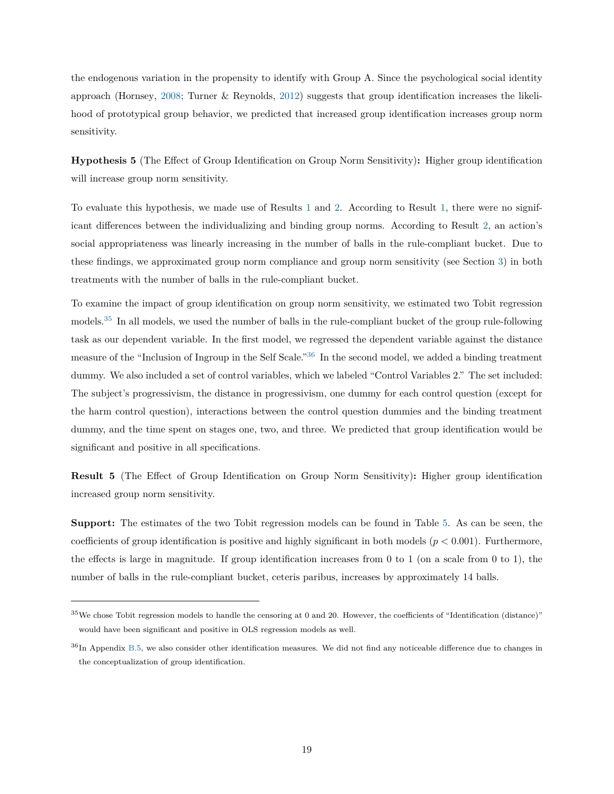the endogenous variation in the propensity to identify with Group A. Since the psychological social identity approach (Hornsey, [2008;](#page-27-1) Turner & Reynolds, [2012\)](#page-28-2) suggests that group identification increases the likelihood of prototypical group behavior, we predicted that increased group identification increases group norm sensitivity.

<span id="page-19-0"></span>**Hypothesis 5** (The Effect of Group Identification on Group Norm Sensitivity)**:** Higher group identification will increase group norm sensitivity.

To evaluate this hypothesis, we made use of Results [1](#page-14-2) and [2.](#page-14-3) According to Result [1,](#page-14-2) there were no significant differences between the individualizing and binding group norms. According to Result [2,](#page-14-3) an action's social appropriateness was linearly increasing in the number of balls in the rule-compliant bucket. Due to these findings, we approximated group norm compliance and group norm sensitivity (see Section [3\)](#page-5-5) in both treatments with the number of balls in the rule-compliant bucket.

To examine the impact of group identification on group norm sensitivity, we estimated two Tobit regression models.[35](#page-19-2) In all models, we used the number of balls in the rule-compliant bucket of the group rule-following task as our dependent variable. In the first model, we regressed the dependent variable against the distance measure of the "Inclusion of Ingroup in the Self Scale."[36](#page-19-3) In the second model, we added a binding treatment dummy. We also included a set of control variables, which we labeled "Control Variables 2." The set included: The subject's progressivism, the distance in progressivism, one dummy for each control question (except for the harm control question), interactions between the control question dummies and the binding treatment dummy, and the time spent on stages one, two, and three. We predicted that group identification would be significant and positive in all specifications.

<span id="page-19-1"></span>**Result 5** (The Effect of Group Identification on Group Norm Sensitivity)**:** Higher group identification increased group norm sensitivity.

**Support:** The estimates of the two Tobit regression models can be found in Table [5.](#page-20-1) As can be seen, the coefficients of group identification is positive and highly significant in both models (*p <* 0*.*001). Furthermore, the effects is large in magnitude. If group identification increases from  $0$  to  $1$  (on a scale from  $0$  to  $1$ ), the number of balls in the rule-compliant bucket, ceteris paribus, increases by approximately 14 balls.

<span id="page-19-2"></span> $35$ We chose Tobit regression models to handle the censoring at 0 and 20. However, the coefficients of "Identification (distance)" would have been significant and positive in OLS regression models as well.

<span id="page-19-3"></span> $36$ In Appendix [B.5,](#page-40-1) we also consider other identification measures. We did not find any noticeable difference due to changes in the conceptualization of group identification.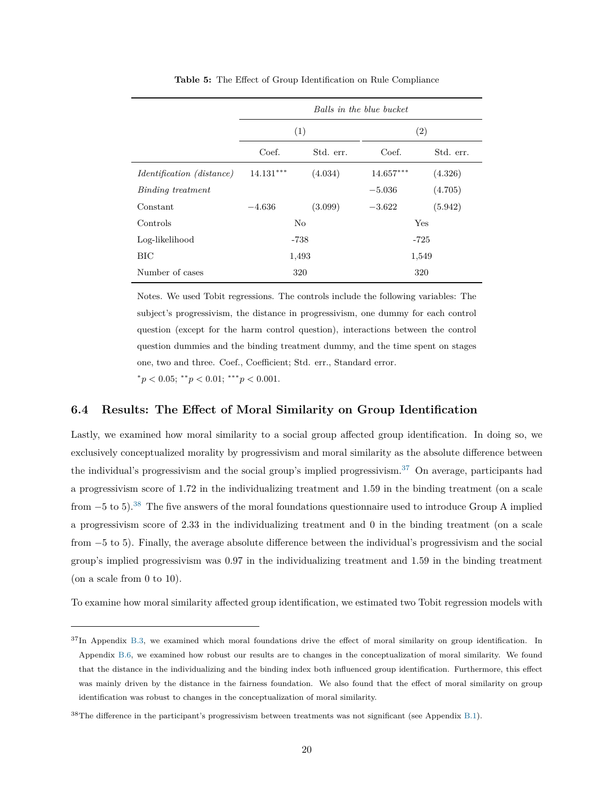<span id="page-20-1"></span>

|                                  |             |           | Balls in the blue bucket |           |
|----------------------------------|-------------|-----------|--------------------------|-----------|
|                                  |             | (1)       |                          | (2)       |
|                                  | Coef.       | Std. err. | Coef.                    | Std. err. |
| <i>Identification (distance)</i> | $14.131***$ | (4.034)   | $14.657***$              | (4.326)   |
| Binding treatment                |             |           | $-5.036$                 | (4.705)   |
| Constant                         | $-4.636$    | (3.099)   | $-3.622$                 | (5.942)   |
| Controls                         |             | No        | Yes                      |           |
| Log-likelihood                   |             | $-738$    | $-725$                   |           |
| BIC                              |             | 1,493     | 1,549                    |           |
| Number of cases                  |             | 320       | 320                      |           |

**Table 5:** The Effect of Group Identification on Rule Compliance

Notes. We used Tobit regressions. The controls include the following variables: The subject's progressivism, the distance in progressivism, one dummy for each control question (except for the harm control question), interactions between the control question dummies and the binding treatment dummy, and the time spent on stages one, two and three. Coef., Coefficient; Std. err., Standard error.  $p < 0.05$ ;  $\binom{*}{p} < 0.01$ ;  $\binom{*}{p} < 0.001$ .

## <span id="page-20-0"></span>**6.4 Results: The Effect of Moral Similarity on Group Identification**

Lastly, we examined how moral similarity to a social group affected group identification. In doing so, we exclusively conceptualized morality by progressivism and moral similarity as the absolute difference between the individual's progressivism and the social group's implied progressivism.<sup>[37](#page-20-2)</sup> On average, participants had a progressivism score of 1*.*72 in the individualizing treatment and 1*.*59 in the binding treatment (on a scale from  $-5$  to 5).<sup>[38](#page-20-3)</sup> The five answers of the moral foundations questionnaire used to introduce Group A implied a progressivism score of 2*.*33 in the individualizing treatment and 0 in the binding treatment (on a scale from −5 to 5). Finally, the average absolute difference between the individual's progressivism and the social group's implied progressivism was 0*.*97 in the individualizing treatment and 1*.*59 in the binding treatment (on a scale from 0 to 10).

To examine how moral similarity affected group identification, we estimated two Tobit regression models with

<span id="page-20-2"></span><sup>&</sup>lt;sup>37</sup>In Appendix [B.3,](#page-37-0) we examined which moral foundations drive the effect of moral similarity on group identification. In Appendix [B.6,](#page-42-0) we examined how robust our results are to changes in the conceptualization of moral similarity. We found that the distance in the individualizing and the binding index both influenced group identification. Furthermore, this effect was mainly driven by the distance in the fairness foundation. We also found that the effect of moral similarity on group identification was robust to changes in the conceptualization of moral similarity.

<span id="page-20-3"></span><sup>38</sup>The difference in the participant's progressivism between treatments was not significant (see Appendix [B.1\)](#page-32-0).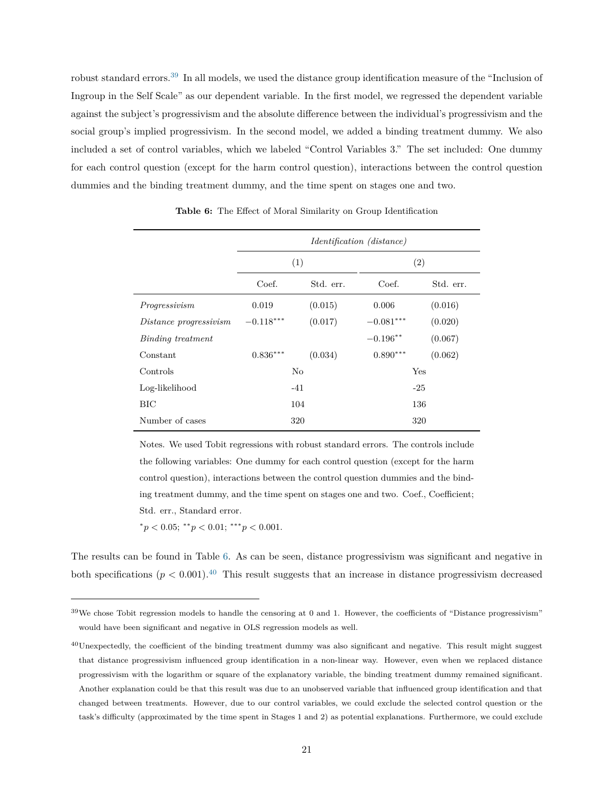robust standard errors.[39](#page-21-0) In all models, we used the distance group identification measure of the "Inclusion of Ingroup in the Self Scale" as our dependent variable. In the first model, we regressed the dependent variable against the subject's progressivism and the absolute difference between the individual's progressivism and the social group's implied progressivism. In the second model, we added a binding treatment dummy. We also included a set of control variables, which we labeled "Control Variables 3." The set included: One dummy for each control question (except for the harm control question), interactions between the control question dummies and the binding treatment dummy, and the time spent on stages one and two.

<span id="page-21-1"></span>

|                        |             |           | <i>Identification (distance)</i> |           |
|------------------------|-------------|-----------|----------------------------------|-----------|
|                        | (1)         |           | (2)                              |           |
|                        | Coef.       | Std. err. | Coef.                            | Std. err. |
| Progressivism          | 0.019       | (0.015)   | 0.006                            | (0.016)   |
| Distance progressivism | $-0.118***$ | (0.017)   | $-0.081***$                      | (0.020)   |
| Binding treatment      |             |           | $-0.196**$                       | (0.067)   |
| Constant               | $0.836***$  | (0.034)   | $0.890***$                       | (0.062)   |
| Controls               | No          |           | Yes                              |           |
| Log-likelihood         | $-41$       |           | $-25$                            |           |
| BIC                    | 104         |           | 136                              |           |
| Number of cases        | 320         |           | 320                              |           |

**Table 6:** The Effect of Moral Similarity on Group Identification

Notes. We used Tobit regressions with robust standard errors. The controls include the following variables: One dummy for each control question (except for the harm control question), interactions between the control question dummies and the binding treatment dummy, and the time spent on stages one and two. Coef., Coefficient; Std. err., Standard error.

 $p < 0.05$ ;  $\binom{*}{p} < 0.01$ ;  $\binom{*}{p} < 0.001$ .

The results can be found in Table [6.](#page-21-1) As can be seen, distance progressivism was significant and negative in both specifications  $(p < 0.001)$ .<sup>[40](#page-21-2)</sup> This result suggests that an increase in distance progressivism decreased

<span id="page-21-0"></span> $39\text{We chose}$  Tobit regression models to handle the censoring at 0 and 1. However, the coefficients of "Distance progressivism" would have been significant and negative in OLS regression models as well.

<span id="page-21-2"></span><sup>&</sup>lt;sup>40</sup>Unexpectedly, the coefficient of the binding treatment dummy was also significant and negative. This result might suggest that distance progressivism influenced group identification in a non-linear way. However, even when we replaced distance progressivism with the logarithm or square of the explanatory variable, the binding treatment dummy remained significant. Another explanation could be that this result was due to an unobserved variable that influenced group identification and that changed between treatments. However, due to our control variables, we could exclude the selected control question or the task's difficulty (approximated by the time spent in Stages 1 and 2) as potential explanations. Furthermore, we could exclude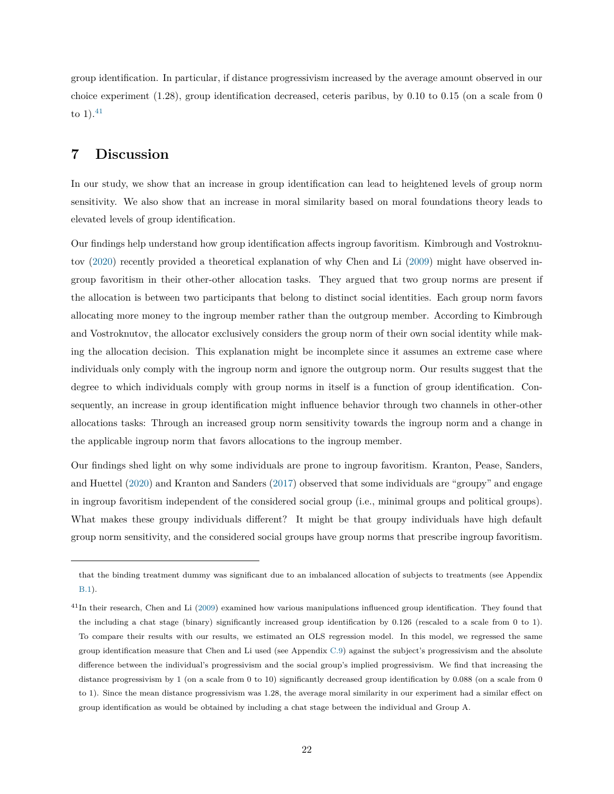group identification. In particular, if distance progressivism increased by the average amount observed in our choice experiment (1*.*28), group identification decreased, ceteris paribus, by 0*.*10 to 0*.*15 (on a scale from 0 to  $1$ ).<sup>[41](#page-22-0)</sup>

# **7 Discussion**

In our study, we show that an increase in group identification can lead to heightened levels of group norm sensitivity. We also show that an increase in moral similarity based on moral foundations theory leads to elevated levels of group identification.

Our findings help understand how group identification affects ingroup favoritism. Kimbrough and Vostroknutov [\(2020\)](#page-27-9) recently provided a theoretical explanation of why Chen and Li [\(2009\)](#page-25-7) might have observed ingroup favoritism in their other-other allocation tasks. They argued that two group norms are present if the allocation is between two participants that belong to distinct social identities. Each group norm favors allocating more money to the ingroup member rather than the outgroup member. According to Kimbrough and Vostroknutov, the allocator exclusively considers the group norm of their own social identity while making the allocation decision. This explanation might be incomplete since it assumes an extreme case where individuals only comply with the ingroup norm and ignore the outgroup norm. Our results suggest that the degree to which individuals comply with group norms in itself is a function of group identification. Consequently, an increase in group identification might influence behavior through two channels in other-other allocations tasks: Through an increased group norm sensitivity towards the ingroup norm and a change in the applicable ingroup norm that favors allocations to the ingroup member.

Our findings shed light on why some individuals are prone to ingroup favoritism. Kranton, Pease, Sanders, and Huettel [\(2020\)](#page-27-13) and Kranton and Sanders [\(2017\)](#page-27-14) observed that some individuals are "groupy" and engage in ingroup favoritism independent of the considered social group (i.e., minimal groups and political groups). What makes these groupy individuals different? It might be that groupy individuals have high default group norm sensitivity, and the considered social groups have group norms that prescribe ingroup favoritism.

that the binding treatment dummy was significant due to an imbalanced allocation of subjects to treatments (see Appendix [B.1\)](#page-32-0).

<span id="page-22-0"></span> $41$ In their research, Chen and Li [\(2009\)](#page-25-7) examined how various manipulations influenced group identification. They found that the including a chat stage (binary) significantly increased group identification by 0*.*126 (rescaled to a scale from 0 to 1). To compare their results with our results, we estimated an OLS regression model. In this model, we regressed the same group identification measure that Chen and Li used (see Appendix [C.9\)](#page-58-0) against the subject's progressivism and the absolute difference between the individual's progressivism and the social group's implied progressivism. We find that increasing the distance progressivism by 1 (on a scale from 0 to 10) significantly decreased group identification by 0*.*088 (on a scale from 0 to 1). Since the mean distance progressivism was 1*.*28, the average moral similarity in our experiment had a similar effect on group identification as would be obtained by including a chat stage between the individual and Group A.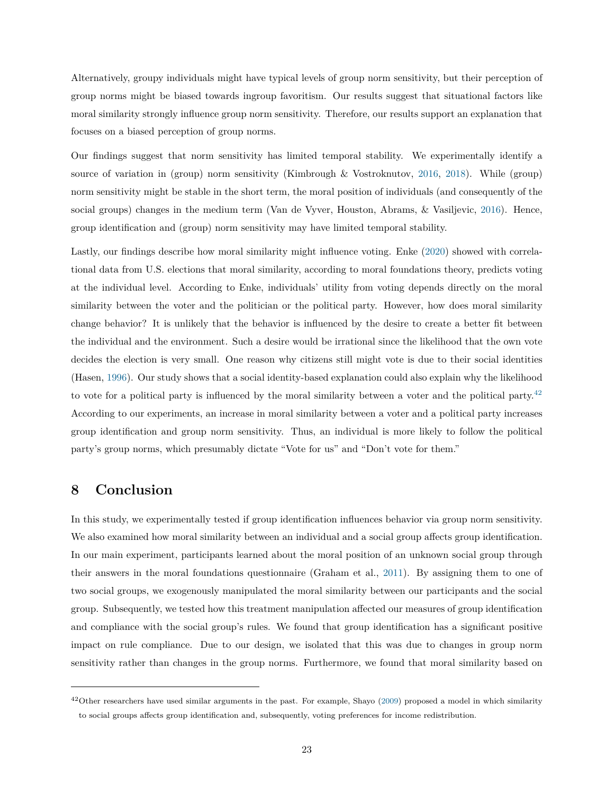Alternatively, groupy individuals might have typical levels of group norm sensitivity, but their perception of group norms might be biased towards ingroup favoritism. Our results suggest that situational factors like moral similarity strongly influence group norm sensitivity. Therefore, our results support an explanation that focuses on a biased perception of group norms.

Our findings suggest that norm sensitivity has limited temporal stability. We experimentally identify a source of variation in (group) norm sensitivity (Kimbrough & Vostroknutov, [2016,](#page-27-3) [2018\)](#page-27-4). While (group) norm sensitivity might be stable in the short term, the moral position of individuals (and consequently of the social groups) changes in the medium term (Van de Vyver, Houston, Abrams, & Vasiljevic, [2016\)](#page-28-14). Hence, group identification and (group) norm sensitivity may have limited temporal stability.

Lastly, our findings describe how moral similarity might influence voting. Enke [\(2020\)](#page-26-7) showed with correlational data from U.S. elections that moral similarity, according to moral foundations theory, predicts voting at the individual level. According to Enke, individuals' utility from voting depends directly on the moral similarity between the voter and the politician or the political party. However, how does moral similarity change behavior? It is unlikely that the behavior is influenced by the desire to create a better fit between the individual and the environment. Such a desire would be irrational since the likelihood that the own vote decides the election is very small. One reason why citizens still might vote is due to their social identities (Hasen, [1996\)](#page-27-15). Our study shows that a social identity-based explanation could also explain why the likelihood to vote for a political party is influenced by the moral similarity between a voter and the political party.<sup>[42](#page-23-0)</sup> According to our experiments, an increase in moral similarity between a voter and a political party increases group identification and group norm sensitivity. Thus, an individual is more likely to follow the political party's group norms, which presumably dictate "Vote for us" and "Don't vote for them."

# **8 Conclusion**

In this study, we experimentally tested if group identification influences behavior via group norm sensitivity. We also examined how moral similarity between an individual and a social group affects group identification. In our main experiment, participants learned about the moral position of an unknown social group through their answers in the moral foundations questionnaire (Graham et al., [2011\)](#page-26-2). By assigning them to one of two social groups, we exogenously manipulated the moral similarity between our participants and the social group. Subsequently, we tested how this treatment manipulation affected our measures of group identification and compliance with the social group's rules. We found that group identification has a significant positive impact on rule compliance. Due to our design, we isolated that this was due to changes in group norm sensitivity rather than changes in the group norms. Furthermore, we found that moral similarity based on

<span id="page-23-0"></span> $^{42}$ Other researchers have used similar arguments in the past. For example, Shayo [\(2009\)](#page-28-7) proposed a model in which similarity to social groups affects group identification and, subsequently, voting preferences for income redistribution.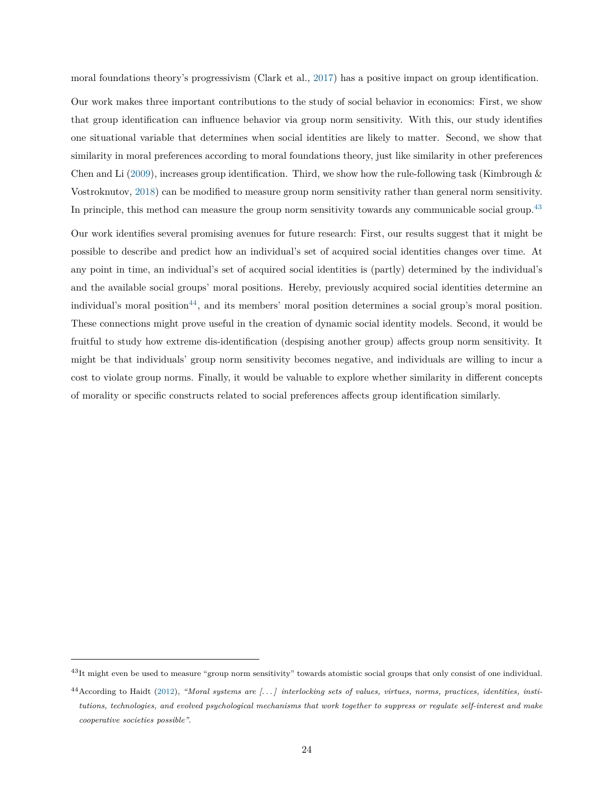moral foundations theory's progressivism (Clark et al., [2017\)](#page-25-5) has a positive impact on group identification.

Our work makes three important contributions to the study of social behavior in economics: First, we show that group identification can influence behavior via group norm sensitivity. With this, our study identifies one situational variable that determines when social identities are likely to matter. Second, we show that similarity in moral preferences according to moral foundations theory, just like similarity in other preferences Chen and Li [\(2009\)](#page-25-7), increases group identification. Third, we show how the rule-following task (Kimbrough  $\&$ Vostroknutov, [2018\)](#page-27-4) can be modified to measure group norm sensitivity rather than general norm sensitivity. In principle, this method can measure the group norm sensitivity towards any communicable social group.<sup>[43](#page-24-0)</sup>

Our work identifies several promising avenues for future research: First, our results suggest that it might be possible to describe and predict how an individual's set of acquired social identities changes over time. At any point in time, an individual's set of acquired social identities is (partly) determined by the individual's and the available social groups' moral positions. Hereby, previously acquired social identities determine an individual's moral position<sup>[44](#page-24-1)</sup>, and its members' moral position determines a social group's moral position. These connections might prove useful in the creation of dynamic social identity models. Second, it would be fruitful to study how extreme dis-identification (despising another group) affects group norm sensitivity. It might be that individuals' group norm sensitivity becomes negative, and individuals are willing to incur a cost to violate group norms. Finally, it would be valuable to explore whether similarity in different concepts of morality or specific constructs related to social preferences affects group identification similarly.

<span id="page-24-0"></span><sup>&</sup>lt;sup>43</sup>It might even be used to measure "group norm sensitivity" towards atomistic social groups that only consist of one individual.

<span id="page-24-1"></span><sup>44</sup>According to Haidt [\(2012\)](#page-26-15), *"Moral systems are [. . . ] interlocking sets of values, virtues, norms, practices, identities, institutions, technologies, and evolved psychological mechanisms that work together to suppress or regulate self-interest and make cooperative societies possible"*.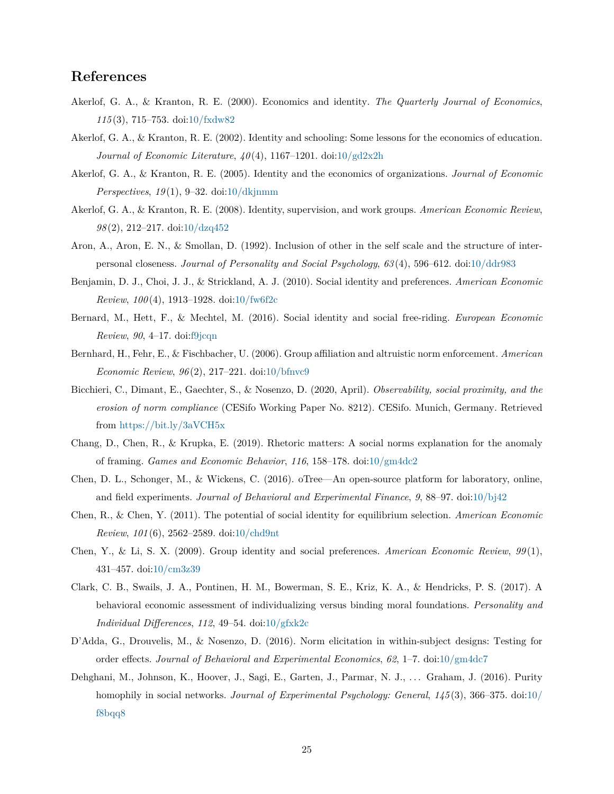# **References**

- <span id="page-25-0"></span>Akerlof, G. A., & Kranton, R. E. (2000). Economics and identity. *The Quarterly Journal of Economics*, *115* (3), 715–753. doi[:10/fxdw82](https://doi.org/10/fxdw82)
- <span id="page-25-2"></span>Akerlof, G. A., & Kranton, R. E. (2002). Identity and schooling: Some lessons for the economics of education. *Journal of Economic Literature*, *40* (4), 1167–1201. doi[:10/gd2x2h](https://doi.org/10/gd2x2h)
- <span id="page-25-3"></span>Akerlof, G. A., & Kranton, R. E. (2005). Identity and the economics of organizations. *Journal of Economic Perspectives*, *19* (1), 9–32. doi[:10/dkjnmm](https://doi.org/10/dkjnmm)
- <span id="page-25-4"></span>Akerlof, G. A., & Kranton, R. E. (2008). Identity, supervision, and work groups. *American Economic Review*, *98* (2), 212–217. doi[:10/dzq452](https://doi.org/10/dzq452)
- <span id="page-25-12"></span>Aron, A., Aron, E. N., & Smollan, D. (1992). Inclusion of other in the self scale and the structure of interpersonal closeness. *Journal of Personality and Social Psychology*, *63* (4), 596–612. doi[:10/ddr983](https://doi.org/10/ddr983)
- <span id="page-25-10"></span>Benjamin, D. J., Choi, J. J., & Strickland, A. J. (2010). Social identity and preferences. *American Economic Review*, *100* (4), 1913–1928. doi[:10/fw6f2c](https://doi.org/10/fw6f2c)
- <span id="page-25-11"></span>Bernard, M., Hett, F., & Mechtel, M. (2016). Social identity and social free-riding. *European Economic Review*, *90*, 4–17. doi[:f9jcqn](https://doi.org/f9jcqn)
- <span id="page-25-8"></span>Bernhard, H., Fehr, E., & Fischbacher, U. (2006). Group affiliation and altruistic norm enforcement. *American Economic Review*, *96* (2), 217–221. doi[:10/bfnvc9](https://doi.org/10/bfnvc9)
- <span id="page-25-13"></span>Bicchieri, C., Dimant, E., Gaechter, S., & Nosenzo, D. (2020, April). *Observability, social proximity, and the erosion of norm compliance* (CESifo Working Paper No. 8212). CESifo. Munich, Germany. Retrieved from <https://bit.ly/3aVCH5x>
- <span id="page-25-1"></span>Chang, D., Chen, R., & Krupka, E. (2019). Rhetoric matters: A social norms explanation for the anomaly of framing. *Games and Economic Behavior*, *116*, 158–178. doi[:10/gm4dc2](https://doi.org/10/gm4dc2)
- <span id="page-25-14"></span>Chen, D. L., Schonger, M., & Wickens, C. (2016). oTree—An open-source platform for laboratory, online, and field experiments. *Journal of Behavioral and Experimental Finance*, *9*, 88–97. doi[:10/bj42](https://doi.org/10/bj42)
- <span id="page-25-6"></span>Chen, R., & Chen, Y. (2011). The potential of social identity for equilibrium selection. *American Economic Review*, *101* (6), 2562–2589. doi[:10/chd9nt](https://doi.org/10/chd9nt)
- <span id="page-25-7"></span>Chen, Y., & Li, S. X. (2009). Group identity and social preferences. *American Economic Review*, *99* (1), 431–457. doi[:10/cm3z39](https://doi.org/10/cm3z39)
- <span id="page-25-5"></span>Clark, C. B., Swails, J. A., Pontinen, H. M., Bowerman, S. E., Kriz, K. A., & Hendricks, P. S. (2017). A behavioral economic assessment of individualizing versus binding moral foundations. *Personality and Individual Differences*, *112*, 49–54. doi[:10/gfxk2c](https://doi.org/10/gfxk2c)
- <span id="page-25-15"></span>D'Adda, G., Drouvelis, M., & Nosenzo, D. (2016). Norm elicitation in within-subject designs: Testing for order effects. *Journal of Behavioral and Experimental Economics*, *62*, 1–7. doi[:10/gm4dc7](https://doi.org/10/gm4dc7)
- <span id="page-25-9"></span>Dehghani, M., Johnson, K., Hoover, J., Sagi, E., Garten, J., Parmar, N. J., ... Graham, J. (2016). Purity homophily in social networks. *Journal of Experimental Psychology: General*, *145* (3), 366–375. doi[:10/](https://doi.org/10/f8bqq8) [f8bqq8](https://doi.org/10/f8bqq8)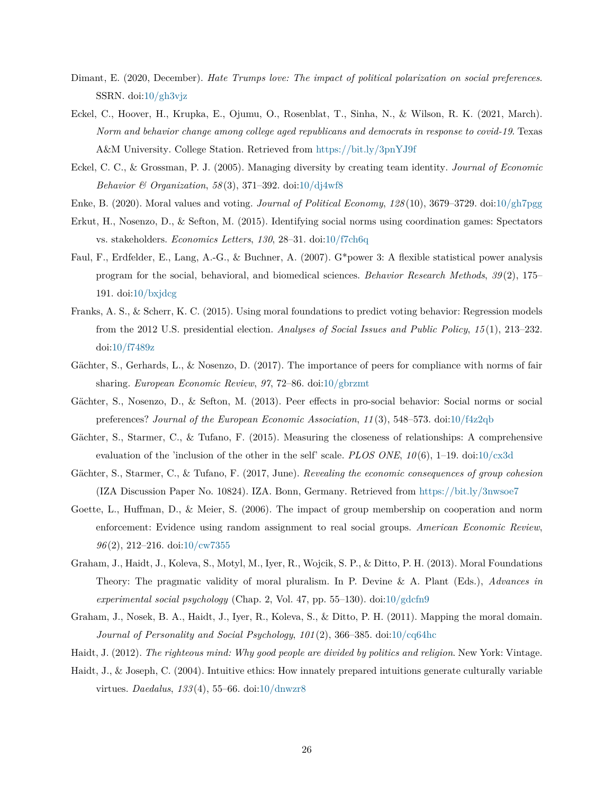- <span id="page-26-6"></span>Dimant, E. (2020, December). *Hate Trumps love: The impact of political polarization on social preferences*. SSRN. doi[:10/gh3vjz](https://doi.org/10/gh3vjz)
- <span id="page-26-9"></span>Eckel, C., Hoover, H., Krupka, E., Ojumu, O., Rosenblat, T., Sinha, N., & Wilson, R. K. (2021, March). *Norm and behavior change among college aged republicans and democrats in response to covid-19*. Texas A&M University. College Station. Retrieved from <https://bit.ly/3pnYJ9f>
- <span id="page-26-5"></span>Eckel, C. C., & Grossman, P. J. (2005). Managing diversity by creating team identity. *Journal of Economic Behavior & Organization*, *58* (3), 371–392. doi[:10/dj4wf8](https://doi.org/10/dj4wf8)
- <span id="page-26-7"></span>Enke, B. (2020). Moral values and voting. *Journal of Political Economy*, *128* (10), 3679–3729. doi[:10/gh7pgg](https://doi.org/10/gh7pgg)
- <span id="page-26-13"></span>Erkut, H., Nosenzo, D., & Sefton, M. (2015). Identifying social norms using coordination games: Spectators vs. stakeholders. *Economics Letters*, *130*, 28–31. doi[:10/f7ch6q](https://doi.org/10/f7ch6q)
- <span id="page-26-12"></span>Faul, F., Erdfelder, E., Lang, A.-G., & Buchner, A. (2007). G\*power 3: A flexible statistical power analysis program for the social, behavioral, and biomedical sciences. *Behavior Research Methods*, *39* (2), 175– 191. doi: $10/\text{bxjdeg}$
- <span id="page-26-8"></span>Franks, A. S., & Scherr, K. C. (2015). Using moral foundations to predict voting behavior: Regression models from the 2012 U.S. presidential election. *Analyses of Social Issues and Public Policy*, *15* (1), 213–232. doi[:10/f7489z](https://doi.org/10/f7489z)
- <span id="page-26-0"></span>Gächter, S., Gerhards, L., & Nosenzo, D. (2017). The importance of peers for compliance with norms of fair sharing. *European Economic Review*, *97*, 72–86. doi[:10/gbrzmt](https://doi.org/10/gbrzmt)
- <span id="page-26-14"></span>Gächter, S., Nosenzo, D., & Sefton, M. (2013). Peer effects in pro-social behavior: Social norms or social preferences? *Journal of the European Economic Association*, *11* (3), 548–573. doi[:10/f4z2qb](https://doi.org/10/f4z2qb)
- <span id="page-26-10"></span>Gächter, S., Starmer, C., & Tufano, F. (2015). Measuring the closeness of relationships: A comprehensive evaluation of the 'inclusion of the other in the self' scale. *PLOS ONE*, *10* (6), 1–19. doi[:10/cx3d](https://doi.org/10/cx3d)
- <span id="page-26-11"></span>Gächter, S., Starmer, C., & Tufano, F. (2017, June). *Revealing the economic consequences of group cohesion* (IZA Discussion Paper No. 10824). IZA. Bonn, Germany. Retrieved from <https://bit.ly/3nwsoe7>
- <span id="page-26-4"></span>Goette, L., Huffman, D., & Meier, S. (2006). The impact of group membership on cooperation and norm enforcement: Evidence using random assignment to real social groups. *American Economic Review*, *96* (2), 212–216. doi[:10/cw7355](https://doi.org/10/cw7355)
- <span id="page-26-1"></span>Graham, J., Haidt, J., Koleva, S., Motyl, M., Iyer, R., Wojcik, S. P., & Ditto, P. H. (2013). Moral Foundations Theory: The pragmatic validity of moral pluralism. In P. Devine & A. Plant (Eds.), *Advances in experimental social psychology* (Chap. 2, Vol. 47, pp. 55–130). doi[:10/gdcfn9](https://doi.org/10/gdcfn9)
- <span id="page-26-2"></span>Graham, J., Nosek, B. A., Haidt, J., Iyer, R., Koleva, S., & Ditto, P. H. (2011). Mapping the moral domain. *Journal of Personality and Social Psychology*, *101* (2), 366–385. doi[:10/cq64hc](https://doi.org/10/cq64hc)
- <span id="page-26-15"></span>Haidt, J. (2012). *The righteous mind: Why good people are divided by politics and religion*. New York: Vintage.
- <span id="page-26-3"></span>Haidt, J., & Joseph, C. (2004). Intuitive ethics: How innately prepared intuitions generate culturally variable virtues. *Daedalus*, *133* (4), 55–66. doi[:10/dnwzr8](https://doi.org/10/dnwzr8)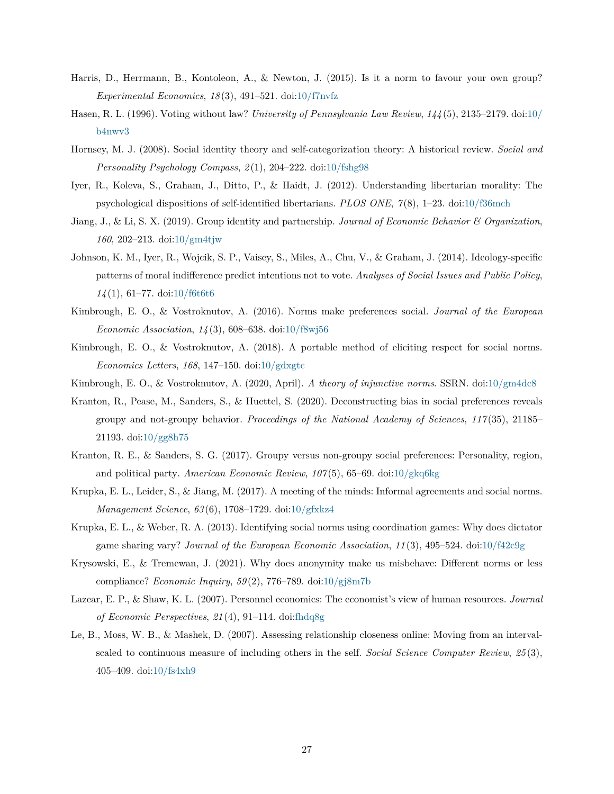- <span id="page-27-8"></span>Harris, D., Herrmann, B., Kontoleon, A., & Newton, J. (2015). Is it a norm to favour your own group? *Experimental Economics*, *18* (3), 491–521. doi[:10/f7nvfz](https://doi.org/10/f7nvfz)
- <span id="page-27-15"></span>Hasen, R. L. (1996). Voting without law? *University of Pennsylvania Law Review*, *144* (5), 2135–2179. doi[:10/](https://doi.org/10/b4nwv3) [b4nwv3](https://doi.org/10/b4nwv3)
- <span id="page-27-1"></span>Hornsey, M. J. (2008). Social identity theory and self-categorization theory: A historical review. *Social and Personality Psychology Compass*, *2* (1), 204–222. doi[:10/fshg98](https://doi.org/10/fshg98)
- <span id="page-27-10"></span>Iyer, R., Koleva, S., Graham, J., Ditto, P., & Haidt, J. (2012). Understanding libertarian morality: The psychological dispositions of self-identified libertarians. *PLOS ONE*, *7* (8), 1–23. doi[:10/f36mch](https://doi.org/10/f36mch)
- <span id="page-27-7"></span>Jiang, J., & Li, S. X. (2019). Group identity and partnership. *Journal of Economic Behavior & Organization*, *160*, 202–213. doi[:10/gm4tjw](https://doi.org/10/gm4tjw)
- <span id="page-27-11"></span>Johnson, K. M., Iyer, R., Wojcik, S. P., Vaisey, S., Miles, A., Chu, V., & Graham, J. (2014). Ideology-specific patterns of moral indifference predict intentions not to vote. *Analyses of Social Issues and Public Policy*, *14* (1), 61–77. doi[:10/f6t6t6](https://doi.org/10/f6t6t6)
- <span id="page-27-3"></span>Kimbrough, E. O., & Vostroknutov, A. (2016). Norms make preferences social. *Journal of the European Economic Association*, *14* (3), 608–638. doi[:10/f8wj56](https://doi.org/10/f8wj56)
- <span id="page-27-4"></span>Kimbrough, E. O., & Vostroknutov, A. (2018). A portable method of eliciting respect for social norms. *Economics Letters*, *168*, 147–150. doi[:10/gdxgtc](https://doi.org/10/gdxgtc)
- <span id="page-27-9"></span>Kimbrough, E. O., & Vostroknutov, A. (2020, April). *A theory of injunctive norms*. SSRN. doi[:10/gm4dc8](https://doi.org/10/gm4dc8)
- <span id="page-27-13"></span>Kranton, R., Pease, M., Sanders, S., & Huettel, S. (2020). Deconstructing bias in social preferences reveals groupy and not-groupy behavior. *Proceedings of the National Academy of Sciences*, *117* (35), 21185– 21193. doi[:10/gg8h75](https://doi.org/10/gg8h75)
- <span id="page-27-14"></span>Kranton, R. E., & Sanders, S. G. (2017). Groupy versus non-groupy social preferences: Personality, region, and political party. *American Economic Review*, *107* (5), 65–69. doi[:10/gkq6kg](https://doi.org/10/gkq6kg)
- <span id="page-27-2"></span>Krupka, E. L., Leider, S., & Jiang, M. (2017). A meeting of the minds: Informal agreements and social norms. *Management Science*, *63* (6), 1708–1729. doi[:10/gfxkz4](https://doi.org/10/gfxkz4)
- <span id="page-27-5"></span>Krupka, E. L., & Weber, R. A. (2013). Identifying social norms using coordination games: Why does dictator game sharing vary? *Journal of the European Economic Association*, *11* (3), 495–524. doi[:10/f42c9g](https://doi.org/10/f42c9g)
- <span id="page-27-6"></span>Krysowski, E., & Tremewan, J. (2021). Why does anonymity make us misbehave: Different norms or less compliance? *Economic Inquiry*, *59* (2), 776–789. doi[:10/gj8m7b](https://doi.org/10/gj8m7b)
- <span id="page-27-0"></span>Lazear, E. P., & Shaw, K. L. (2007). Personnel economics: The economist's view of human resources. *Journal of Economic Perspectives*, *21* (4), 91–114. doi[:fhdq8g](https://doi.org/fhdq8g)
- <span id="page-27-12"></span>Le, B., Moss, W. B., & Mashek, D. (2007). Assessing relationship closeness online: Moving from an intervalscaled to continuous measure of including others in the self. *Social Science Computer Review*, *25* (3), 405–409. doi[:10/fs4xh9](https://doi.org/10/fs4xh9)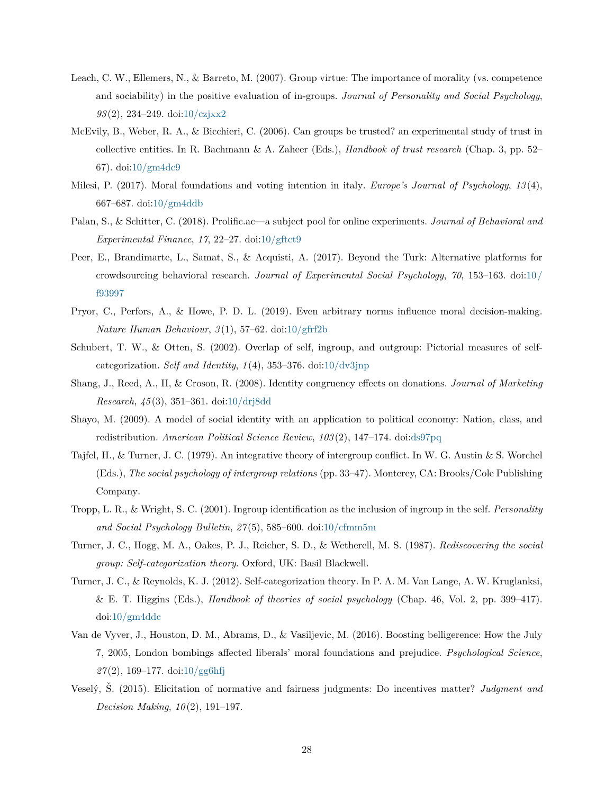- <span id="page-28-4"></span>Leach, C. W., Ellemers, N., & Barreto, M. (2007). Group virtue: The importance of morality (vs. competence and sociability) in the positive evaluation of in-groups. *Journal of Personality and Social Psychology*, *93* (2), 234–249. doi[:10/czjxx2](https://doi.org/10/czjxx2)
- <span id="page-28-13"></span>McEvily, B., Weber, R. A., & Bicchieri, C. (2006). Can groups be trusted? an experimental study of trust in collective entities. In R. Bachmann & A. Zaheer (Eds.), *Handbook of trust research* (Chap. 3, pp. 52– 67). doi[:10/gm4dc9](https://doi.org/10/gm4dc9)
- <span id="page-28-6"></span>Milesi, P. (2017). Moral foundations and voting intention in italy. *Europe's Journal of Psychology*, *13* (4), 667–687. doi[:10/gm4ddb](https://doi.org/10/gm4ddb)
- <span id="page-28-10"></span>Palan, S., & Schitter, C. (2018). Prolific.ac—a subject pool for online experiments. *Journal of Behavioral and Experimental Finance*, *17*, 22–27. doi[:10/gftct9](https://doi.org/10/gftct9)
- <span id="page-28-11"></span>Peer, E., Brandimarte, L., Samat, S., & Acquisti, A. (2017). Beyond the Turk: Alternative platforms for crowdsourcing behavioral research. *Journal of Experimental Social Psychology*, *70*, 153–163. doi[:10 /](https://doi.org/10/f93997) [f93997](https://doi.org/10/f93997)
- <span id="page-28-9"></span>Pryor, C., Perfors, A., & Howe, P. D. L. (2019). Even arbitrary norms influence moral decision-making. *Nature Human Behaviour*, *3* (1), 57–62. doi[:10/gfrf2b](https://doi.org/10/gfrf2b)
- <span id="page-28-8"></span>Schubert, T. W., & Otten, S. (2002). Overlap of self, ingroup, and outgroup: Pictorial measures of selfcategorization. *Self and Identity*, *1* (4), 353–376. doi[:10/dv3jnp](https://doi.org/10/dv3jnp)
- <span id="page-28-5"></span>Shang, J., Reed, A., II, & Croson, R. (2008). Identity congruency effects on donations. *Journal of Marketing Research*, *45* (3), 351–361. doi[:10/drj8dd](https://doi.org/10/drj8dd)
- <span id="page-28-7"></span>Shayo, M. (2009). A model of social identity with an application to political economy: Nation, class, and redistribution. *American Political Science Review*, *103* (2), 147–174. doi[:ds97pq](https://doi.org/ds97pq)
- <span id="page-28-0"></span>Tajfel, H., & Turner, J. C. (1979). An integrative theory of intergroup conflict. In W. G. Austin & S. Worchel (Eds.), *The social psychology of intergroup relations* (pp. 33–47). Monterey, CA: Brooks/Cole Publishing Company.
- <span id="page-28-3"></span>Tropp, L. R., & Wright, S. C. (2001). Ingroup identification as the inclusion of ingroup in the self. *Personality and Social Psychology Bulletin*, *27* (5), 585–600. doi[:10/cfmm5m](https://doi.org/10/cfmm5m)
- <span id="page-28-1"></span>Turner, J. C., Hogg, M. A., Oakes, P. J., Reicher, S. D., & Wetherell, M. S. (1987). *Rediscovering the social group: Self-categorization theory*. Oxford, UK: Basil Blackwell.
- <span id="page-28-2"></span>Turner, J. C., & Reynolds, K. J. (2012). Self-categorization theory. In P. A. M. Van Lange, A. W. Kruglanksi, & E. T. Higgins (Eds.), *Handbook of theories of social psychology* (Chap. 46, Vol. 2, pp. 399–417). doi[:10/gm4ddc](https://doi.org/10/gm4ddc)
- <span id="page-28-14"></span>Van de Vyver, J., Houston, D. M., Abrams, D., & Vasiljevic, M. (2016). Boosting belligerence: How the July 7, 2005, London bombings affected liberals' moral foundations and prejudice. *Psychological Science*, *27* (2), 169–177. doi[:10/gg6hfj](https://doi.org/10/gg6hfj)
- <span id="page-28-12"></span>Veselý, Š. (2015). Elicitation of normative and fairness judgments: Do incentives matter? *Judgment and Decision Making*, *10* (2), 191–197.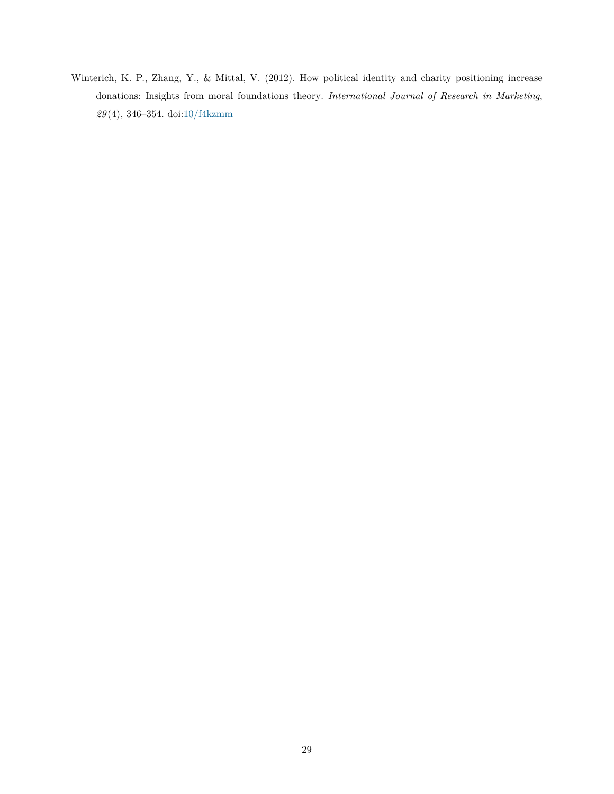<span id="page-29-0"></span>Winterich, K. P., Zhang, Y., & Mittal, V. (2012). How political identity and charity positioning increase donations: Insights from moral foundations theory. *International Journal of Research in Marketing*, *29* (4), 346–354. doi[:10/f4kzmm](https://doi.org/10/f4kzmm)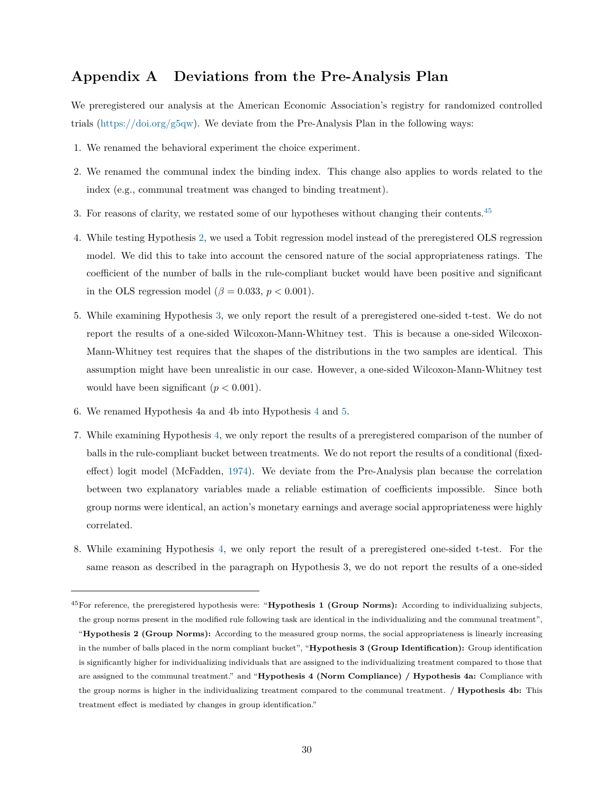# <span id="page-30-0"></span>**Appendix A Deviations from the Pre-Analysis Plan**

We preregistered our analysis at the American Economic Association's registry for randomized controlled trials [\(https://doi.org/g5qw\)](https://doi.org/g5qw). We deviate from the Pre-Analysis Plan in the following ways:

- 1. We renamed the behavioral experiment the choice experiment.
- 2. We renamed the communal index the binding index. This change also applies to words related to the index (e.g., communal treatment was changed to binding treatment).
- 3. For reasons of clarity, we restated some of our hypotheses without changing their contents.<sup>[45](#page-30-1)</sup>
- 4. While testing Hypothesis [2,](#page-14-0) we used a Tobit regression model instead of the preregistered OLS regression model. We did this to take into account the censored nature of the social appropriateness ratings. The coefficient of the number of balls in the rule-compliant bucket would have been positive and significant in the OLS regression model ( $\beta = 0.033$ ,  $p < 0.001$ ).
- 5. While examining Hypothesis [3,](#page-17-1) we only report the result of a preregistered one-sided t-test. We do not report the results of a one-sided Wilcoxon-Mann-Whitney test. This is because a one-sided Wilcoxon-Mann-Whitney test requires that the shapes of the distributions in the two samples are identical. This assumption might have been unrealistic in our case. However, a one-sided Wilcoxon-Mann-Whitney test would have been significant  $(p < 0.001)$ .
- 6. We renamed Hypothesis 4a and 4b into Hypothesis [4](#page-17-0) and [5.](#page-19-0)
- 7. While examining Hypothesis [4,](#page-17-0) we only report the results of a preregistered comparison of the number of balls in the rule-compliant bucket between treatments. We do not report the results of a conditional (fixedeffect) logit model (McFadden, [1974\)](#page-59-0). We deviate from the Pre-Analysis plan because the correlation between two explanatory variables made a reliable estimation of coefficients impossible. Since both group norms were identical, an action's monetary earnings and average social appropriateness were highly correlated.
- 8. While examining Hypothesis [4,](#page-17-0) we only report the result of a preregistered one-sided t-test. For the same reason as described in the paragraph on Hypothesis 3, we do not report the results of a one-sided

<span id="page-30-1"></span><sup>45</sup>For reference, the preregistered hypothesis were: "**Hypothesis 1 (Group Norms):** According to individualizing subjects, the group norms present in the modified rule following task are identical in the individualizing and the communal treatment", "**Hypothesis 2 (Group Norms):** According to the measured group norms, the social appropriateness is linearly increasing in the number of balls placed in the norm compliant bucket", "**Hypothesis 3 (Group Identification):** Group identification is significantly higher for individualizing individuals that are assigned to the individualizing treatment compared to those that are assigned to the communal treatment." and "**Hypothesis 4 (Norm Compliance) / Hypothesis 4a:** Compliance with the group norms is higher in the individualizing treatment compared to the communal treatment. / **Hypothesis 4b:** This treatment effect is mediated by changes in group identification."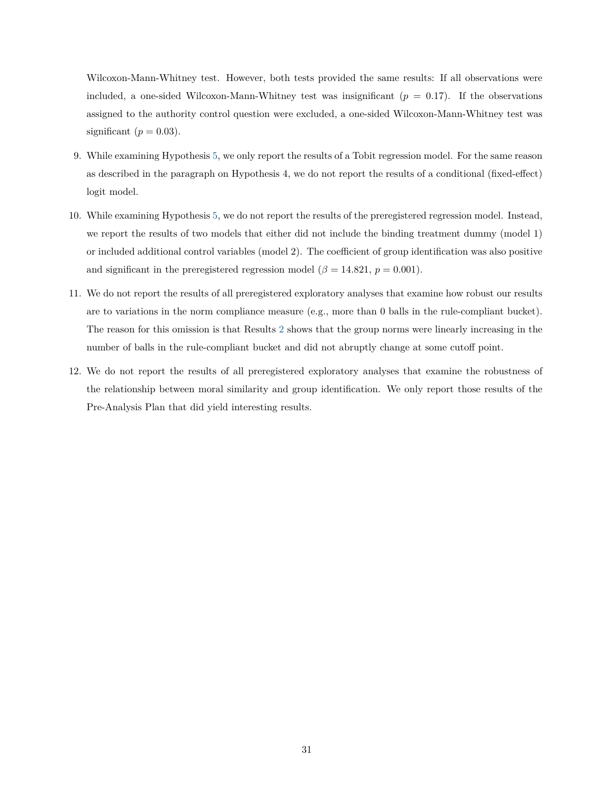Wilcoxon-Mann-Whitney test. However, both tests provided the same results: If all observations were included, a one-sided Wilcoxon-Mann-Whitney test was insignificant  $(p = 0.17)$ . If the observations assigned to the authority control question were excluded, a one-sided Wilcoxon-Mann-Whitney test was significant  $(p = 0.03)$ .

- 9. While examining Hypothesis [5,](#page-19-0) we only report the results of a Tobit regression model. For the same reason as described in the paragraph on Hypothesis 4, we do not report the results of a conditional (fixed-effect) logit model.
- 10. While examining Hypothesis [5,](#page-19-0) we do not report the results of the preregistered regression model. Instead, we report the results of two models that either did not include the binding treatment dummy (model 1) or included additional control variables (model 2). The coefficient of group identification was also positive and significant in the preregistered regression model ( $\beta = 14.821$ ,  $p = 0.001$ ).
- 11. We do not report the results of all preregistered exploratory analyses that examine how robust our results are to variations in the norm compliance measure (e.g., more than 0 balls in the rule-compliant bucket). The reason for this omission is that Results [2](#page-14-3) shows that the group norms were linearly increasing in the number of balls in the rule-compliant bucket and did not abruptly change at some cutoff point.
- 12. We do not report the results of all preregistered exploratory analyses that examine the robustness of the relationship between moral similarity and group identification. We only report those results of the Pre-Analysis Plan that did yield interesting results.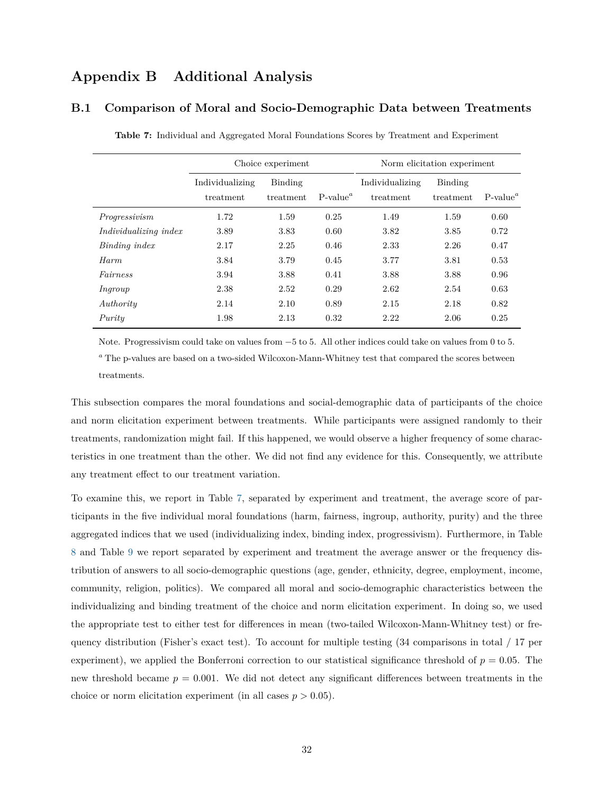# **Appendix B Additional Analysis**

## <span id="page-32-1"></span><span id="page-32-0"></span>**B.1 Comparison of Moral and Socio-Demographic Data between Treatments**

|                              |                              | Choice experiment    |             |                              | Norm elicitation experiment |             |
|------------------------------|------------------------------|----------------------|-------------|------------------------------|-----------------------------|-------------|
|                              | Individualizing<br>treatment | Binding<br>treatment | $P-value^a$ | Individualizing<br>treatment | Binding<br>treatment        | $P-value^a$ |
| Progressivism                | 1.72                         | 1.59                 | 0.25        | 1.49                         | 1.59                        | 0.60        |
| <i>Individualizing index</i> | 3.89                         | 3.83                 | 0.60        | 3.82                         | 3.85                        | 0.72        |
| Binding index                | 2.17                         | 2.25                 | 0.46        | 2.33                         | 2.26                        | 0.47        |
| Harm                         | 3.84                         | 3.79                 | 0.45        | 3.77                         | 3.81                        | 0.53        |
| Fairness                     | 3.94                         | 3.88                 | 0.41        | 3.88                         | 3.88                        | 0.96        |
| Ingroup                      | 2.38                         | 2.52                 | 0.29        | 2.62                         | 2.54                        | 0.63        |
| Authority                    | 2.14                         | 2.10                 | 0.89        | 2.15                         | 2.18                        | 0.82        |
| Purity                       | 1.98                         | 2.13                 | 0.32        | 2.22                         | 2.06                        | 0.25        |

**Table 7:** Individual and Aggregated Moral Foundations Scores by Treatment and Experiment

Note. Progressivism could take on values from −5 to 5. All other indices could take on values from 0 to 5. *<sup>a</sup>* The p-values are based on a two-sided Wilcoxon-Mann-Whitney test that compared the scores between treatments.

This subsection compares the moral foundations and social-demographic data of participants of the choice and norm elicitation experiment between treatments. While participants were assigned randomly to their treatments, randomization might fail. If this happened, we would observe a higher frequency of some characteristics in one treatment than the other. We did not find any evidence for this. Consequently, we attribute any treatment effect to our treatment variation.

To examine this, we report in Table [7,](#page-32-1) separated by experiment and treatment, the average score of participants in the five individual moral foundations (harm, fairness, ingroup, authority, purity) and the three aggregated indices that we used (individualizing index, binding index, progressivism). Furthermore, in Table [8](#page-33-0) and Table [9](#page-34-0) we report separated by experiment and treatment the average answer or the frequency distribution of answers to all socio-demographic questions (age, gender, ethnicity, degree, employment, income, community, religion, politics). We compared all moral and socio-demographic characteristics between the individualizing and binding treatment of the choice and norm elicitation experiment. In doing so, we used the appropriate test to either test for differences in mean (two-tailed Wilcoxon-Mann-Whitney test) or frequency distribution (Fisher's exact test). To account for multiple testing (34 comparisons in total / 17 per experiment), we applied the Bonferroni correction to our statistical significance threshold of  $p = 0.05$ . The new threshold became *p* = 0*.*001. We did not detect any significant differences between treatments in the choice or norm elicitation experiment (in all cases  $p > 0.05$ ).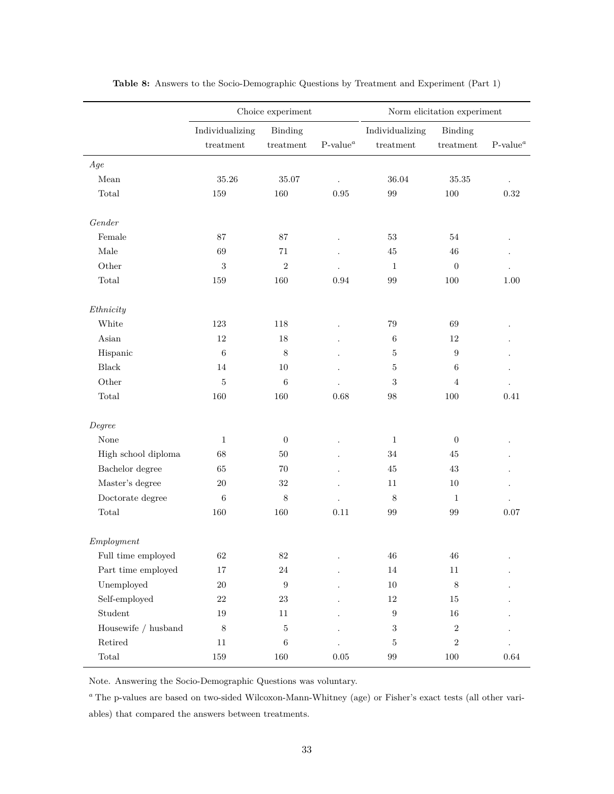<span id="page-33-0"></span>

|                                         |                 | Choice experiment |             |                   | Norm elicitation experiment |             |
|-----------------------------------------|-----------------|-------------------|-------------|-------------------|-----------------------------|-------------|
|                                         | Individualizing | Binding           |             | Individualizing   | <b>Binding</b>              |             |
|                                         | $\rm treatment$ | treatment         | $P-value^a$ | treatment         | $\rm treatment$             | $P-value^a$ |
| Age                                     |                 |                   |             |                   |                             |             |
| Mean                                    | 35.26           | $35.07\,$         |             | $36.04\,$         | $35.35\,$                   |             |
| $\mbox{Total}$                          | 159             | 160               | $\rm 0.95$  | 99                | $100\,$                     | $\rm 0.32$  |
| Gender                                  |                 |                   |             |                   |                             |             |
| Female                                  | 87              | 87                |             | 53                | 54                          |             |
| Male                                    | 69              | 71                |             | 45                | 46                          |             |
| Other                                   | $\sqrt{3}$      | $\,2$             |             | $\mathbf{1}$      | $\boldsymbol{0}$            |             |
| Total                                   | 159             | 160               | 0.94        | 99                | 100                         | 1.00        |
|                                         |                 |                   |             |                   |                             |             |
| Ethnicity                               |                 |                   |             |                   |                             |             |
| White                                   | 123             | 118               |             | 79                | 69                          |             |
| $\label{eq:asian} \operatorname{Asign}$ | 12              | 18                |             | $\,6\,$           | $12\,$                      |             |
| Hispanic                                | $\,6\,$         | $\,8\,$           |             | $\overline{5}$    | $\boldsymbol{9}$            |             |
| Black                                   | 14              | 10                |             | 5                 | 6                           |             |
| Other                                   | $\overline{5}$  | $6\phantom{.}6$   |             | $\sqrt{3}$        | 4                           |             |
| $\mbox{Total}$                          | 160             | 160               | 0.68        | 98                | 100                         | 0.41        |
| Degree                                  |                 |                   |             |                   |                             |             |
| None                                    | $\mathbf{1}$    | $\overline{0}$    |             | $\mathbf{1}$      | $\boldsymbol{0}$            |             |
| High school diploma                     | 68              | 50                |             | 34                | 45                          |             |
| Bachelor degree                         | 65              | 70                |             | 45                | 43                          |             |
| Master's degree                         | 20              | 32                |             | 11                | 10                          |             |
| Doctorate degree                        | 6               | $8\,$             |             | $8\phantom{1}$    | $\mathbf{1}$                |             |
| $\mbox{Total}$                          | 160             | 160               | 0.11        | 99                | 99                          | 0.07        |
| Emplogment                              |                 |                   |             |                   |                             |             |
| Full time employed                      | $62\,$          | $82\,$            |             | $\sqrt{46}$       | $\sqrt{46}$                 |             |
| Part time employed                      | $17\,$          | $24\,$            |             | $14\,$            | $11\,$                      |             |
| Unemployed                              | $20\,$          | $\boldsymbol{9}$  |             | $10\,$            | $\,8\,$                     |             |
| Self-employed                           | $22\,$          | $23\,$            |             | $12\,$            | $15\,$                      |             |
| ${\bf Student}$                         | $19\,$          | $11\,$            |             | $\boldsymbol{9}$  | $16\,$                      |             |
| Housewife $/$ husband                   | $8\,$           | $\bf 5$           |             | $\sqrt{3}$        | $\,2$                       |             |
| ${\rm Retired}$                         | $11\,$          | $\,6\,$           |             | $\mathbf 5$       | $\,2$                       |             |
| $\operatorname{\mathsf{Total}}$         | $159\,$         | $160\,$           | $0.05\,$    | $\boldsymbol{99}$ | 100                         | $\,0.64\,$  |
|                                         |                 |                   |             |                   |                             |             |

**Table 8:** Answers to the Socio-Demographic Questions by Treatment and Experiment (Part 1)

Note. Answering the Socio-Demographic Questions was voluntary.

*<sup>a</sup>* The p-values are based on two-sided Wilcoxon-Mann-Whitney (age) or Fisher's exact tests (all other variables) that compared the answers between treatments.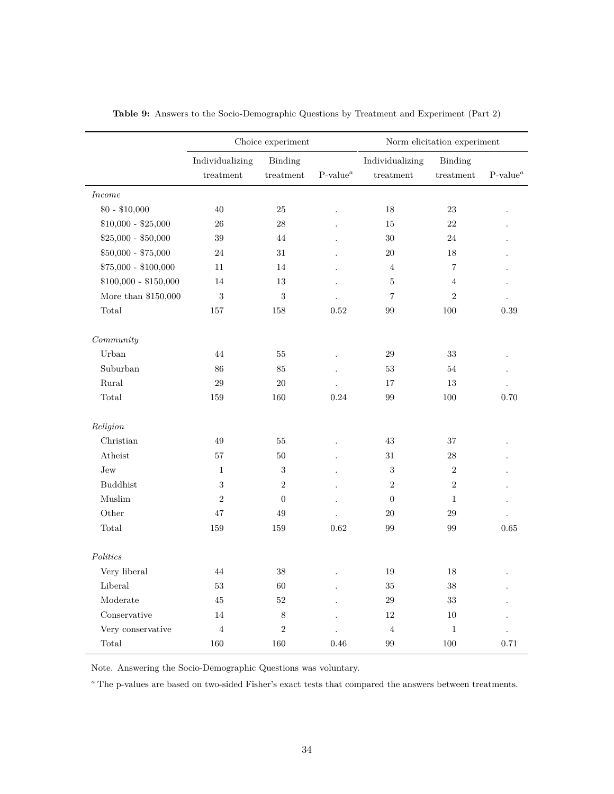<span id="page-34-0"></span>

|                         |                              | Choice experiment    |            |                              | Norm elicitation experiment |                      |  |  |
|-------------------------|------------------------------|----------------------|------------|------------------------------|-----------------------------|----------------------|--|--|
|                         | Individualizing<br>treatment | Binding<br>treatment | $P-valuea$ | Individualizing<br>treatment | Binding<br>treatment        | $P-value^a$          |  |  |
| <i>Income</i>           |                              |                      |            |                              |                             |                      |  |  |
| $$0 - $10,000$          | 40                           | 25                   |            | 18                           | 23                          |                      |  |  |
| $$10,000 - $25,000$     | 26                           | 28                   |            | 15                           | 22                          |                      |  |  |
| $$25,000 - $50,000$     | 39                           | 44                   |            | 30                           | 24                          |                      |  |  |
| $$50,000 - $75,000$     | 24                           | 31                   |            | 20                           | 18                          |                      |  |  |
| $$75,000 - $100,000$    | 11                           | 14                   |            | $\overline{4}$               | $\overline{\mathbf{7}}$     |                      |  |  |
| $$100,000 - $150,000$   | 14                           | 13                   |            | 5                            | $\overline{4}$              |                      |  |  |
| More than $\$150,\!000$ | 3                            | $\sqrt{3}$           |            | 7                            | $\sqrt{2}$                  | $\ddot{\phantom{0}}$ |  |  |
| Total                   | 157                          | 158                  | 0.52       | 99                           | 100                         | 0.39                 |  |  |
| Commuty                 |                              |                      |            |                              |                             |                      |  |  |
| Urban                   | 44                           | 55                   |            | 29                           | 33                          |                      |  |  |
| Suburban                | 86                           | 85                   |            | 53                           | 54                          |                      |  |  |
| Rural                   | 29                           | $20\,$               |            | 17                           | 13                          |                      |  |  |
| Total                   | 159                          | 160                  | 0.24       | 99                           | 100                         | 0.70                 |  |  |
| Religion                |                              |                      |            |                              |                             |                      |  |  |
| Christian               | 49                           | $55\,$               |            | 43                           | 37                          |                      |  |  |
| Atheist                 | 57                           | 50                   |            | 31                           | 28                          |                      |  |  |
| Jew                     | $\mathbf{1}$                 | $\,3$                |            | 3                            | $\overline{2}$              |                      |  |  |
| <b>Buddhist</b>         | 3                            | $\sqrt{2}$           |            | $\overline{2}$               | $\boldsymbol{2}$            |                      |  |  |
| Muslim                  | $\overline{2}$               | $\boldsymbol{0}$     |            | $\overline{0}$               | $\mathbf{1}$                |                      |  |  |
| Other                   | 47                           | 49                   |            | $20\,$                       | 29                          |                      |  |  |
| Total                   | 159                          | 159                  | 0.62       | 99                           | 99                          | 0.65                 |  |  |
| Politics                |                              |                      |            |                              |                             |                      |  |  |
| Very liberal            | 44                           | 38                   |            | 19                           | 18                          |                      |  |  |
| Liberal                 | 53                           | 60                   |            | 35                           | 38                          |                      |  |  |
| Moderate                | 45                           | $52\,$               |            | 29                           | 33                          |                      |  |  |
| Conservative            | 14                           | 8                    |            | 12                           | 10                          |                      |  |  |
| Very conservative       | $\overline{4}$               | $\sqrt{2}$           |            | $\overline{4}$               | $\mathbf{1}$                |                      |  |  |
| Total                   | 160                          | 160                  | 0.46       | 99                           | 100                         | 0.71                 |  |  |

**Table 9:** Answers to the Socio-Demographic Questions by Treatment and Experiment (Part 2)

Note. Answering the Socio-Demographic Questions was voluntary.

 $\emph{^a}$  The p-values are based on two-sided Fisher's exact tests that compared the answers between treatments.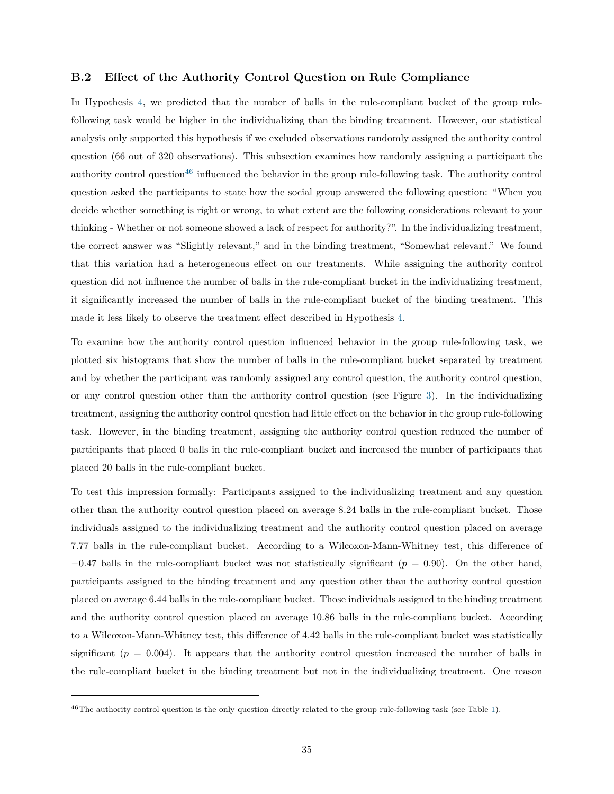## <span id="page-35-0"></span>**B.2 Effect of the Authority Control Question on Rule Compliance**

In Hypothesis [4,](#page-17-0) we predicted that the number of balls in the rule-compliant bucket of the group rulefollowing task would be higher in the individualizing than the binding treatment. However, our statistical analysis only supported this hypothesis if we excluded observations randomly assigned the authority control question (66 out of 320 observations). This subsection examines how randomly assigning a participant the authority control question<sup>[46](#page-35-1)</sup> influenced the behavior in the group rule-following task. The authority control question asked the participants to state how the social group answered the following question: "When you decide whether something is right or wrong, to what extent are the following considerations relevant to your thinking - Whether or not someone showed a lack of respect for authority?". In the individualizing treatment, the correct answer was "Slightly relevant," and in the binding treatment, "Somewhat relevant." We found that this variation had a heterogeneous effect on our treatments. While assigning the authority control question did not influence the number of balls in the rule-compliant bucket in the individualizing treatment, it significantly increased the number of balls in the rule-compliant bucket of the binding treatment. This made it less likely to observe the treatment effect described in Hypothesis [4.](#page-17-0)

To examine how the authority control question influenced behavior in the group rule-following task, we plotted six histograms that show the number of balls in the rule-compliant bucket separated by treatment and by whether the participant was randomly assigned any control question, the authority control question, or any control question other than the authority control question (see Figure [3\)](#page-36-0). In the individualizing treatment, assigning the authority control question had little effect on the behavior in the group rule-following task. However, in the binding treatment, assigning the authority control question reduced the number of participants that placed 0 balls in the rule-compliant bucket and increased the number of participants that placed 20 balls in the rule-compliant bucket.

To test this impression formally: Participants assigned to the individualizing treatment and any question other than the authority control question placed on average 8*.*24 balls in the rule-compliant bucket. Those individuals assigned to the individualizing treatment and the authority control question placed on average 7*.*77 balls in the rule-compliant bucket. According to a Wilcoxon-Mann-Whitney test, this difference of −0*.*47 balls in the rule-compliant bucket was not statistically significant (*p* = 0*.*90). On the other hand, participants assigned to the binding treatment and any question other than the authority control question placed on average 6*.*44 balls in the rule-compliant bucket. Those individuals assigned to the binding treatment and the authority control question placed on average 10*.*86 balls in the rule-compliant bucket. According to a Wilcoxon-Mann-Whitney test, this difference of 4*.*42 balls in the rule-compliant bucket was statistically significant  $(p = 0.004)$ . It appears that the authority control question increased the number of balls in the rule-compliant bucket in the binding treatment but not in the individualizing treatment. One reason

<span id="page-35-1"></span> $^{46}$ The authority control question is the only question directly related to the group rule-following task (see Table [1\)](#page-9-0).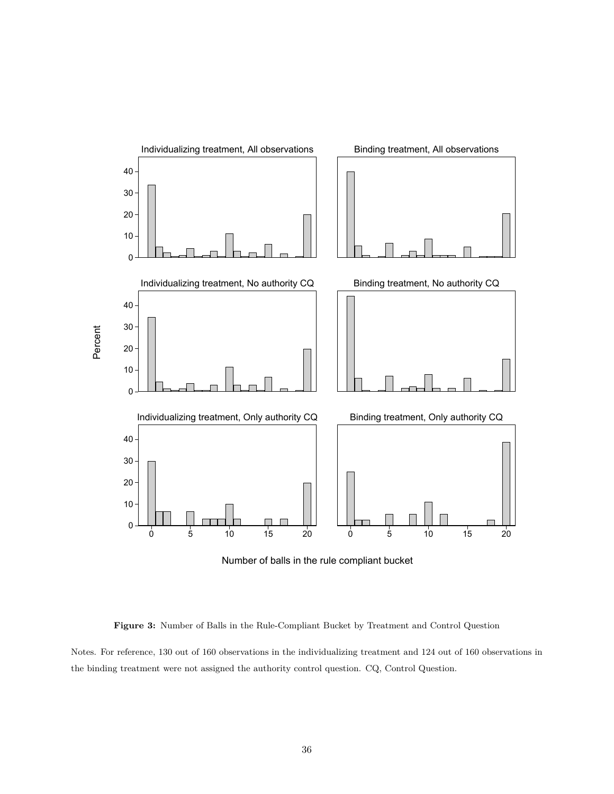<span id="page-36-0"></span>

**Figure 3:** Number of Balls in the Rule-Compliant Bucket by Treatment and Control Question

Notes. For reference, 130 out of 160 observations in the individualizing treatment and 124 out of 160 observations in the binding treatment were not assigned the authority control question. CQ, Control Question.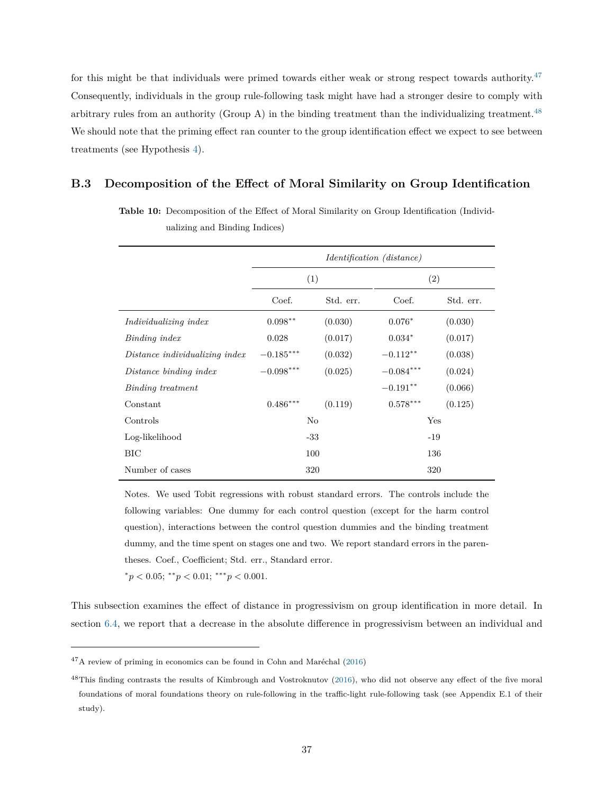for this might be that individuals were primed towards either weak or strong respect towards authority.<sup>[47](#page-37-1)</sup> Consequently, individuals in the group rule-following task might have had a stronger desire to comply with arbitrary rules from an authority (Group A) in the binding treatment than the individualizing treatment.<sup>[48](#page-37-2)</sup> We should note that the priming effect ran counter to the group identification effect we expect to see between treatments (see Hypothesis [4\)](#page-17-0).

# <span id="page-37-3"></span><span id="page-37-0"></span>**B.3 Decomposition of the Effect of Moral Similarity on Group Identification**

|                                |             |           | <i>Identification (distance)</i> |           |  |
|--------------------------------|-------------|-----------|----------------------------------|-----------|--|
|                                | (1)         |           |                                  | (2)       |  |
|                                | Coef.       | Std. err. | Coef.                            | Std. err. |  |
| Individualizing index          | $0.098**$   | (0.030)   | $0.076*$                         | (0.030)   |  |
| Binding index                  | 0.028       | (0.017)   | $0.034*$                         | (0.017)   |  |
| Distance individualizing index | $-0.185***$ | (0.032)   | $-0.112**$                       | (0.038)   |  |
| Distance binding index         | $-0.098***$ | (0.025)   | $-0.084***$                      | (0.024)   |  |
| Binding treatment              |             |           | $-0.191**$                       | (0.066)   |  |
| Constant                       | $0.486***$  | (0.119)   | $0.578***$                       | (0.125)   |  |
| Controls                       |             | No        |                                  | Yes       |  |
| Log-likelihood                 | $-33$       |           |                                  | $-19$     |  |
| BIC                            |             | 100       |                                  | 136       |  |
| Number of cases                |             | 320       |                                  | 320       |  |

**Table 10:** Decomposition of the Effect of Moral Similarity on Group Identification (Individualizing and Binding Indices)

Notes. We used Tobit regressions with robust standard errors. The controls include the following variables: One dummy for each control question (except for the harm control question), interactions between the control question dummies and the binding treatment dummy, and the time spent on stages one and two. We report standard errors in the parentheses. Coef., Coefficient; Std. err., Standard error.

 $p < 0.05$ ;  $\binom{*}{p} < 0.01$ ;  $\binom{*}{p} < 0.001$ .

This subsection examines the effect of distance in progressivism on group identification in more detail. In section [6.4,](#page-20-0) we report that a decrease in the absolute difference in progressivism between an individual and

<span id="page-37-1"></span> $47A$  review of priming in economics can be found in Cohn and Maréchal [\(2016\)](#page-59-1)

<span id="page-37-2"></span> $^{48}$ This finding contrasts the results of Kimbrough and Vostroknutov [\(2016\)](#page-59-2), who did not observe any effect of the five moral foundations of moral foundations theory on rule-following in the traffic-light rule-following task (see Appendix E.1 of their study).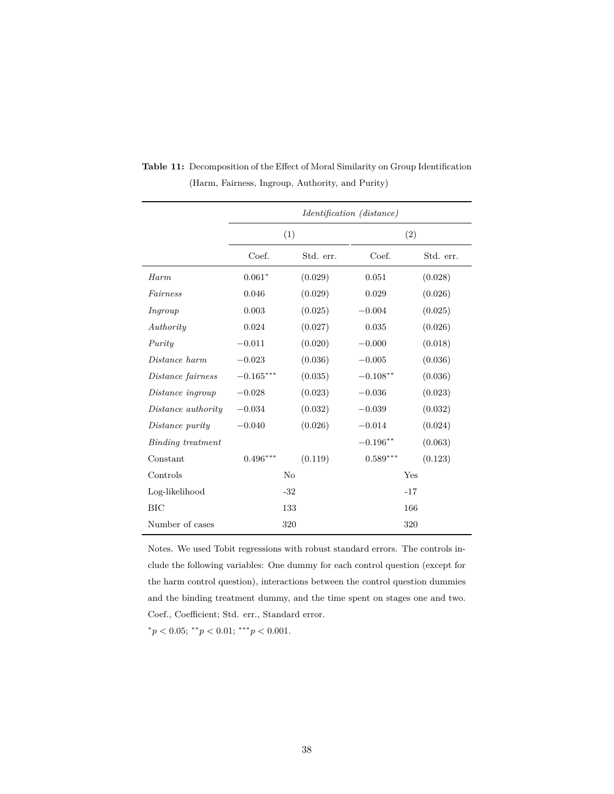|                    |             |           | <i>Identification (distance)</i> |           |
|--------------------|-------------|-----------|----------------------------------|-----------|
|                    |             | (1)       |                                  | (2)       |
|                    | Coef.       | Std. err. | Coef.                            | Std. err. |
| Harm               | $0.061*$    | (0.029)   | 0.051                            | (0.028)   |
| Fairness           | 0.046       | (0.029)   | 0.029                            | (0.026)   |
| Ingroup            | 0.003       | (0.025)   | $-0.004$                         | (0.025)   |
| Authority          | 0.024       | (0.027)   | 0.035                            | (0.026)   |
| Purity             | $-0.011$    | (0.020)   | $-0.000$                         | (0.018)   |
| Distance harm      | $-0.023$    | (0.036)   | $-0.005$                         | (0.036)   |
| Distance fairness  | $-0.165***$ | (0.035)   | $-0.108**$                       | (0.036)   |
| Distance ingroup   | $-0.028$    | (0.023)   | $-0.036$                         | (0.023)   |
| Distance authority | $-0.034$    | (0.032)   | $-0.039$                         | (0.032)   |
| Distance purity    | $-0.040$    | (0.026)   | $-0.014$                         | (0.024)   |
| Binding treatment  |             |           | $-0.196**$                       | (0.063)   |
| Constant           | $0.496***$  | (0.119)   | $0.589***$                       | (0.123)   |
| Controls           |             | $\rm No$  | Yes                              |           |
| Log-likelihood     |             | $-32$     | $-17$                            |           |
| BIC                |             | 133       | 166                              |           |
| Number of cases    |             | 320       | 320                              |           |

<span id="page-38-0"></span>**Table 11:** Decomposition of the Effect of Moral Similarity on Group Identification (Harm, Fairness, Ingroup, Authority, and Purity)

Notes. We used Tobit regressions with robust standard errors. The controls include the following variables: One dummy for each control question (except for the harm control question), interactions between the control question dummies and the binding treatment dummy, and the time spent on stages one and two. Coef., Coefficient; Std. err., Standard error.

 $p < 0.05$ ;  $\binom{*}{p} < 0.01$ ;  $\binom{*}{p} < 0.001$ .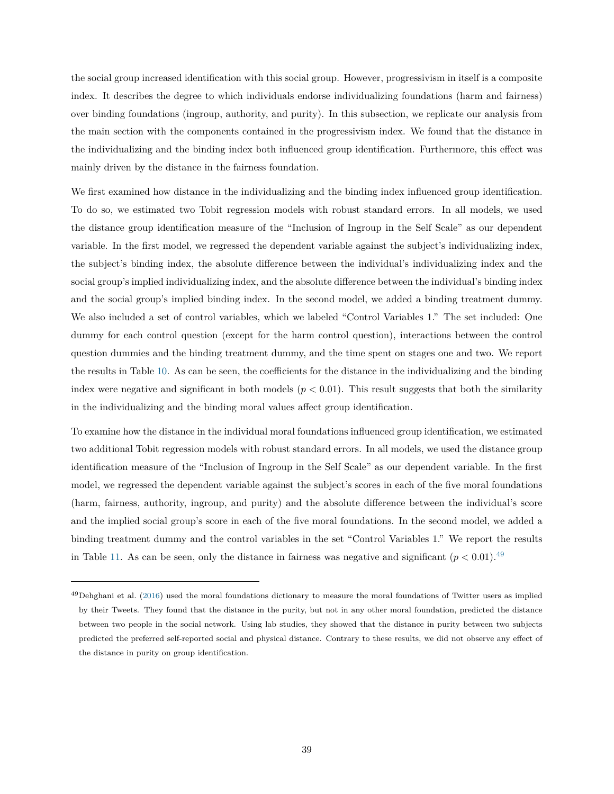the social group increased identification with this social group. However, progressivism in itself is a composite index. It describes the degree to which individuals endorse individualizing foundations (harm and fairness) over binding foundations (ingroup, authority, and purity). In this subsection, we replicate our analysis from the main section with the components contained in the progressivism index. We found that the distance in the individualizing and the binding index both influenced group identification. Furthermore, this effect was mainly driven by the distance in the fairness foundation.

We first examined how distance in the individualizing and the binding index influenced group identification. To do so, we estimated two Tobit regression models with robust standard errors. In all models, we used the distance group identification measure of the "Inclusion of Ingroup in the Self Scale" as our dependent variable. In the first model, we regressed the dependent variable against the subject's individualizing index, the subject's binding index, the absolute difference between the individual's individualizing index and the social group's implied individualizing index, and the absolute difference between the individual's binding index and the social group's implied binding index. In the second model, we added a binding treatment dummy. We also included a set of control variables, which we labeled "Control Variables 1." The set included: One dummy for each control question (except for the harm control question), interactions between the control question dummies and the binding treatment dummy, and the time spent on stages one and two. We report the results in Table [10.](#page-37-3) As can be seen, the coefficients for the distance in the individualizing and the binding index were negative and significant in both models  $(p < 0.01)$ . This result suggests that both the similarity in the individualizing and the binding moral values affect group identification.

To examine how the distance in the individual moral foundations influenced group identification, we estimated two additional Tobit regression models with robust standard errors. In all models, we used the distance group identification measure of the "Inclusion of Ingroup in the Self Scale" as our dependent variable. In the first model, we regressed the dependent variable against the subject's scores in each of the five moral foundations (harm, fairness, authority, ingroup, and purity) and the absolute difference between the individual's score and the implied social group's score in each of the five moral foundations. In the second model, we added a binding treatment dummy and the control variables in the set "Control Variables 1." We report the results in Table [11.](#page-38-0) As can be seen, only the distance in fairness was negative and significant  $(p < 0.01)$ .<sup>[49](#page-39-0)</sup>

<span id="page-39-0"></span> $^{49}$ Dehghani et al. [\(2016\)](#page-59-3) used the moral foundations dictionary to measure the moral foundations of Twitter users as implied by their Tweets. They found that the distance in the purity, but not in any other moral foundation, predicted the distance between two people in the social network. Using lab studies, they showed that the distance in purity between two subjects predicted the preferred self-reported social and physical distance. Contrary to these results, we did not observe any effect of the distance in purity on group identification.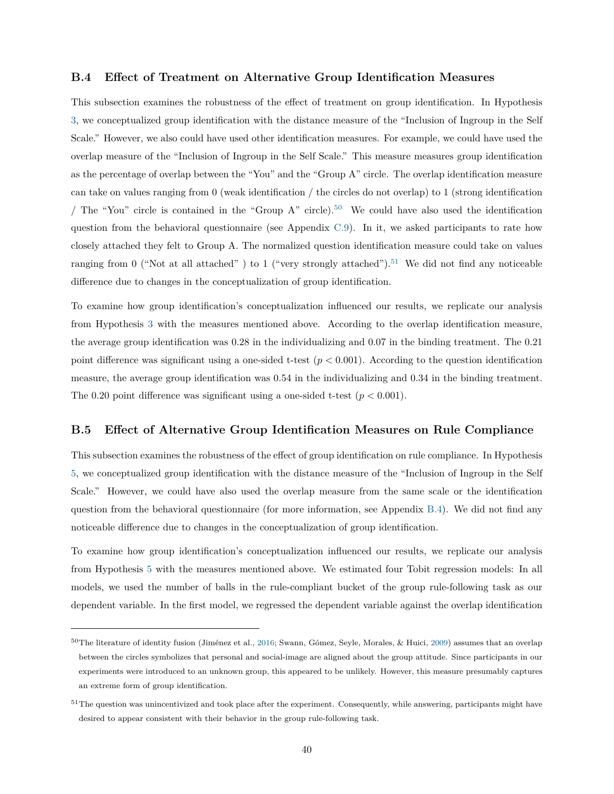## <span id="page-40-0"></span>**B.4 Effect of Treatment on Alternative Group Identification Measures**

This subsection examines the robustness of the effect of treatment on group identification. In Hypothesis [3,](#page-17-1) we conceptualized group identification with the distance measure of the "Inclusion of Ingroup in the Self Scale." However, we also could have used other identification measures. For example, we could have used the overlap measure of the "Inclusion of Ingroup in the Self Scale." This measure measures group identification as the percentage of overlap between the "You" and the "Group A" circle. The overlap identification measure can take on values ranging from 0 (weak identification / the circles do not overlap) to 1 (strong identification / The "You" circle is contained in the "Group A" circle).<sup>[50](#page-40-2)</sup> We could have also used the identification question from the behavioral questionnaire (see Appendix [C.9\)](#page-58-0). In it, we asked participants to rate how closely attached they felt to Group A. The normalized question identification measure could take on values ranging from 0 ("Not at all attached") to 1 ("very strongly attached").<sup>[51](#page-40-3)</sup> We did not find any noticeable difference due to changes in the conceptualization of group identification.

To examine how group identification's conceptualization influenced our results, we replicate our analysis from Hypothesis [3](#page-17-1) with the measures mentioned above. According to the overlap identification measure, the average group identification was 0*.*28 in the individualizing and 0*.*07 in the binding treatment. The 0*.*21 point difference was significant using a one-sided t-test (*p <* 0*.*001). According to the question identification measure, the average group identification was 0*.*54 in the individualizing and 0*.*34 in the binding treatment. The 0.20 point difference was significant using a one-sided t-test  $(p < 0.001)$ .

# <span id="page-40-1"></span>**B.5 Effect of Alternative Group Identification Measures on Rule Compliance**

This subsection examines the robustness of the effect of group identification on rule compliance. In Hypothesis [5,](#page-19-0) we conceptualized group identification with the distance measure of the "Inclusion of Ingroup in the Self Scale." However, we could have also used the overlap measure from the same scale or the identification question from the behavioral questionnaire (for more information, see Appendix [B.4\)](#page-40-0). We did not find any noticeable difference due to changes in the conceptualization of group identification.

To examine how group identification's conceptualization influenced our results, we replicate our analysis from Hypothesis [5](#page-19-0) with the measures mentioned above. We estimated four Tobit regression models: In all models, we used the number of balls in the rule-compliant bucket of the group rule-following task as our dependent variable. In the first model, we regressed the dependent variable against the overlap identification

<span id="page-40-2"></span> $50$ The literature of identity fusion (Jiménez et al., [2016;](#page-59-4) Swann, Gómez, Seyle, Morales, & Huici, [2009\)](#page-59-5) assumes that an overlap between the circles symbolizes that personal and social-image are aligned about the group attitude. Since participants in our experiments were introduced to an unknown group, this appeared to be unlikely. However, this measure presumably captures an extreme form of group identification.

<span id="page-40-3"></span> $51$ The question was unincentivized and took place after the experiment. Consequently, while answering, participants might have desired to appear consistent with their behavior in the group rule-following task.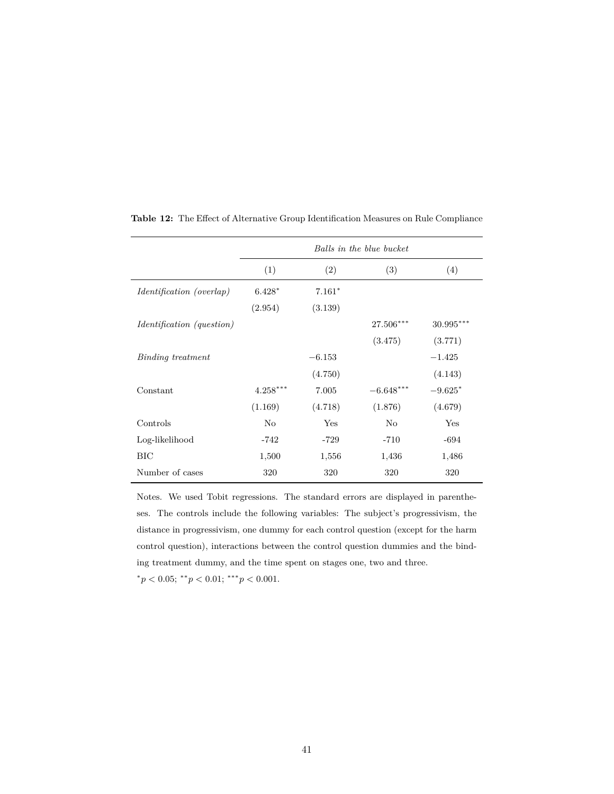|                                  | Balls in the blue bucket |          |             |             |
|----------------------------------|--------------------------|----------|-------------|-------------|
|                                  | (1)                      | (2)      | (3)         | (4)         |
| <i>Identification (overlap)</i>  | $6.428*$                 | $7.161*$ |             |             |
|                                  | (2.954)                  | (3.139)  |             |             |
| <i>Identification (question)</i> |                          |          | $27.506***$ | $30.995***$ |
|                                  |                          |          | (3.475)     | (3.771)     |
| Binding treatment                |                          | $-6.153$ |             | $-1.425$    |
|                                  |                          | (4.750)  |             | (4.143)     |
| Constant                         | $4.258***$               | 7.005    | $-6.648***$ | $-9.625*$   |
|                                  | (1.169)                  | (4.718)  | (1.876)     | (4.679)     |
| Controls                         | $\rm No$                 | Yes      | No          | Yes         |
| Log-likelihood                   | -742                     | $-729$   | $-710$      | $-694$      |
| BIC                              | 1,500                    | 1,556    | 1,436       | 1,486       |
| Number of cases                  | 320                      | 320      | 320         | 320         |

<span id="page-41-0"></span>**Table 12:** The Effect of Alternative Group Identification Measures on Rule Compliance

Notes. We used Tobit regressions. The standard errors are displayed in parentheses. The controls include the following variables: The subject's progressivism, the distance in progressivism, one dummy for each control question (except for the harm control question), interactions between the control question dummies and the binding treatment dummy, and the time spent on stages one, two and three.

 $p < 0.05$ ;  $\binom{*}{p} < 0.01$ ;  $\binom{*}{p} < 0.001$ .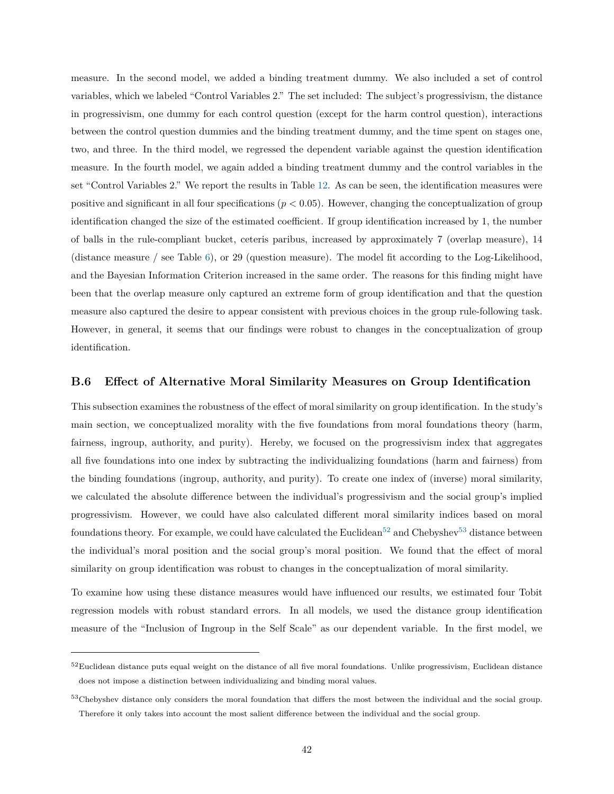measure. In the second model, we added a binding treatment dummy. We also included a set of control variables, which we labeled "Control Variables 2." The set included: The subject's progressivism, the distance in progressivism, one dummy for each control question (except for the harm control question), interactions between the control question dummies and the binding treatment dummy, and the time spent on stages one, two, and three. In the third model, we regressed the dependent variable against the question identification measure. In the fourth model, we again added a binding treatment dummy and the control variables in the set "Control Variables 2." We report the results in Table [12.](#page-41-0) As can be seen, the identification measures were positive and significant in all four specifications (*p <* 0*.*05). However, changing the conceptualization of group identification changed the size of the estimated coefficient. If group identification increased by 1, the number of balls in the rule-compliant bucket, ceteris paribus, increased by approximately 7 (overlap measure), 14 (distance measure / see Table [6\)](#page-21-1), or 29 (question measure). The model fit according to the Log-Likelihood, and the Bayesian Information Criterion increased in the same order. The reasons for this finding might have been that the overlap measure only captured an extreme form of group identification and that the question measure also captured the desire to appear consistent with previous choices in the group rule-following task. However, in general, it seems that our findings were robust to changes in the conceptualization of group identification.

## <span id="page-42-0"></span>**B.6 Effect of Alternative Moral Similarity Measures on Group Identification**

This subsection examines the robustness of the effect of moral similarity on group identification. In the study's main section, we conceptualized morality with the five foundations from moral foundations theory (harm, fairness, ingroup, authority, and purity). Hereby, we focused on the progressivism index that aggregates all five foundations into one index by subtracting the individualizing foundations (harm and fairness) from the binding foundations (ingroup, authority, and purity). To create one index of (inverse) moral similarity, we calculated the absolute difference between the individual's progressivism and the social group's implied progressivism. However, we could have also calculated different moral similarity indices based on moral foundations theory. For example, we could have calculated the Euclidean<sup>[52](#page-42-1)</sup> and Chebyshev<sup>[53](#page-42-2)</sup> distance between the individual's moral position and the social group's moral position. We found that the effect of moral similarity on group identification was robust to changes in the conceptualization of moral similarity.

To examine how using these distance measures would have influenced our results, we estimated four Tobit regression models with robust standard errors. In all models, we used the distance group identification measure of the "Inclusion of Ingroup in the Self Scale" as our dependent variable. In the first model, we

<span id="page-42-1"></span> $52$ Euclidean distance puts equal weight on the distance of all five moral foundations. Unlike progressivism, Euclidean distance does not impose a distinction between individualizing and binding moral values.

<span id="page-42-2"></span><sup>&</sup>lt;sup>53</sup>Chebyshev distance only considers the moral foundation that differs the most between the individual and the social group. Therefore it only takes into account the most salient difference between the individual and the social group.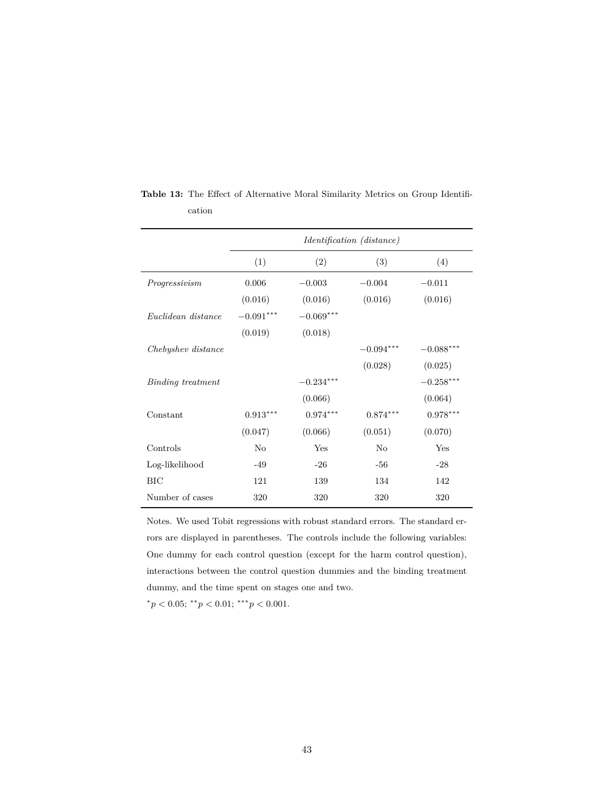|                    | <i>Identification (distance)</i> |             |             |             |
|--------------------|----------------------------------|-------------|-------------|-------------|
|                    | (1)                              | (2)         | (3)         | (4)         |
| Progressivism      | 0.006                            | $-0.003$    | $-0.004$    | $-0.011$    |
|                    | (0.016)                          | (0.016)     | (0.016)     | (0.016)     |
| Euclidean distance | $-0.091***$                      | $-0.069***$ |             |             |
|                    | (0.019)                          | (0.018)     |             |             |
| Chebyshev distance |                                  |             | $-0.094***$ | $-0.088***$ |
|                    |                                  |             | (0.028)     | (0.025)     |
| Binding treatment  |                                  | $-0.234***$ |             | $-0.258***$ |
|                    |                                  | (0.066)     |             | (0.064)     |
| Constant           | $0.913***$                       | $0.974***$  | $0.874***$  | $0.978***$  |
|                    | (0.047)                          | (0.066)     | (0.051)     | (0.070)     |
| Controls           | No                               | Yes         | No          | Yes         |
| Log-likelihood     | $-49$                            | $-26$       | $-56$       | $-28$       |
| BIC                | 121                              | 139         | 134         | 142         |
| Number of cases    | 320                              | 320         | 320         | 320         |

<span id="page-43-0"></span>**Table 13:** The Effect of Alternative Moral Similarity Metrics on Group Identification

Notes. We used Tobit regressions with robust standard errors. The standard errors are displayed in parentheses. The controls include the following variables: One dummy for each control question (except for the harm control question), interactions between the control question dummies and the binding treatment dummy, and the time spent on stages one and two.

 $p < 0.05$ ;  $\binom{*}{p} < 0.01$ ;  $\binom{*}{p} < 0.001$ .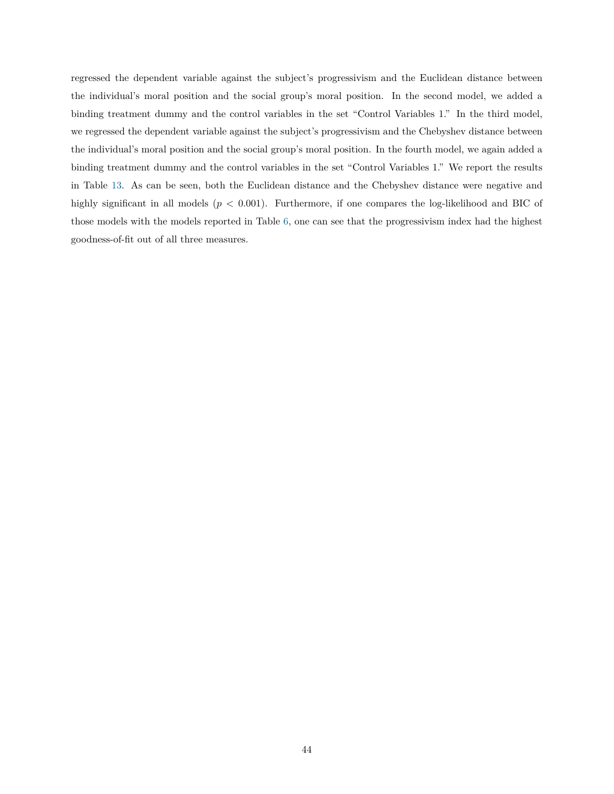regressed the dependent variable against the subject's progressivism and the Euclidean distance between the individual's moral position and the social group's moral position. In the second model, we added a binding treatment dummy and the control variables in the set "Control Variables 1." In the third model, we regressed the dependent variable against the subject's progressivism and the Chebyshev distance between the individual's moral position and the social group's moral position. In the fourth model, we again added a binding treatment dummy and the control variables in the set "Control Variables 1." We report the results in Table [13.](#page-43-0) As can be seen, both the Euclidean distance and the Chebyshev distance were negative and highly significant in all models (*p <* 0*.*001). Furthermore, if one compares the log-likelihood and BIC of those models with the models reported in Table [6,](#page-21-1) one can see that the progressivism index had the highest goodness-of-fit out of all three measures.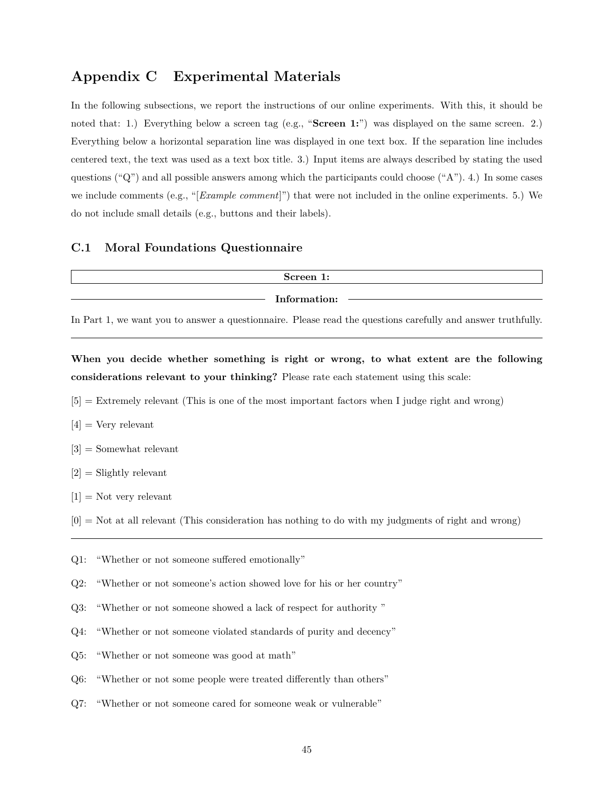# **Appendix C Experimental Materials**

In the following subsections, we report the instructions of our online experiments. With this, it should be noted that: 1.) Everything below a screen tag (e.g., "**Screen 1:**") was displayed on the same screen. 2.) Everything below a horizontal separation line was displayed in one text box. If the separation line includes centered text, the text was used as a text box title. 3.) Input items are always described by stating the used questions ("Q") and all possible answers among which the participants could choose ("A"). 4.) In some cases we include comments (e.g., "[*Example comment*]") that were not included in the online experiments. 5.) We do not include small details (e.g., buttons and their labels).

## <span id="page-45-0"></span>**C.1 Moral Foundations Questionnaire**

| Screen 1:    |  |
|--------------|--|
| Information: |  |
|              |  |

In Part 1, we want you to answer a questionnaire. Please read the questions carefully and answer truthfully.

**When you decide whether something is right or wrong, to what extent are the following considerations relevant to your thinking?** Please rate each statement using this scale:

- [5] = Extremely relevant (This is one of the most important factors when I judge right and wrong)
- $[4]$  = Very relevant
- [3] = Somewhat relevant
- $[2] =$  Slightly relevant
- $[1] =$  Not very relevant
- $[0]$  = Not at all relevant (This consideration has nothing to do with my judgments of right and wrong)
- Q1: "Whether or not someone suffered emotionally"
- Q2: "Whether or not someone's action showed love for his or her country"
- Q3: "Whether or not someone showed a lack of respect for authority "
- Q4: "Whether or not someone violated standards of purity and decency"
- Q5: "Whether or not someone was good at math"
- Q6: "Whether or not some people were treated differently than others"
- Q7: "Whether or not someone cared for someone weak or vulnerable"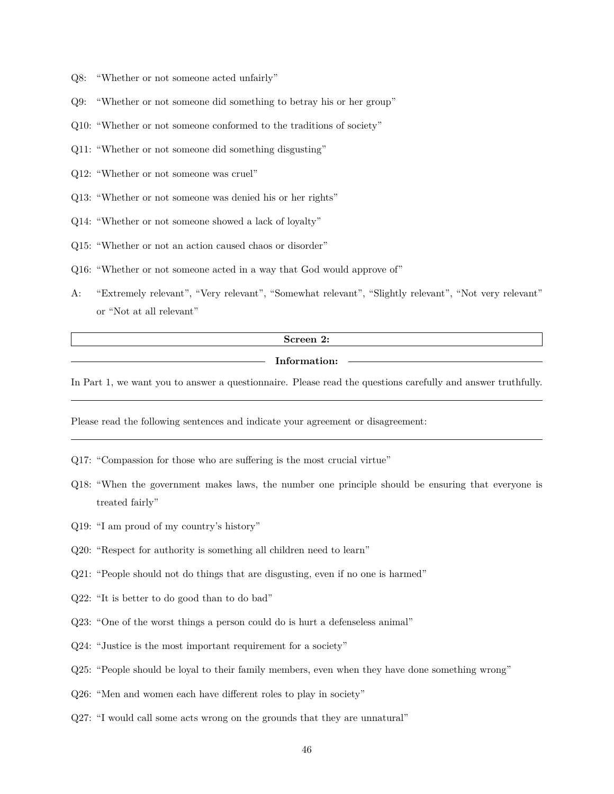- Q8: "Whether or not someone acted unfairly"
- Q9: "Whether or not someone did something to betray his or her group"
- Q10: "Whether or not someone conformed to the traditions of society"
- Q11: "Whether or not someone did something disgusting"
- Q12: "Whether or not someone was cruel"
- Q13: "Whether or not someone was denied his or her rights"
- Q14: "Whether or not someone showed a lack of loyalty"
- Q15: "Whether or not an action caused chaos or disorder"
- Q16: "Whether or not someone acted in a way that God would approve of"
- A: "Extremely relevant", "Very relevant", "Somewhat relevant", "Slightly relevant", "Not very relevant" or "Not at all relevant"

#### **Screen 2:**

#### **Information:**

In Part 1, we want you to answer a questionnaire. Please read the questions carefully and answer truthfully.

Please read the following sentences and indicate your agreement or disagreement:

- Q17: "Compassion for those who are suffering is the most crucial virtue"
- Q18: "When the government makes laws, the number one principle should be ensuring that everyone is treated fairly"
- Q19: "I am proud of my country's history"
- Q20: "Respect for authority is something all children need to learn"
- Q21: "People should not do things that are disgusting, even if no one is harmed"
- Q22: "It is better to do good than to do bad"
- Q23: "One of the worst things a person could do is hurt a defenseless animal"
- Q24: "Justice is the most important requirement for a society"
- Q25: "People should be loyal to their family members, even when they have done something wrong"
- Q26: "Men and women each have different roles to play in society"
- Q27: "I would call some acts wrong on the grounds that they are unnatural"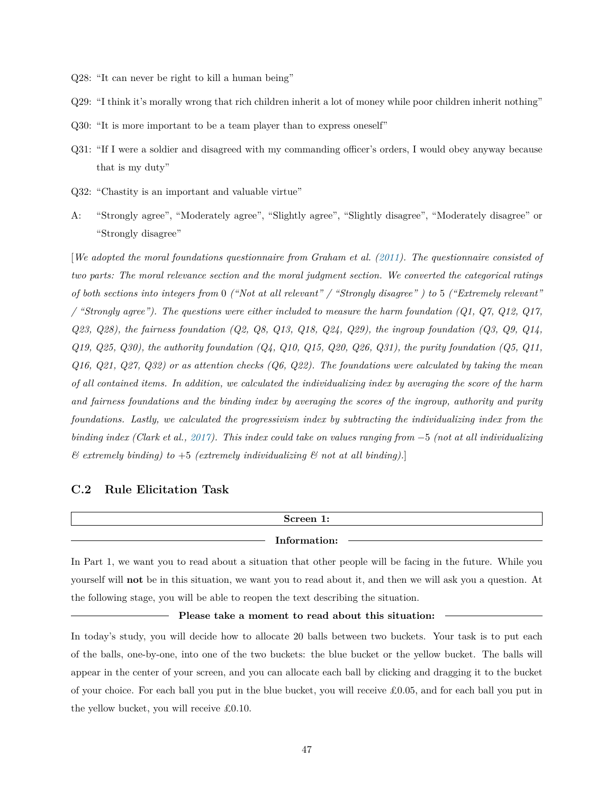- Q28: "It can never be right to kill a human being"
- Q29: "I think it's morally wrong that rich children inherit a lot of money while poor children inherit nothing"
- Q30: "It is more important to be a team player than to express oneself"
- Q31: "If I were a soldier and disagreed with my commanding officer's orders, I would obey anyway because that is my duty"
- Q32: "Chastity is an important and valuable virtue"
- A: "Strongly agree", "Moderately agree", "Slightly agree", "Slightly disagree", "Moderately disagree" or "Strongly disagree"

[*We adopted the moral foundations questionnaire from Graham et al. [\(2011\)](#page-59-6). The questionnaire consisted of two parts: The moral relevance section and the moral judgment section. We converted the categorical ratings of both sections into integers from* 0 *("Not at all relevant" / "Strongly disagree" ) to* 5 *("Extremely relevant" / "Strongly agree"). The questions were either included to measure the harm foundation (Q1, Q7, Q12, Q17, Q23, Q28), the fairness foundation (Q2, Q8, Q13, Q18, Q24, Q29), the ingroup foundation (Q3, Q9, Q14, Q19, Q25, Q30), the authority foundation (Q4, Q10, Q15, Q20, Q26, Q31), the purity foundation (Q5, Q11, Q16, Q21, Q27, Q32) or as attention checks (Q6, Q22). The foundations were calculated by taking the mean of all contained items. In addition, we calculated the individualizing index by averaging the score of the harm and fairness foundations and the binding index by averaging the scores of the ingroup, authority and purity foundations. Lastly, we calculated the progressivism index by subtracting the individualizing index from the binding index (Clark et al., [2017\)](#page-59-7). This index could take on values ranging from* −5 *(not at all individualizing*  $\&$  extremely binding) to  $+5$  *(extremely individualizing*  $\&$  not at all binding).]

### **C.2 Rule Elicitation Task**

# **Screen 1: Information:**

In Part 1, we want you to read about a situation that other people will be facing in the future. While you yourself will **not** be in this situation, we want you to read about it, and then we will ask you a question. At the following stage, you will be able to reopen the text describing the situation.

#### **Please take a moment to read about this situation:**

In today's study, you will decide how to allocate 20 balls between two buckets. Your task is to put each of the balls, one-by-one, into one of the two buckets: the blue bucket or the yellow bucket. The balls will appear in the center of your screen, and you can allocate each ball by clicking and dragging it to the bucket of your choice. For each ball you put in the blue bucket, you will receive £0.05, and for each ball you put in the yellow bucket, you will receive £0.10.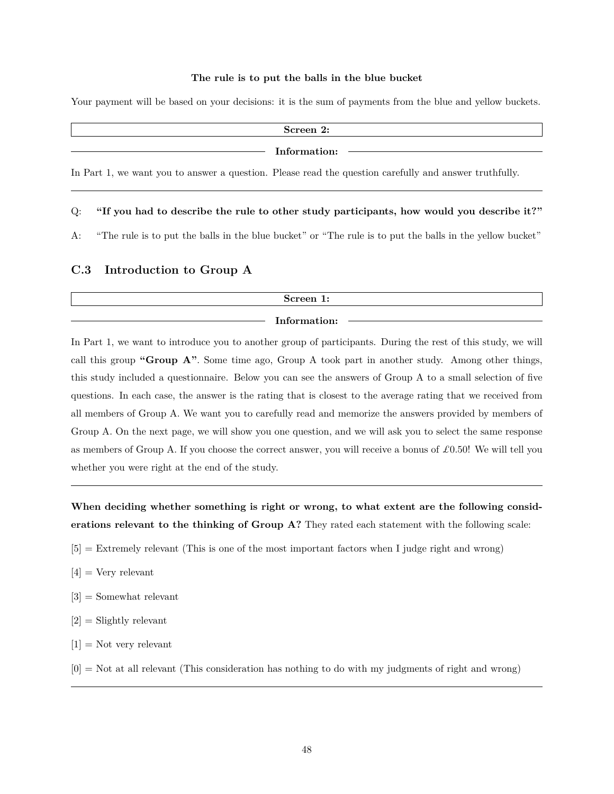#### **The rule is to put the balls in the blue bucket**

Your payment will be based on your decisions: it is the sum of payments from the blue and yellow buckets.

| Screen 2:                                                                                              |  |
|--------------------------------------------------------------------------------------------------------|--|
| Information:                                                                                           |  |
| In Part 1, we want you to answer a question. Please read the question carefully and answer truthfully. |  |

#### Q: **"If you had to describe the rule to other study participants, how would you describe it?"**

A: "The rule is to put the balls in the blue bucket" or "The rule is to put the balls in the yellow bucket"

# **C.3 Introduction to Group A**

| Screen 1:    |  |
|--------------|--|
| Information: |  |

In Part 1, we want to introduce you to another group of participants. During the rest of this study, we will call this group **"Group A"**. Some time ago, Group A took part in another study. Among other things, this study included a questionnaire. Below you can see the answers of Group A to a small selection of five questions. In each case, the answer is the rating that is closest to the average rating that we received from all members of Group A. We want you to carefully read and memorize the answers provided by members of Group A. On the next page, we will show you one question, and we will ask you to select the same response as members of Group A. If you choose the correct answer, you will receive a bonus of *£*0*.*50! We will tell you whether you were right at the end of the study.

**When deciding whether something is right or wrong, to what extent are the following considerations relevant to the thinking of Group A?** They rated each statement with the following scale:

- [5] = Extremely relevant (This is one of the most important factors when I judge right and wrong)
- $[4] = \text{Very relevant}$
- [3] = Somewhat relevant
- $[2]$  = Slightly relevant
- $[1] =$  Not very relevant
- $[0]$  = Not at all relevant (This consideration has nothing to do with my judgments of right and wrong)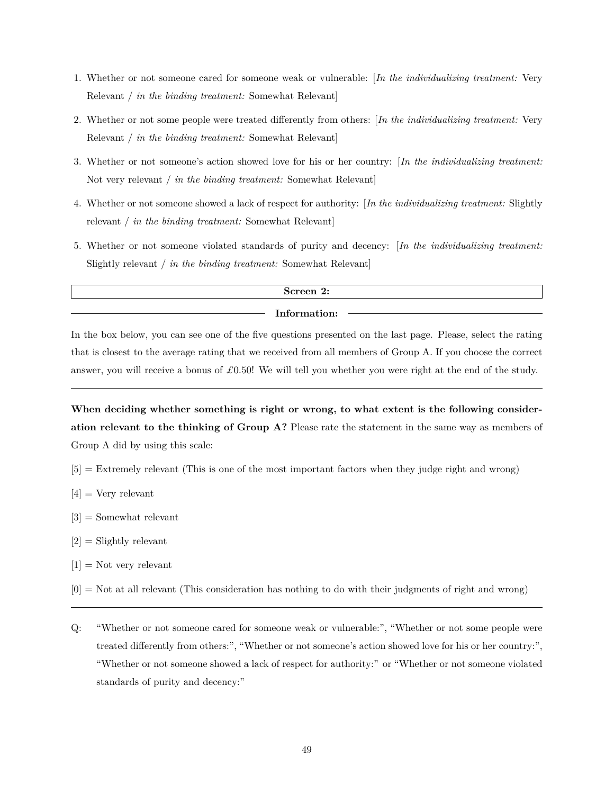- 1. Whether or not someone cared for someone weak or vulnerable: [*In the individualizing treatment:* Very Relevant / *in the binding treatment:* Somewhat Relevant]
- 2. Whether or not some people were treated differently from others: [*In the individualizing treatment:* Very Relevant / *in the binding treatment:* Somewhat Relevant]
- 3. Whether or not someone's action showed love for his or her country: [*In the individualizing treatment:* Not very relevant / *in the binding treatment:* Somewhat Relevant]
- 4. Whether or not someone showed a lack of respect for authority: [*In the individualizing treatment:* Slightly relevant / *in the binding treatment:* Somewhat Relevant]
- 5. Whether or not someone violated standards of purity and decency: [*In the individualizing treatment:* Slightly relevant / *in the binding treatment:* Somewhat Relevant]

## **Screen 2:**

## **Information:**

In the box below, you can see one of the five questions presented on the last page. Please, select the rating that is closest to the average rating that we received from all members of Group A. If you choose the correct answer, you will receive a bonus of *£*0*.*50! We will tell you whether you were right at the end of the study.

When deciding whether something is right or wrong, to what extent is the following consider**ation relevant to the thinking of Group A?** Please rate the statement in the same way as members of Group A did by using this scale:

- [5] = Extremely relevant (This is one of the most important factors when they judge right and wrong)
- $[4]$  = Very relevant
- [3] = Somewhat relevant
- [2] = Slightly relevant
- $[1] =$  Not very relevant
- [0] = Not at all relevant (This consideration has nothing to do with their judgments of right and wrong)
- Q: "Whether or not someone cared for someone weak or vulnerable:", "Whether or not some people were treated differently from others:", "Whether or not someone's action showed love for his or her country:", "Whether or not someone showed a lack of respect for authority:" or "Whether or not someone violated standards of purity and decency:"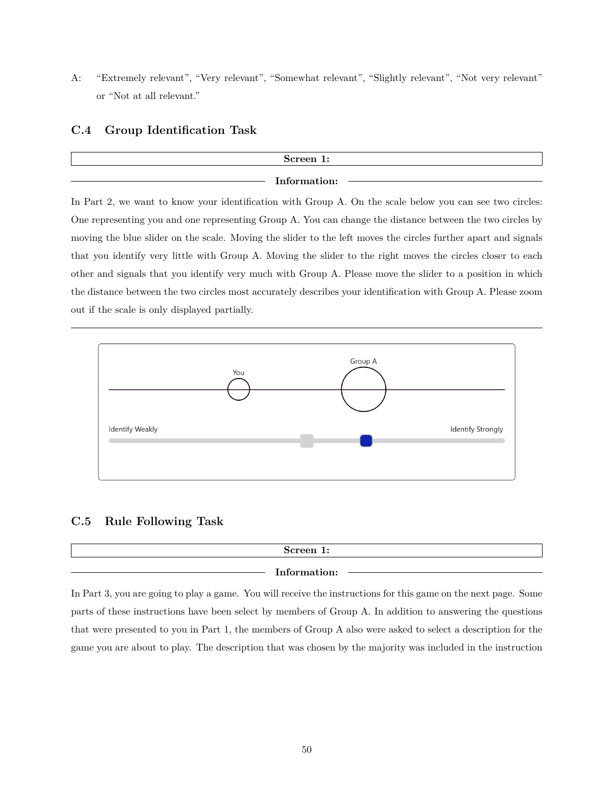A: "Extremely relevant", "Very relevant", "Somewhat relevant", "Slightly relevant", "Not very relevant" or "Not at all relevant."

# **C.4 Group Identification Task**

# **Screen 1:**

## **Information:**

In Part 2, we want to know your identification with Group A. On the scale below you can see two circles: One representing you and one representing Group A. You can change the distance between the two circles by moving the blue slider on the scale. Moving the slider to the left moves the circles further apart and signals that you identify very little with Group A. Moving the slider to the right moves the circles closer to each other and signals that you identify very much with Group A. Please move the slider to a position in which the distance between the two circles most accurately describes your identification with Group A. Please zoom out if the scale is only displayed partially.



## **C.5 Rule Following Task**

| Screen 1:                  |  |
|----------------------------|--|
| Informat<br>$\mathbf{m}$ : |  |

In Part 3, you are going to play a game. You will receive the instructions for this game on the next page. Some parts of these instructions have been select by members of Group A. In addition to answering the questions that were presented to you in Part 1, the members of Group A also were asked to select a description for the game you are about to play. The description that was chosen by the majority was included in the instruction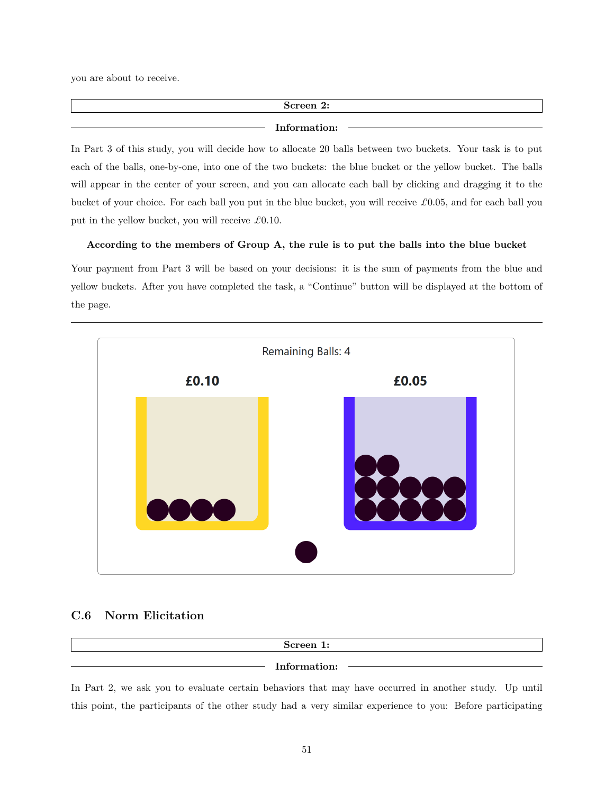you are about to receive.

# **Screen 2:**

#### **Information:**

In Part 3 of this study, you will decide how to allocate 20 balls between two buckets. Your task is to put each of the balls, one-by-one, into one of the two buckets: the blue bucket or the yellow bucket. The balls will appear in the center of your screen, and you can allocate each ball by clicking and dragging it to the bucket of your choice. For each ball you put in the blue bucket, you will receive *£*0*.*05, and for each ball you put in the yellow bucket, you will receive *£*0*.*10.

**According to the members of Group A, the rule is to put the balls into the blue bucket**

Your payment from Part 3 will be based on your decisions: it is the sum of payments from the blue and yellow buckets. After you have completed the task, a "Continue" button will be displayed at the bottom of the page.



# **C.6 Norm Elicitation**

| Screen 1:    |  |
|--------------|--|
| Information: |  |

In Part 2, we ask you to evaluate certain behaviors that may have occurred in another study. Up until this point, the participants of the other study had a very similar experience to you: Before participating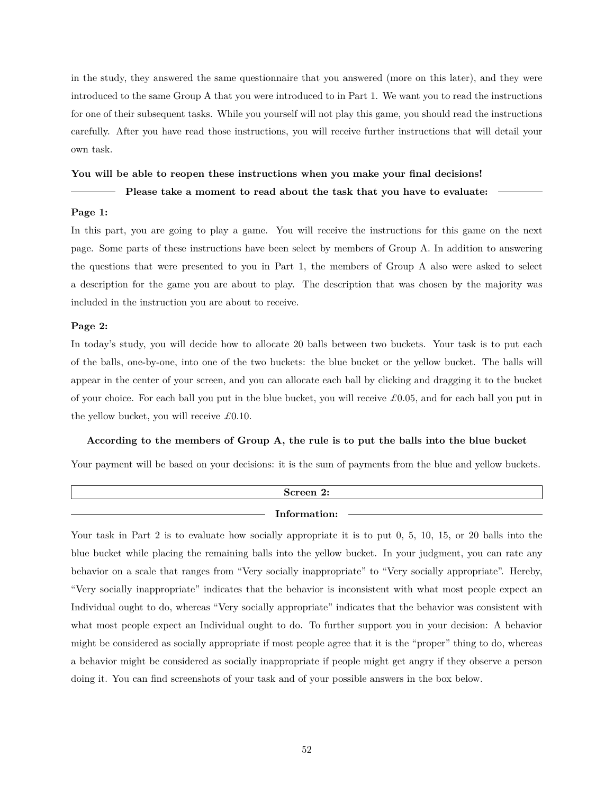in the study, they answered the same questionnaire that you answered (more on this later), and they were introduced to the same Group A that you were introduced to in Part 1. We want you to read the instructions for one of their subsequent tasks. While you yourself will not play this game, you should read the instructions carefully. After you have read those instructions, you will receive further instructions that will detail your own task.

#### **You will be able to reopen these instructions when you make your final decisions!**

#### **Please take a moment to read about the task that you have to evaluate:**

#### **Page 1:**

In this part, you are going to play a game. You will receive the instructions for this game on the next page. Some parts of these instructions have been select by members of Group A. In addition to answering the questions that were presented to you in Part 1, the members of Group A also were asked to select a description for the game you are about to play. The description that was chosen by the majority was included in the instruction you are about to receive.

#### **Page 2:**

In today's study, you will decide how to allocate 20 balls between two buckets. Your task is to put each of the balls, one-by-one, into one of the two buckets: the blue bucket or the yellow bucket. The balls will appear in the center of your screen, and you can allocate each ball by clicking and dragging it to the bucket of your choice. For each ball you put in the blue bucket, you will receive *£*0*.*05, and for each ball you put in the yellow bucket, you will receive *£*0*.*10.

## **According to the members of Group A, the rule is to put the balls into the blue bucket**

Your payment will be based on your decisions: it is the sum of payments from the blue and yellow buckets.

| Screen 2:    |  |
|--------------|--|
| Information: |  |

Your task in Part 2 is to evaluate how socially appropriate it is to put 0, 5, 10, 15, or 20 balls into the blue bucket while placing the remaining balls into the yellow bucket. In your judgment, you can rate any behavior on a scale that ranges from "Very socially inappropriate" to "Very socially appropriate". Hereby, "Very socially inappropriate" indicates that the behavior is inconsistent with what most people expect an Individual ought to do, whereas "Very socially appropriate" indicates that the behavior was consistent with what most people expect an Individual ought to do. To further support you in your decision: A behavior might be considered as socially appropriate if most people agree that it is the "proper" thing to do, whereas a behavior might be considered as socially inappropriate if people might get angry if they observe a person doing it. You can find screenshots of your task and of your possible answers in the box below.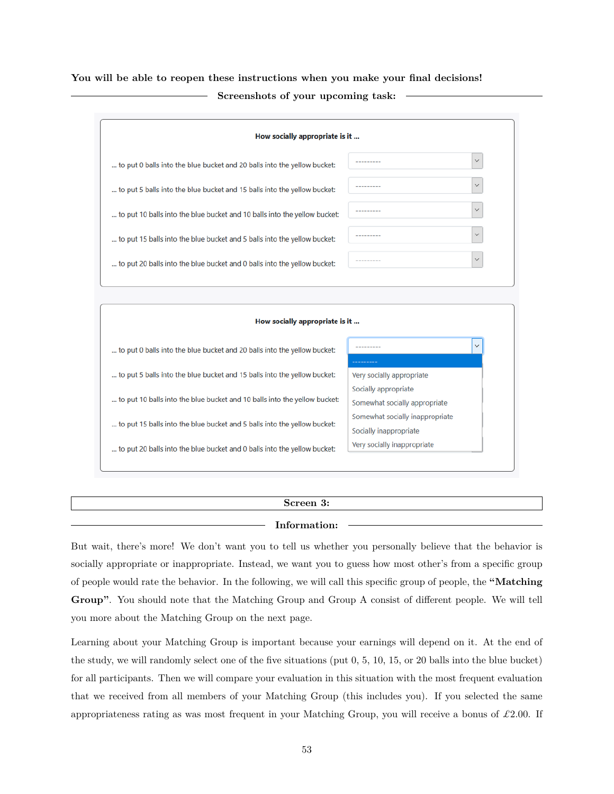**You will be able to reopen these instructions when you make your final decisions! Screenshots of your upcoming task:**



... to put 20 balls into the blue bucket and 0 balls into the yellow bucket:

# **Screen 3:**

## **Information:**

But wait, there's more! We don't want you to tell us whether you personally believe that the behavior is socially appropriate or inappropriate. Instead, we want you to guess how most other's from a specific group of people would rate the behavior. In the following, we will call this specific group of people, the **"Matching Group"**. You should note that the Matching Group and Group A consist of different people. We will tell you more about the Matching Group on the next page.

Learning about your Matching Group is important because your earnings will depend on it. At the end of the study, we will randomly select one of the five situations (put 0, 5, 10, 15, or 20 balls into the blue bucket) for all participants. Then we will compare your evaluation in this situation with the most frequent evaluation that we received from all members of your Matching Group (this includes you). If you selected the same appropriateness rating as was most frequent in your Matching Group, you will receive a bonus of *£*2*.*00. If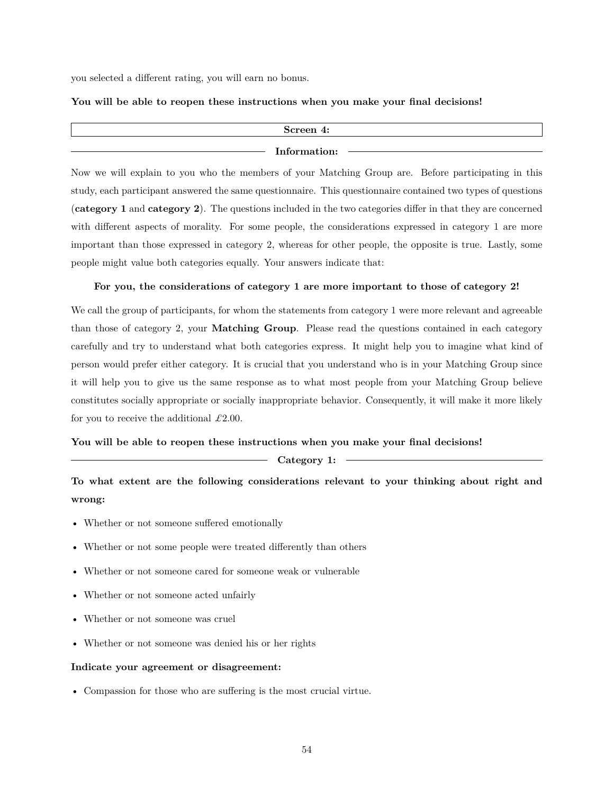you selected a different rating, you will earn no bonus.

#### **You will be able to reopen these instructions when you make your final decisions!**

| Screen 4:    |  |
|--------------|--|
|              |  |
| Information: |  |
|              |  |

Now we will explain to you who the members of your Matching Group are. Before participating in this study, each participant answered the same questionnaire. This questionnaire contained two types of questions (**category 1** and **category 2**). The questions included in the two categories differ in that they are concerned with different aspects of morality. For some people, the considerations expressed in category 1 are more important than those expressed in category 2, whereas for other people, the opposite is true. Lastly, some people might value both categories equally. Your answers indicate that:

## **For you, the considerations of category 1 are more important to those of category 2!**

We call the group of participants, for whom the statements from category 1 were more relevant and agreeable than those of category 2, your **Matching Group**. Please read the questions contained in each category carefully and try to understand what both categories express. It might help you to imagine what kind of person would prefer either category. It is crucial that you understand who is in your Matching Group since it will help you to give us the same response as to what most people from your Matching Group believe constitutes socially appropriate or socially inappropriate behavior. Consequently, it will make it more likely for you to receive the additional *£*2*.*00.

#### **You will be able to reopen these instructions when you make your final decisions!**

## **Category 1:**

**To what extent are the following considerations relevant to your thinking about right and wrong:**

- Whether or not someone suffered emotionally
- Whether or not some people were treated differently than others
- Whether or not someone cared for someone weak or vulnerable
- Whether or not someone acted unfairly
- Whether or not someone was cruel
- Whether or not someone was denied his or her rights

#### **Indicate your agreement or disagreement:**

• Compassion for those who are suffering is the most crucial virtue.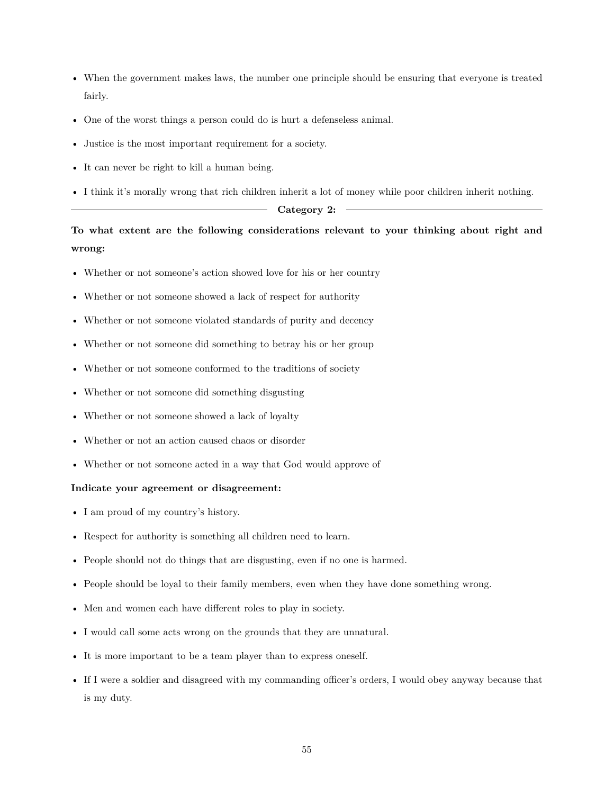- When the government makes laws, the number one principle should be ensuring that everyone is treated fairly.
- One of the worst things a person could do is hurt a defenseless animal.
- Justice is the most important requirement for a society.
- It can never be right to kill a human being.
- I think it's morally wrong that rich children inherit a lot of money while poor children inherit nothing.

## - Category 2: -

# **To what extent are the following considerations relevant to your thinking about right and wrong:**

- Whether or not someone's action showed love for his or her country
- Whether or not someone showed a lack of respect for authority
- Whether or not someone violated standards of purity and decency
- Whether or not someone did something to betray his or her group
- Whether or not someone conformed to the traditions of society
- Whether or not someone did something disgusting
- Whether or not someone showed a lack of loyalty
- Whether or not an action caused chaos or disorder
- Whether or not someone acted in a way that God would approve of

#### **Indicate your agreement or disagreement:**

- I am proud of my country's history.
- Respect for authority is something all children need to learn.
- People should not do things that are disgusting, even if no one is harmed.
- People should be loyal to their family members, even when they have done something wrong.
- Men and women each have different roles to play in society.
- I would call some acts wrong on the grounds that they are unnatural.
- It is more important to be a team player than to express oneself.
- If I were a soldier and disagreed with my commanding officer's orders, I would obey anyway because that is my duty.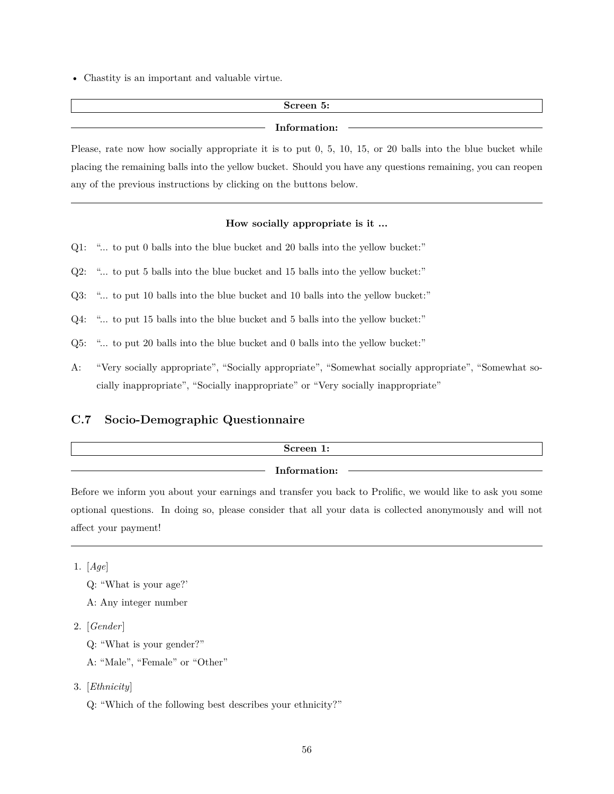• Chastity is an important and valuable virtue.

# **Screen 5:**

### **Information:**

Please, rate now how socially appropriate it is to put 0, 5, 10, 15, or 20 balls into the blue bucket while placing the remaining balls into the yellow bucket. Should you have any questions remaining, you can reopen any of the previous instructions by clicking on the buttons below.

#### **How socially appropriate is it ...**

- Q1: "... to put 0 balls into the blue bucket and 20 balls into the yellow bucket:"
- Q2: "... to put 5 balls into the blue bucket and 15 balls into the yellow bucket:"
- Q3: "... to put 10 balls into the blue bucket and 10 balls into the yellow bucket:"
- Q4: "... to put 15 balls into the blue bucket and 5 balls into the yellow bucket:"
- Q5: "... to put 20 balls into the blue bucket and 0 balls into the yellow bucket:"
- A: "Very socially appropriate", "Socially appropriate", "Somewhat socially appropriate", "Somewhat socially inappropriate", "Socially inappropriate" or "Very socially inappropriate"

# <span id="page-56-0"></span>**C.7 Socio-Demographic Questionnaire**

| Screen 1:    |  |
|--------------|--|
| Information: |  |

Before we inform you about your earnings and transfer you back to Prolific, we would like to ask you some optional questions. In doing so, please consider that all your data is collected anonymously and will not affect your payment!

1. [*Age*]

- A: Any integer number
- 2. [*Gender*]
	- Q: "What is your gender?"
	- A: "Male", "Female" or "Other"
- 3. [*Ethnicity*]

Q: "Which of the following best describes your ethnicity?"

Q: "What is your age?'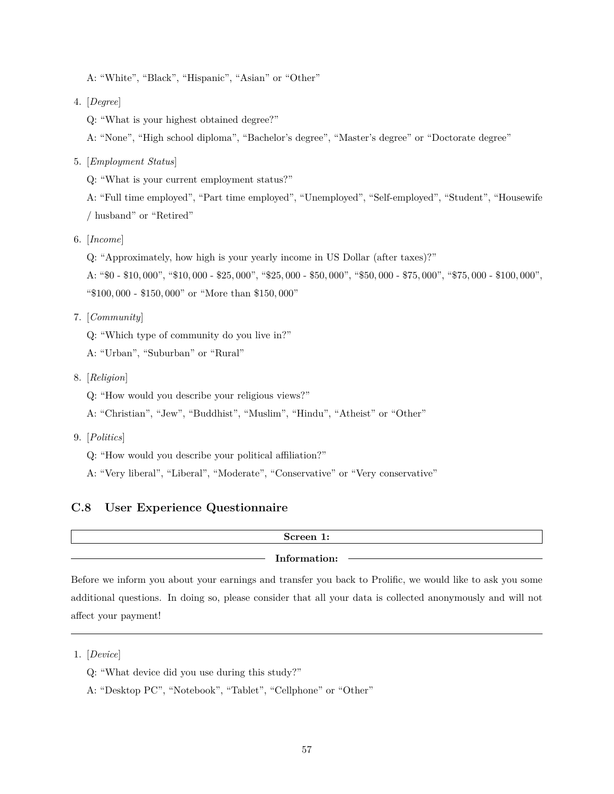A: "White", "Black", "Hispanic", "Asian" or "Other"

- 4. [*Degree*]
	- Q: "What is your highest obtained degree?"

A: "None", "High school diploma", "Bachelor's degree", "Master's degree" or "Doctorate degree"

5. [*Employment Status*]

Q: "What is your current employment status?"

A: "Full time employed", "Part time employed", "Unemployed", "Self-employed", "Student", "Housewife / husband" or "Retired"

6. [*Income*]

Q: "Approximately, how high is your yearly income in US Dollar (after taxes)?"

A: "\$0 - \$10*,* 000", "\$10*,* 000 - \$25*,* 000", "\$25*,* 000 - \$50*,* 000", "\$50*,* 000 - \$75*,* 000", "\$75*,* 000 - \$100*,* 000", "\$100*,* 000 - \$150*,* 000" or "More than \$150*,* 000"

- 7. [*Community*]
	- Q: "Which type of community do you live in?"
	- A: "Urban", "Suburban" or "Rural"
- 8. [*Religion*]
	- Q: "How would you describe your religious views?"
	- A: "Christian", "Jew", "Buddhist", "Muslim", "Hindu", "Atheist" or "Other"
- 9. [*Politics*]
	- Q: "How would you describe your political affiliation?"
	- A: "Very liberal", "Liberal", "Moderate", "Conservative" or "Very conservative"

# <span id="page-57-0"></span>**C.8 User Experience Questionnaire**

# **Screen 1: Information:**

Before we inform you about your earnings and transfer you back to Prolific, we would like to ask you some additional questions. In doing so, please consider that all your data is collected anonymously and will not affect your payment!

- Q: "What device did you use during this study?"
- A: "Desktop PC", "Notebook", "Tablet", "Cellphone" or "Other"

<sup>1.</sup> [*Device*]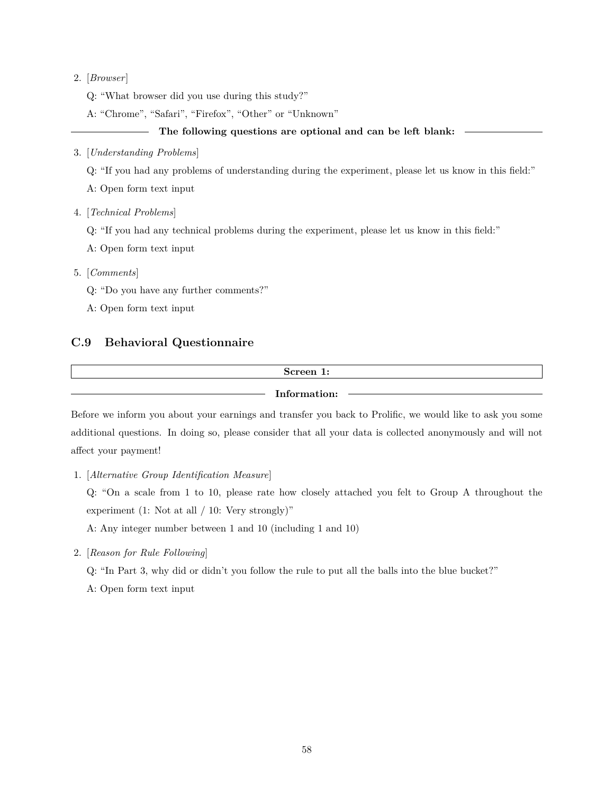## 2. [*Browser*]

Q: "What browser did you use during this study?"

A: "Chrome", "Safari", "Firefox", "Other" or "Unknown"

## **The following questions are optional and can be left blank:**

### 3. [*Understanding Problems*]

Q: "If you had any problems of understanding during the experiment, please let us know in this field:"

A: Open form text input

4. [*Technical Problems*]

Q: "If you had any technical problems during the experiment, please let us know in this field:"

A: Open form text input

5. [*Comments*]

Q: "Do you have any further comments?"

A: Open form text input

# <span id="page-58-0"></span>**C.9 Behavioral Questionnaire**

## **Screen 1:**

**Information:**

Before we inform you about your earnings and transfer you back to Prolific, we would like to ask you some additional questions. In doing so, please consider that all your data is collected anonymously and will not affect your payment!

1. [*Alternative Group Identification Measure*]

Q: "On a scale from 1 to 10, please rate how closely attached you felt to Group A throughout the experiment (1: Not at all  $/$  10: Very strongly)"

A: Any integer number between 1 and 10 (including 1 and 10)

2. [*Reason for Rule Following*]

Q: "In Part 3, why did or didn't you follow the rule to put all the balls into the blue bucket?"

A: Open form text input